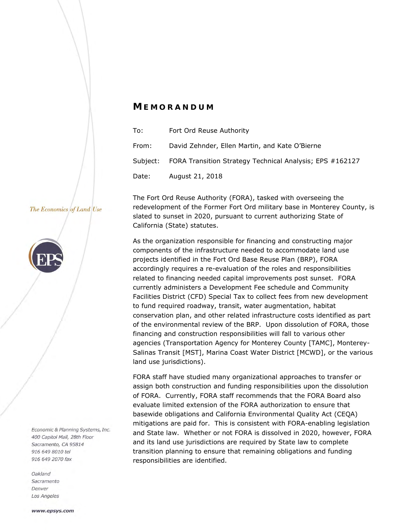# *M EMORANDUM*

| To:   | Fort Ord Reuse Authority                                          |
|-------|-------------------------------------------------------------------|
| From: | David Zehnder, Ellen Martin, and Kate O'Bierne                    |
|       | Subject: FORA Transition Strategy Technical Analysis; EPS #162127 |
| Date: | August 21, 2018                                                   |

The Fort Ord Reuse Authority (FORA), tasked with overseeing the

The Economics of Land Use



Economic & Planning Systems, Inc. 400 Capitol Mall, 28th Floor Sacramento, CA 95814 916 649 8010 tel 916 649 2070 fax

Oakland Sacramento Denver Los Angeles

redevelopment of the Former Fort Ord military base in Monterey County, is slated to sunset in 2020, pursuant to current authorizing State of California (State) statutes.

As the organization responsible for financing and constructing major components of the infrastructure needed to accommodate land use projects identified in the Fort Ord Base Reuse Plan (BRP), FORA accordingly requires a re-evaluation of the roles and responsibilities related to financing needed capital improvements post sunset. FORA currently administers a Development Fee schedule and Community Facilities District (CFD) Special Tax to collect fees from new development to fund required roadway, transit, water augmentation, habitat conservation plan, and other related infrastructure costs identified as part of the environmental review of the BRP. Upon dissolution of FORA, those financing and construction responsibilities will fall to various other agencies (Transportation Agency for Monterey County [TAMC], Monterey-Salinas Transit [MST], Marina Coast Water District [MCWD], or the various land use jurisdictions).

FORA staff have studied many organizational approaches to transfer or assign both construction and funding responsibilities upon the dissolution of FORA. Currently, FORA staff recommends that the FORA Board also evaluate limited extension of the FORA authorization to ensure that basewide obligations and California Environmental Quality Act (CEQA) mitigations are paid for. This is consistent with FORA-enabling legislation and State law. Whether or not FORA is dissolved in 2020, however, FORA and its land use jurisdictions are required by State law to complete transition planning to ensure that remaining obligations and funding responsibilities are identified.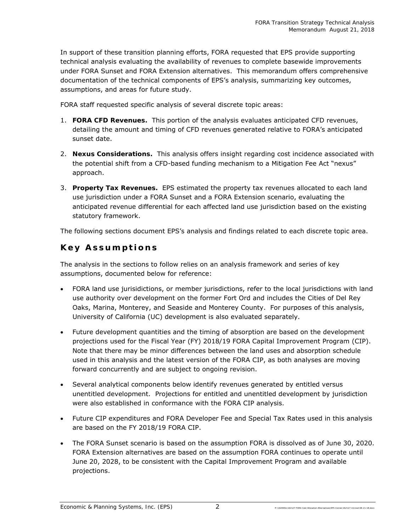In support of these transition planning efforts, FORA requested that EPS provide supporting technical analysis evaluating the availability of revenues to complete basewide improvements under FORA Sunset and FORA Extension alternatives. This memorandum offers comprehensive documentation of the technical components of EPS's analysis, summarizing key outcomes, assumptions, and areas for future study.

FORA staff requested specific analysis of several discrete topic areas:

- 1. **FORA CFD Revenues.** This portion of the analysis evaluates anticipated CFD revenues, detailing the amount and timing of CFD revenues generated relative to FORA's anticipated sunset date.
- 2. **Nexus Considerations.** This analysis offers insight regarding cost incidence associated with the potential shift from a CFD-based funding mechanism to a Mitigation Fee Act "nexus" approach.
- 3. **Property Tax Revenues.** EPS estimated the property tax revenues allocated to each land use jurisdiction under a FORA Sunset and a FORA Extension scenario, evaluating the anticipated revenue differential for each affected land use jurisdiction based on the existing statutory framework.

The following sections document EPS's analysis and findings related to each discrete topic area.

# **Key Assumptions**

The analysis in the sections to follow relies on an analysis framework and series of key assumptions, documented below for reference:

- FORA land use jurisidictions, or member jurisdictions, refer to the local jurisdictions with land use authority over development on the former Fort Ord and includes the Cities of Del Rey Oaks, Marina, Monterey, and Seaside and Monterey County. For purposes of this analysis, University of California (UC) development is also evaluated separately.
- Future development quantities and the timing of absorption are based on the development projections used for the Fiscal Year (FY) 2018/19 FORA Capital Improvement Program (CIP). Note that there may be minor differences between the land uses and absorption schedule used in this analysis and the latest version of the FORA CIP, as both analyses are moving forward concurrently and are subject to ongoing revision.
- Several analytical components below identify revenues generated by entitled versus unentitled development. Projections for entitled and unentitled development by jurisdiction were also established in conformance with the FORA CIP analysis.
- Future CIP expenditures and FORA Developer Fee and Special Tax Rates used in this analysis are based on the FY 2018/19 FORA CIP.
- The FORA Sunset scenario is based on the assumption FORA is dissolved as of June 30, 2020. FORA Extension alternatives are based on the assumption FORA continues to operate until June 20, 2028, to be consistent with the Capital Improvement Program and available projections.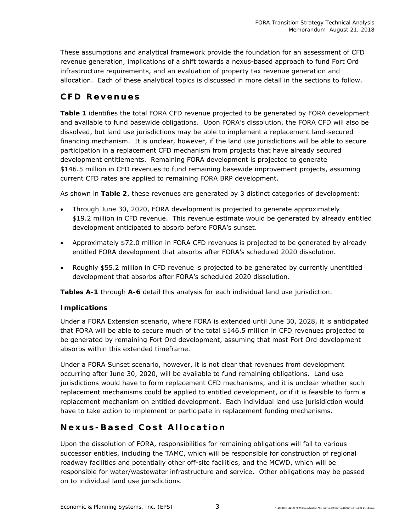These assumptions and analytical framework provide the foundation for an assessment of CFD revenue generation, implications of a shift towards a nexus-based approach to fund Fort Ord infrastructure requirements, and an evaluation of property tax revenue generation and allocation. Each of these analytical topics is discussed in more detail in the sections to follow.

# **CFD Revenues**

**Table 1** identifies the total FORA CFD revenue projected to be generated by FORA development and available to fund basewide obligations. Upon FORA's dissolution, the FORA CFD will also be dissolved, but land use jurisdictions may be able to implement a replacement land-secured financing mechanism. It is unclear, however, if the land use jurisdictions will be able to secure participation in a replacement CFD mechanism from projects that have already secured development entitlements. Remaining FORA development is projected to generate \$146.5 million in CFD revenues to fund remaining basewide improvement projects, assuming current CFD rates are applied to remaining FORA BRP development.

As shown in **Table 2**, these revenues are generated by 3 distinct categories of development:

- Through June 30, 2020, FORA development is projected to generate approximately \$19.2 million in CFD revenue. This revenue estimate would be generated by already entitled development anticipated to absorb before FORA's sunset.
- Approximately \$72.0 million in FORA CFD revenues is projected to be generated by already entitled FORA development that absorbs after FORA's scheduled 2020 dissolution.
- Roughly \$55.2 million in CFD revenue is projected to be generated by currently unentitled development that absorbs after FORA's scheduled 2020 dissolution.

**Tables A-1** through **A-6** detail this analysis for each individual land use jurisdiction.

## **Implications**

Under a FORA Extension scenario, where FORA is extended until June 30, 2028, it is anticipated that FORA will be able to secure much of the total \$146.5 million in CFD revenues projected to be generated by remaining Fort Ord development, assuming that most Fort Ord development absorbs within this extended timeframe.

Under a FORA Sunset scenario, however, it is not clear that revenues from development occurring after June 30, 2020, will be available to fund remaining obligations. Land use jurisdictions would have to form replacement CFD mechanisms, and it is unclear whether such replacement mechanisms could be applied to entitled development, or if it is feasible to form a replacement mechanism on entitled development. Each individual land use jurisidiction would have to take action to implement or participate in replacement funding mechanisms.

# **Nexus-Based Cost Allocation**

Upon the dissolution of FORA, responsibilities for remaining obligations will fall to various successor entities, including the TAMC, which will be responsible for construction of regional roadway facilities and potentially other off-site facilities, and the MCWD, which will be responsible for water/wastewater infrastructure and service. Other obligations may be passed on to individual land use jurisdictions.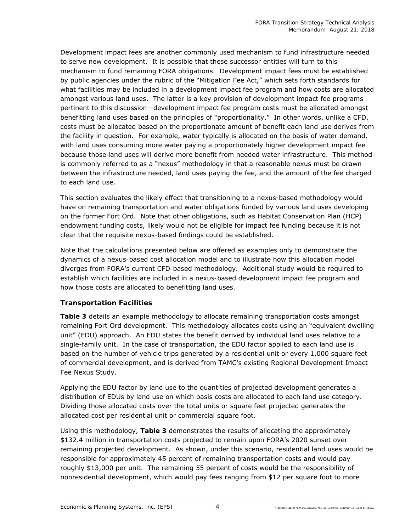Development impact fees are another commonly used mechanism to fund infrastructure needed to serve new development. It is possible that these successor entities will turn to this mechanism to fund remaining FORA obligations. Development impact fees must be established by public agencies under the rubric of the "Mitigation Fee Act," which sets forth standards for what facilities may be included in a development impact fee program and how costs are allocated amongst various land uses. The latter is a key provision of development impact fee programs pertinent to this discussion—development impact fee program costs must be allocated amongst benefitting land uses based on the principles of "proportionality." In other words, unlike a CFD, costs must be allocated based on the proportionate amount of benefit each land use derives from the facility in question. For example, water typically is allocated on the basis of water demand, with land uses consuming more water paying a proportionately higher development impact fee because those land uses will derive more benefit from needed water infrastructure. This method is commonly referred to as a "nexus" methodology in that a reasonable nexus must be drawn between the infrastructure needed, land uses paying the fee, and the amount of the fee charged to each land use.

This section evaluates the likely effect that transitioning to a nexus-based methodology would have on remaining transportation and water obligations funded by various land uses developing on the former Fort Ord. Note that other obligations, such as Habitat Conservation Plan (HCP) endowment funding costs, likely would not be eligible for impact fee funding because it is not clear that the requisite nexus-based findings could be established.

*Note that the calculations presented below are offered as examples only to demonstrate the dynamics of a nexus-based cost allocation model and to illustrate how this allocation model diverges from FORA's current CFD-based methodology. Additional study would be required to establish which facilities are included in a nexus-based development impact fee program and how those costs are allocated to benefitting land uses.* 

## **Transportation Facilities**

**Table 3** details an example methodology to allocate remaining transportation costs amongst remaining Fort Ord development. This methodology allocates costs using an "equivalent dwelling unit" (EDU) approach. An EDU states the benefit derived by individual land uses relative to a single-family unit. In the case of transportation, the EDU factor applied to each land use is based on the number of vehicle trips generated by a residential unit or every 1,000 square feet of commercial development, and is derived from TAMC's existing Regional Development Impact Fee Nexus Study.

Applying the EDU factor by land use to the quantities of projected development generates a distribution of EDUs by land use on which basis costs are allocated to each land use category. Dividing those allocated costs over the total units or square feet projected generates the allocated cost per residential unit or commercial square foot.

Using this methodology, **Table 3** demonstrates the results of allocating the approximately \$132.4 million in transportation costs projected to remain upon FORA's 2020 sunset over remaining projected development. As shown, under this scenario, residential land uses would be responsible for approximately 45 percent of remaining transportation costs and would pay roughly \$13,000 per unit. The remaining 55 percent of costs would be the responsibility of nonresidential development, which would pay fees ranging from \$12 per square foot to more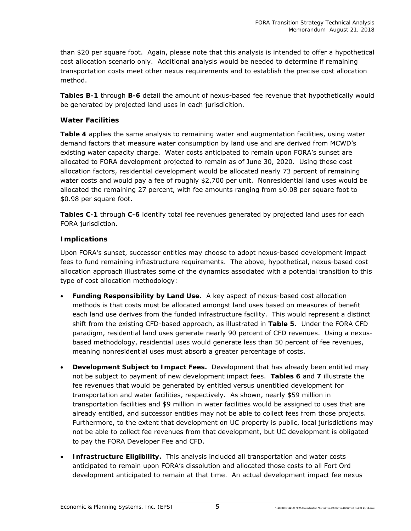than \$20 per square foot. Again, please note that this analysis is intended to offer a hypothetical cost allocation scenario only. Additional analysis would be needed to determine if remaining transportation costs meet other nexus requirements and to establish the precise cost allocation method.

**Tables B-1** through **B-6** detail the amount of nexus-based fee revenue that hypothetically would be generated by projected land uses in each jurisdicition.

## **Water Facilities**

**Table 4** applies the same analysis to remaining water and augmentation facilities, using water demand factors that measure water consumption by land use and are derived from MCWD's existing water capacity charge. Water costs anticipated to remain upon FORA's sunset are allocated to FORA development projected to remain as of June 30, 2020. Using these cost allocation factors, residential development would be allocated nearly 73 percent of remaining water costs and would pay a fee of roughly \$2,700 per unit. Nonresidential land uses would be allocated the remaining 27 percent, with fee amounts ranging from \$0.08 per square foot to \$0.98 per square foot.

**Tables C-1** through **C-6** identify total fee revenues generated by projected land uses for each FORA jurisdiction.

## **Implications**

Upon FORA's sunset, successor entities may choose to adopt nexus-based development impact fees to fund remaining infrastructure requirements. The above, hypothetical, nexus-based cost allocation approach illustrates some of the dynamics associated with a potential transition to this type of cost allocation methodology:

- **Funding Responsibility by Land Use.** A key aspect of nexus-based cost allocation methods is that costs must be allocated amongst land uses based on measures of benefit each land use derives from the funded infrastructure facility. This would represent a distinct shift from the existing CFD-based approach, as illustrated in **Table 5**. Under the FORA CFD paradigm, residential land uses generate nearly 90 percent of CFD revenues. Using a nexusbased methodology, residential uses would generate less than 50 percent of fee revenues, meaning nonresidential uses must absorb a greater percentage of costs.
- **Development Subject to Impact Fees.** Development that has already been entitled may not be subject to payment of new development impact fees. **Tables 6** and **7** illustrate the fee revenues that would be generated by entitled versus unentitled development for transportation and water facilities, respectively. As shown, nearly \$59 million in transportation facilities and \$9 million in water facilities would be assigned to uses that are already entitled, and successor entities may not be able to collect fees from those projects. Furthermore, to the extent that development on UC property is public, local jurisdictions may not be able to collect fee revenues from that development, but UC development is obligated to pay the FORA Developer Fee and CFD.
- **Infrastructure Eligibility.** This analysis included all transportation and water costs anticipated to remain upon FORA's dissolution and allocated those costs to all Fort Ord development anticipated to remain at that time. An actual development impact fee nexus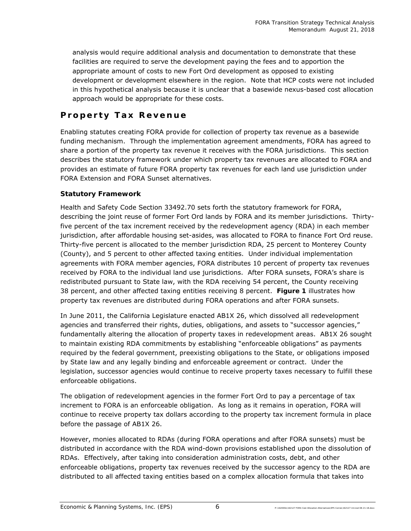analysis would require additional analysis and documentation to demonstrate that these facilities are required to serve the development paying the fees and to apportion the appropriate amount of costs to new Fort Ord development as opposed to existing development or development elsewhere in the region. Note that HCP costs were not included in this hypothetical analysis because it is unclear that a basewide nexus-based cost allocation approach would be appropriate for these costs.

# **Property Tax Revenue**

Enabling statutes creating FORA provide for collection of property tax revenue as a basewide funding mechanism. Through the implementation agreement amendments, FORA has agreed to share a portion of the property tax revenue it receives with the FORA jurisdictions. This section describes the statutory framework under which property tax revenues are allocated to FORA and provides an estimate of future FORA property tax revenues for each land use jurisdiction under FORA Extension and FORA Sunset alternatives.

## **Statutory Framework**

Health and Safety Code Section 33492.70 sets forth the statutory framework for FORA, describing the joint reuse of former Fort Ord lands by FORA and its member jurisdictions. Thirtyfive percent of the tax increment received by the redevelopment agency (RDA) in each member jurisdiction, after affordable housing set-asides, was allocated to FORA to finance Fort Ord reuse. Thirty-five percent is allocated to the member jurisdiction RDA, 25 percent to Monterey County (County), and 5 percent to other affected taxing entities. Under individual implementation agreements with FORA member agencies, FORA distributes 10 percent of property tax revenues received by FORA to the individual land use jurisdictions. After FORA sunsets, FORA's share is redistributed pursuant to State law, with the RDA receiving 54 percent, the County receiving 38 percent, and other affected taxing entities receiving 8 percent. **Figure 1** illustrates how property tax revenues are distributed during FORA operations and after FORA sunsets.

In June 2011, the California Legislature enacted AB1X 26, which dissolved all redevelopment agencies and transferred their rights, duties, obligations, and assets to "successor agencies," fundamentally altering the allocation of property taxes in redevelopment areas. AB1X 26 sought to maintain existing RDA commitments by establishing "enforceable obligations" as payments required by the federal government, preexisting obligations to the State, or obligations imposed by State law and any legally binding and enforceable agreement or contract. Under the legislation, successor agencies would continue to receive property taxes necessary to fulfill these enforceable obligations.

The obligation of redevelopment agencies in the former Fort Ord to pay a percentage of tax increment to FORA is an enforceable obligation. As long as it remains in operation, FORA will continue to receive property tax dollars according to the property tax increment formula in place before the passage of AB1X 26.

However, monies allocated to RDAs (during FORA operations and after FORA sunsets) must be distributed in accordance with the RDA wind-down provisions established upon the dissolution of RDAs. Effectively, after taking into consideration administration costs, debt, and other enforceable obligations, property tax revenues received by the successor agency to the RDA are distributed to all affected taxing entities based on a complex allocation formula that takes into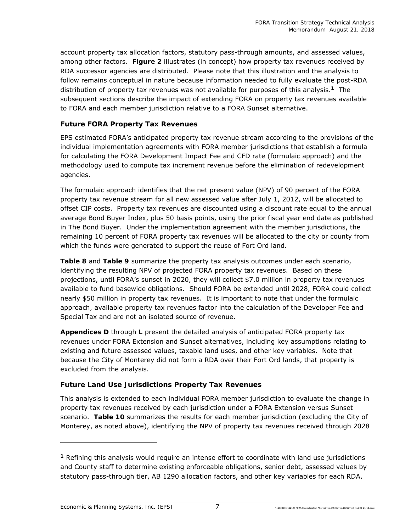account property tax allocation factors, statutory pass-through amounts, and assessed values, among other factors. **Figure 2** illustrates (in concept) how property tax revenues received by RDA successor agencies are distributed. Please note that this illustration and the analysis to follow remains conceptual in nature because information needed to fully evaluate the post-RDA distribution of property tax revenues was not available for purposes of this analysis.**1** The subsequent sections describe the impact of extending FORA on property tax revenues available to FORA and each member jurisdiction relative to a FORA Sunset alternative.

## **Future FORA Property Tax Revenues**

EPS estimated FORA's anticipated property tax revenue stream according to the provisions of the individual implementation agreements with FORA member jurisdictions that establish a formula for calculating the FORA Development Impact Fee and CFD rate (formulaic approach) and the methodology used to compute tax increment revenue before the elimination of redevelopment agencies.

The formulaic approach identifies that the net present value (NPV) of 90 percent of the FORA property tax revenue stream for all new assessed value after July 1, 2012, will be allocated to offset CIP costs. Property tax revenues are discounted using a discount rate equal to the annual average Bond Buyer Index, plus 50 basis points, using the prior fiscal year end date as published in The Bond Buyer. Under the implementation agreement with the member jurisdictions, the remaining 10 percent of FORA property tax revenues will be allocated to the city or county from which the funds were generated to support the reuse of Fort Ord land.

**Table 8** and **Table 9** summarize the property tax analysis outcomes under each scenario, identifying the resulting NPV of projected FORA property tax revenues. Based on these projections, until FORA's sunset in 2020, they will collect \$7.0 million in property tax revenues available to fund basewide obligations. Should FORA be extended until 2028, FORA could collect nearly \$50 million in property tax revenues. It is important to note that under the formulaic approach, available property tax revenues factor into the calculation of the Developer Fee and Special Tax and are not an isolated source of revenue.

**Appendices D** through **L** present the detailed analysis of anticipated FORA property tax revenues under FORA Extension and Sunset alternatives, including key assumptions relating to existing and future assessed values, taxable land uses, and other key variables. Note that because the City of Monterey did not form a RDA over their Fort Ord lands, that property is excluded from the analysis.

## **Future Land Use Jurisdictions Property Tax Revenues**

This analysis is extended to each individual FORA member jurisdiction to evaluate the change in property tax revenues received by each jurisdiction under a FORA Extension versus Sunset scenario. **Table 10** summarizes the results for each member jurisdiction (excluding the City of Monterey, as noted above), identifying the NPV of property tax revenues received through 2028

f

**<sup>1</sup>** Refining this analysis would require an intense effort to coordinate with land use jurisdictions and County staff to determine existing enforceable obligations, senior debt, assessed values by statutory pass-through tier, AB 1290 allocation factors, and other key variables for each RDA.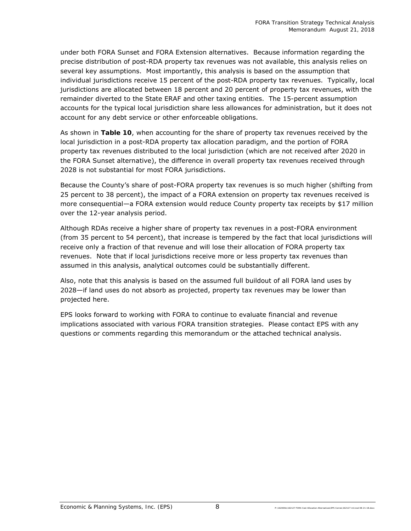under both FORA Sunset and FORA Extension alternatives. Because information regarding the precise distribution of post-RDA property tax revenues was not available, this analysis relies on several key assumptions. Most importantly, this analysis is based on the assumption that individual jurisdictions receive 15 percent of the post-RDA property tax revenues. Typically, local jurisdictions are allocated between 18 percent and 20 percent of property tax revenues, with the remainder diverted to the State ERAF and other taxing entities. The 15-percent assumption accounts for the typical local jurisdiction share less allowances for administration, but it does not account for any debt service or other enforceable obligations.

As shown in **Table 10**, when accounting for the share of property tax revenues received by the local jurisdiction in a post-RDA property tax allocation paradigm, and the portion of FORA property tax revenues distributed to the local jurisdiction (which are not received after 2020 in the FORA Sunset alternative), the difference in overall property tax revenues received through 2028 is not substantial for most FORA jurisdictions.

Because the County's share of post-FORA property tax revenues is so much higher (shifting from 25 percent to 38 percent), the impact of a FORA extension on property tax revenues received is more consequential—a FORA extension would reduce County property tax receipts by \$17 million over the 12-year analysis period.

Although RDAs receive a higher share of property tax revenues in a post-FORA environment (from 35 percent to 54 percent), that increase is tempered by the fact that local jurisdictions will receive only a fraction of that revenue and will lose their allocation of FORA property tax revenues. Note that if local jurisdictions receive more or less property tax revenues than assumed in this analysis, analytical outcomes could be substantially different.

Also, note that this analysis is based on the assumed full buildout of all FORA land uses by 2028—if land uses do not absorb as projected, property tax revenues may be lower than projected here.

EPS looks forward to working with FORA to continue to evaluate financial and revenue implications associated with various FORA transition strategies. Please contact EPS with any questions or comments regarding this memorandum or the attached technical analysis.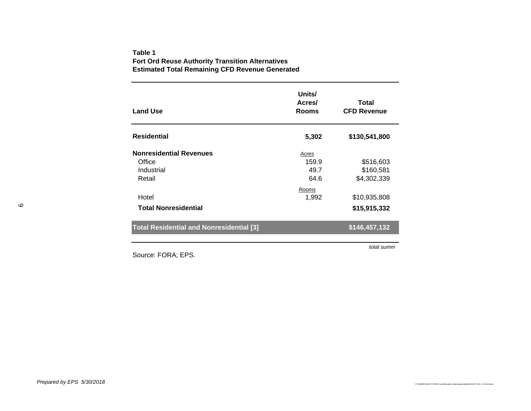### **Table 1Fort Ord Reuse Authority Transition Alternatives Estimated Total Remaining CFD Revenue Generated**

| <b>Land Use</b>                                                  | Units/<br>Acres/<br><b>Rooms</b> | Total<br><b>CFD Revenue</b>           |
|------------------------------------------------------------------|----------------------------------|---------------------------------------|
| <b>Residential</b>                                               | 5,302                            | \$130,541,800                         |
| <b>Nonresidential Revenues</b><br>Office<br>Industrial<br>Retail | Acres<br>159.9<br>49.7<br>64.6   | \$516,603<br>\$160,581<br>\$4,302,339 |
| Hotel<br><b>Total Nonresidential</b>                             | Rooms<br>1,992                   | \$10,935,808<br>\$15,915,332          |
| <b>Total Residential and Nonresidential [3]</b>                  |                                  | \$146,457,132                         |

Source: FORA; EPS.

*total summ*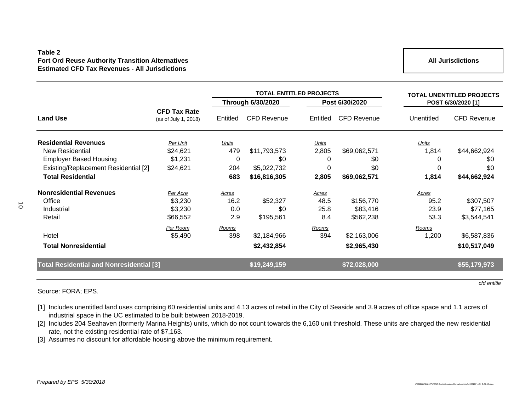### **Table 2Fort Ord Reuse Authority Transition Alternatives Estimated CFD Tax Revenues - All Jurisdictions**

**All Jurisdictions**

|                                                 |                                             |                          | <b>TOTAL ENTITLED PROJECTS</b> | <b>TOTAL UNENTITLED PROJECTS</b> |                    |                    |                    |
|-------------------------------------------------|---------------------------------------------|--------------------------|--------------------------------|----------------------------------|--------------------|--------------------|--------------------|
|                                                 |                                             | <b>Through 6/30/2020</b> |                                | Post 6/30/2020                   |                    | POST 6/30/2020 [1] |                    |
| <b>Land Use</b>                                 | <b>CFD Tax Rate</b><br>(as of July 1, 2018) | Entitled                 | <b>CFD Revenue</b>             | Entitled                         | <b>CFD Revenue</b> | Unentitled         | <b>CFD Revenue</b> |
| <b>Residential Revenues</b>                     | Per Unit                                    | Units                    |                                | Units                            |                    | Units              |                    |
| New Residential                                 | \$24,621                                    | 479                      | \$11,793,573                   | 2,805                            | \$69,062,571       | 1,814              | \$44,662,924       |
| <b>Employer Based Housing</b>                   | \$1,231                                     | 0                        | \$0                            | 0                                | \$0                | 0                  | \$0                |
| Existing/Replacement Residential [2]            | \$24,621                                    | 204                      | \$5,022,732                    | 0                                | \$0                | 0                  | \$0                |
| <b>Total Residential</b>                        |                                             | 683                      | \$16,816,305                   | 2,805                            | \$69,062,571       | 1,814              | \$44,662,924       |
| <b>Nonresidential Revenues</b>                  | Per Acre                                    | Acres                    |                                | <b>Acres</b>                     |                    | <b>Acres</b>       |                    |
| Office                                          | \$3,230                                     | 16.2                     | \$52,327                       | 48.5                             | \$156,770          | 95.2               | \$307,507          |
| Industrial                                      | \$3,230                                     | 0.0                      | \$0                            | 25.8                             | \$83,416           | 23.9               | \$77,165           |
| Retail                                          | \$66,552                                    | 2.9                      | \$195,561                      | 8.4                              | \$562,238          | 53.3               | \$3,544,541        |
|                                                 | Per Room                                    | Rooms                    |                                | Rooms                            |                    | Rooms              |                    |
| Hotel                                           | \$5,490                                     | 398                      | \$2,184,966                    | 394                              | \$2,163,006        | 1,200              | \$6,587,836        |
| <b>Total Nonresidential</b>                     |                                             |                          | \$2,432,854                    |                                  | \$2,965,430        |                    | \$10,517,049       |
| <b>Total Residential and Nonresidential [3]</b> |                                             |                          | \$19,249,159                   |                                  | \$72,028,000       |                    | \$55,179,973       |
|                                                 |                                             |                          |                                |                                  |                    |                    |                    |

Source: FORA; EPS.

[1] Includes unentitled land uses comprising 60 residential units and 4.13 acres of retail in the City of Seaside and 3.9 acres of office space and 1.1 acres of industrial space in the UC estimated to be built between 2018-2019.

[2] Includes 204 Seahaven (formerly Marina Heights) units, which do not count towards the 6,160 unit threshold. These units are charged the new residential rate, not the existing residential rate of \$7,163.

[3] Assumes no discount for affordable housing above the minimum requirement.

*cfd entitle*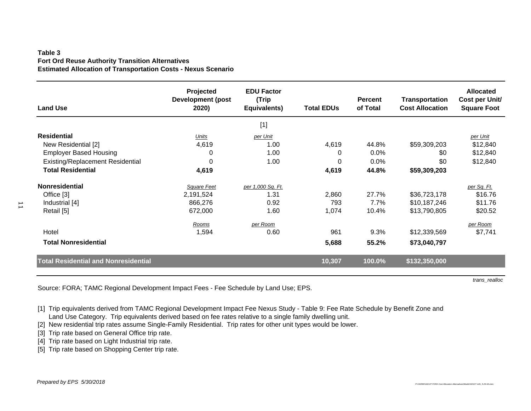### **Table 3Fort Ord Reuse Authority Transition Alternatives Estimated Allocation of Transportation Costs - Nexus Scenario**

| <b>Land Use</b>                             | Projected<br><b>Development (post</b><br>2020) | <b>EDU Factor</b><br>(Trip<br>Equivalents) | <b>Total EDUs</b> | <b>Percent</b><br>of Total | <b>Transportation</b><br><b>Cost Allocation</b> | <b>Allocated</b><br>Cost per Unit/<br><b>Square Foot</b> |
|---------------------------------------------|------------------------------------------------|--------------------------------------------|-------------------|----------------------------|-------------------------------------------------|----------------------------------------------------------|
|                                             |                                                | $[1]$                                      |                   |                            |                                                 |                                                          |
| <b>Residential</b>                          | Units                                          | per Unit                                   |                   |                            |                                                 | per Unit                                                 |
| New Residential [2]                         | 4,619                                          | 1.00                                       | 4,619             | 44.8%                      | \$59,309,203                                    | \$12,840                                                 |
| <b>Employer Based Housing</b>               | 0                                              | 1.00                                       | 0                 | 0.0%                       | \$0                                             | \$12,840                                                 |
| <b>Existing/Replacement Residential</b>     | 0                                              | 1.00                                       | 0                 | $0.0\%$                    | \$0                                             | \$12,840                                                 |
| <b>Total Residential</b>                    | 4,619                                          |                                            | 4,619             | 44.8%                      | \$59,309,203                                    |                                                          |
| <b>Nonresidential</b>                       | Square Feet                                    | per 1,000 Sq. Ft.                          |                   |                            |                                                 | per Sq. Ft.                                              |
| Office [3]                                  | 2,191,524                                      | 1.31                                       | 2,860             | 27.7%                      | \$36,723,178                                    | \$16.76                                                  |
| Industrial [4]                              | 866,276                                        | 0.92                                       | 793               | 7.7%                       | \$10,187,246                                    | \$11.76                                                  |
| Retail [5]                                  | 672,000                                        | 1.60                                       | 1,074             | 10.4%                      | \$13,790,805                                    | \$20.52                                                  |
|                                             | Rooms                                          | per Room                                   |                   |                            |                                                 | per Room                                                 |
| Hotel                                       | 1,594                                          | 0.60                                       | 961               | 9.3%                       | \$12,339,569                                    | \$7,741                                                  |
| <b>Total Nonresidential</b>                 |                                                |                                            | 5,688             | 55.2%                      | \$73,040,797                                    |                                                          |
| <b>Total Residential and Nonresidential</b> |                                                |                                            | 10,307            | 100.0%                     | \$132,350,000                                   |                                                          |

Source: FORA; TAMC Regional Development Impact Fees - Fee Schedule by Land Use; EPS.

[1] Trip equivalents derived from TAMC Regional Development Impact Fee Nexus Study - Table 9: Fee Rate Schedule by Benefit Zone and Land Use Category. Trip equivalents derived based on fee rates relative to a single family dwelling unit.

[2] New residential trip rates assume Single-Family Residential. Trip rates for other unit types would be lower.

[3] Trip rate based on General Office trip rate.

[4] Trip rate based on Light Industrial trip rate.

[5] Trip rate based on Shopping Center trip rate.

*trans\_realloc*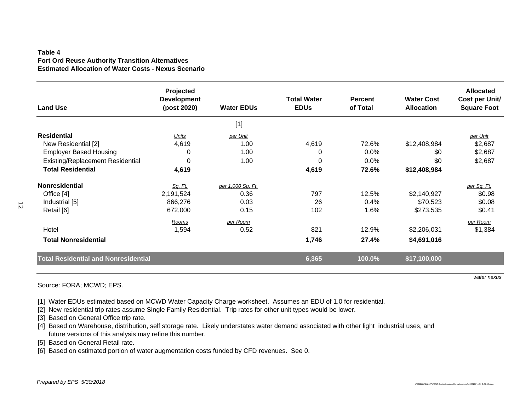### **Table 4Fort Ord Reuse Authority Transition Alternatives Estimated Allocation of Water Costs - Nexus Scenario**

| <b>Land Use</b>                             | Projected<br><b>Development</b><br>(post 2020) | <b>Water EDUs</b> | <b>Total Water</b><br><b>EDUs</b> | <b>Percent</b><br>of Total | <b>Water Cost</b><br><b>Allocation</b> | <b>Allocated</b><br>Cost per Unit/<br><b>Square Foot</b> |
|---------------------------------------------|------------------------------------------------|-------------------|-----------------------------------|----------------------------|----------------------------------------|----------------------------------------------------------|
|                                             |                                                | $[1]$             |                                   |                            |                                        |                                                          |
| <b>Residential</b>                          | Units                                          | per Unit          |                                   |                            |                                        | per Unit                                                 |
| New Residential [2]                         | 4,619                                          | 1.00              | 4,619                             | 72.6%                      | \$12,408,984                           | \$2,687                                                  |
| <b>Employer Based Housing</b>               | 0                                              | 1.00              | 0                                 | 0.0%                       | \$0                                    | \$2,687                                                  |
| <b>Existing/Replacement Residential</b>     | 0                                              | 1.00              | $\Omega$                          | 0.0%                       | \$0                                    | \$2,687                                                  |
| <b>Total Residential</b>                    | 4,619                                          |                   | 4,619                             | 72.6%                      | \$12,408,984                           |                                                          |
| <b>Nonresidential</b>                       | <u>Sq. Ft.</u>                                 | per 1,000 Sq. Ft. |                                   |                            |                                        | per Sq. Ft.                                              |
| Office [4]                                  | 2,191,524                                      | 0.36              | 797                               | 12.5%                      | \$2,140,927                            | \$0.98                                                   |
| Industrial [5]                              | 866,276                                        | 0.03              | 26                                | 0.4%                       | \$70,523                               | \$0.08                                                   |
| Retail [6]                                  | 672,000                                        | 0.15              | 102                               | 1.6%                       | \$273,535                              | \$0.41                                                   |
|                                             | Rooms                                          | per Room          |                                   |                            |                                        | per Room                                                 |
| Hotel                                       | 1,594                                          | 0.52              | 821                               | 12.9%                      | \$2,206,031                            | \$1,384                                                  |
| <b>Total Nonresidential</b>                 |                                                |                   | 1,746                             | 27.4%                      | \$4,691,016                            |                                                          |
| <b>Total Residential and Nonresidential</b> |                                                |                   | 6,365                             | 100.0%                     | \$17,100,000                           |                                                          |

 $\overline{2}$ 

Source: FORA; MCWD; EPS.

*water nexus*

[1] Water EDUs estimated based on MCWD Water Capacity Charge worksheet. Assumes an EDU of 1.0 for residential.

[2] New residential trip rates assume Single Family Residential. Trip rates for other unit types would be lower.

[3] Based on General Office trip rate.

[4] Based on Warehouse, distribution, self storage rate. Likely understates water demand associated with other light industrial uses, and future versions of this analysis may refine this number.

[5] Based on General Retail rate.

[6] Based on estimated portion of water augmentation costs funded by CFD revenues. See 0.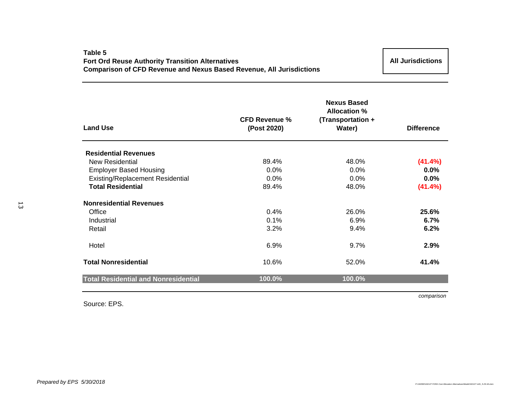### **Table 5Fort Ord Reuse Authority Transition Alternatives Comparison of CFD Revenue and Nexus Based Revenue, All Jurisdictions**

**All Jurisdictions**

| <b>Land Use</b>                             | <b>CFD Revenue %</b><br>(Post 2020) | <b>Nexus Based</b><br><b>Allocation %</b><br>(Transportation +<br>Water) | <b>Difference</b> |
|---------------------------------------------|-------------------------------------|--------------------------------------------------------------------------|-------------------|
|                                             |                                     |                                                                          |                   |
| <b>Residential Revenues</b>                 |                                     |                                                                          |                   |
| New Residential                             | 89.4%                               | 48.0%                                                                    | $(41.4\%)$        |
| <b>Employer Based Housing</b>               | 0.0%                                | 0.0%                                                                     | $0.0\%$           |
| Existing/Replacement Residential            | 0.0%                                | 0.0%                                                                     | $0.0\%$           |
| <b>Total Residential</b>                    | 89.4%                               | 48.0%                                                                    | (41.4%)           |
| <b>Nonresidential Revenues</b>              |                                     |                                                                          |                   |
| Office                                      | 0.4%                                | 26.0%                                                                    | 25.6%             |
| Industrial                                  | 0.1%                                | 6.9%                                                                     | 6.7%              |
| Retail                                      | 3.2%                                | 9.4%                                                                     | 6.2%              |
| Hotel                                       | 6.9%                                | 9.7%                                                                     | 2.9%              |
| <b>Total Nonresidential</b>                 | 10.6%                               | 52.0%                                                                    | 41.4%             |
| <b>Total Residential and Nonresidential</b> | 100.0%                              | 100.0%                                                                   |                   |

Source: EPS.

*comparison*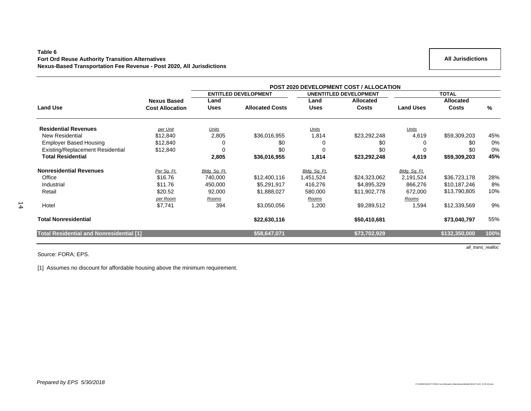### **Table 6 Fort Ord Reuse Authority Transition Alternatives Nexus-Based Transportation Fee Revenue - Post 2020, All Jurisdictions**

|                                                 |                        | <b>POST 2020 DEVELOPMENT COST / ALLOCATION</b> |                             |               |                               |                  |                  |       |  |  |
|-------------------------------------------------|------------------------|------------------------------------------------|-----------------------------|---------------|-------------------------------|------------------|------------------|-------|--|--|
|                                                 |                        |                                                | <b>ENTITLED DEVELOPMENT</b> |               | <b>UNENTITLED DEVELOPMENT</b> |                  | <b>TOTAL</b>     |       |  |  |
|                                                 | <b>Nexus Based</b>     | Land                                           |                             | Land          | <b>Allocated</b>              |                  | <b>Allocated</b> |       |  |  |
| <b>Land Use</b>                                 | <b>Cost Allocation</b> | Uses                                           | <b>Allocated Costs</b>      | <b>Uses</b>   | <b>Costs</b>                  | <b>Land Uses</b> | Costs            | %     |  |  |
| <b>Residential Revenues</b>                     | per Unit               | Units                                          |                             | Units         |                               | <u>Units</u>     |                  |       |  |  |
| <b>New Residential</b>                          | \$12,840               | 2,805                                          | \$36,016,955                | 1,814         | \$23,292,248                  | 4,619            | \$59,309,203     | 45%   |  |  |
| <b>Employer Based Housing</b>                   | \$12,840               |                                                | \$0                         |               | \$0                           | 0                | \$0              | 0%    |  |  |
| Existing/Replacement Residential                | \$12,840               | 0                                              | \$0                         | 0             | \$0                           | $\Omega$         | \$0              | $0\%$ |  |  |
| <b>Total Residential</b>                        |                        | 2,805                                          | \$36,016,955                | 1,814         | \$23,292,248                  | 4,619            | \$59,309,203     | 45%   |  |  |
| <b>Nonresidential Revenues</b>                  | Per Sq. Ft.            | Bldg. Sq. Ft.                                  |                             | Bldg. Sq. Ft. |                               | Bldg. Sq. Ft.    |                  |       |  |  |
| Office                                          | \$16.76                | 740,000                                        | \$12,400,116                | 1,451,524     | \$24,323,062                  | 2,191,524        | \$36,723,178     | 28%   |  |  |
| Industrial                                      | \$11.76                | 450,000                                        | \$5,291,917                 | 416,276       | \$4,895,329                   | 866,276          | \$10,187,246     | 8%    |  |  |
| Retail                                          | \$20.52                | 92,000                                         | \$1,888,027                 | 580,000       | \$11,902,778                  | 672,000          | \$13,790,805     | 10%   |  |  |
|                                                 | per Room               | Rooms                                          |                             | Rooms         |                               | Rooms            |                  |       |  |  |
| Hotel                                           | \$7,741                | 394                                            | \$3,050,056                 | 1,200         | \$9,289,512                   | 1,594            | \$12,339,569     | 9%    |  |  |
| <b>Total Nonresidential</b>                     |                        |                                                | \$22,630,116                |               | \$50,410,681                  |                  | \$73,040,797     | 55%   |  |  |
| <b>Total Residential and Nonresidential [1]</b> |                        |                                                | \$58,647,071                |               | \$73,702,929                  |                  | \$132,350,000    | 100%  |  |  |

Source: FORA; EPS.

[1] Assumes no discount for affordable housing above the minimum requirement.

*all\_trans\_realloc*

 **All Jurisdictions**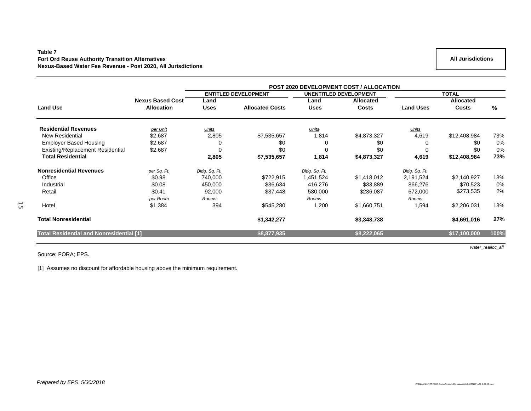### **Table 7 Fort Ord Reuse Authority Transition Alternatives Nexus-Based Water Fee Revenue - Post 2020, All Jurisdictions**

|                                                 |                         | POST 2020 DEVELOPMENT COST / ALLOCATION |                             |               |                               |                  |              |      |  |  |
|-------------------------------------------------|-------------------------|-----------------------------------------|-----------------------------|---------------|-------------------------------|------------------|--------------|------|--|--|
|                                                 |                         |                                         | <b>ENTITLED DEVELOPMENT</b> |               | <b>UNENTITLED DEVELOPMENT</b> |                  | <b>TOTAL</b> |      |  |  |
|                                                 | <b>Nexus Based Cost</b> | Land                                    |                             | Land          | Allocated                     |                  | Allocated    |      |  |  |
| <b>Land Use</b>                                 | <b>Allocation</b>       | <b>Uses</b>                             | <b>Allocated Costs</b>      | <b>Uses</b>   | <b>Costs</b>                  | <b>Land Uses</b> | <b>Costs</b> | $\%$ |  |  |
| <b>Residential Revenues</b>                     | per Unit                | Units                                   |                             | Units         |                               | Units            |              |      |  |  |
| <b>New Residential</b>                          | \$2,687                 | 2,805                                   | \$7,535,657                 | 1,814         | \$4,873,327                   | 4,619            | \$12,408,984 | 73%  |  |  |
| <b>Employer Based Housing</b>                   | \$2,687                 |                                         | \$0                         | 0             | \$0                           |                  | \$0          | 0%   |  |  |
| <b>Existing/Replacement Residential</b>         | \$2,687                 |                                         | \$0                         | 0             | \$0                           | $\Omega$         | \$0          | 0%   |  |  |
| <b>Total Residential</b>                        |                         | 2,805                                   | \$7,535,657                 | 1,814         | \$4,873,327                   | 4,619            | \$12,408,984 | 73%  |  |  |
| <b>Nonresidential Revenues</b>                  | per Sq. Ft.             | Bldg. Sq. Ft.                           |                             | Bldg. Sq. Ft. |                               | Bldg. Sq. Ft.    |              |      |  |  |
| Office                                          | \$0.98                  | 740,000                                 | \$722,915                   | 1,451,524     | \$1,418,012                   | 2,191,524        | \$2,140,927  | 13%  |  |  |
| Industrial                                      | \$0.08                  | 450,000                                 | \$36,634                    | 416,276       | \$33,889                      | 866,276          | \$70,523     | 0%   |  |  |
| Retail                                          | \$0.41                  | 92,000                                  | \$37,448                    | 580,000       | \$236,087                     | 672,000          | \$273,535    | 2%   |  |  |
|                                                 | per Room                | Rooms                                   |                             | Rooms         |                               | Rooms            |              |      |  |  |
| Hotel                                           | \$1,384                 | 394                                     | \$545,280                   | 1,200         | \$1,660,751                   | 1,594            | \$2,206,031  | 13%  |  |  |
| <b>Total Nonresidential</b>                     |                         |                                         | \$1,342,277                 |               | \$3,348,738                   |                  | \$4,691,016  | 27%  |  |  |
| <b>Total Residential and Nonresidential [1]</b> |                         |                                         | \$8,877,935                 |               | \$8,222,065                   |                  | \$17,100,000 | 100% |  |  |

Source: FORA; EPS.

 $\overline{5}$ 

[1] Assumes no discount for affordable housing above the minimum requirement.

 **All Jurisdictions** 

*water\_realloc\_all*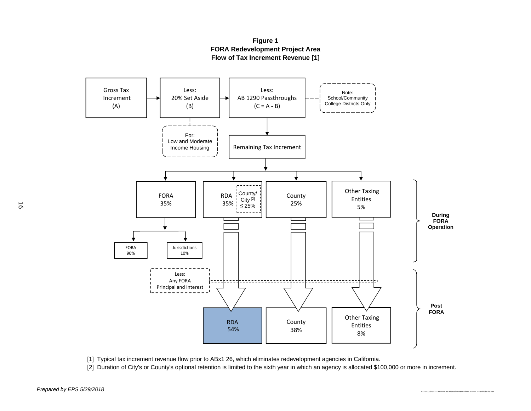

**Figure 1 Flow of Tax Increment Revenue [1] FORA Redevelopment Project Area**

[1] Typical tax increment revenue flow prior to ABx1 26, which eliminates redevelopment agencies in California.

[2] Duration of City's or County's optional retention is limited to the sixth year in which an agency is allocated \$100,000 or more in increment.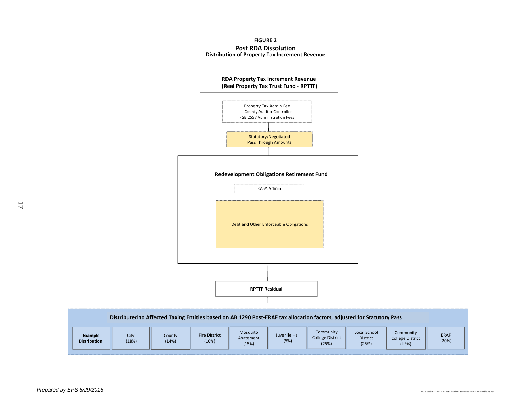#### **FIGURE 2 Post RDA Dissolution Distribution of Property Tax Increment Revenue**

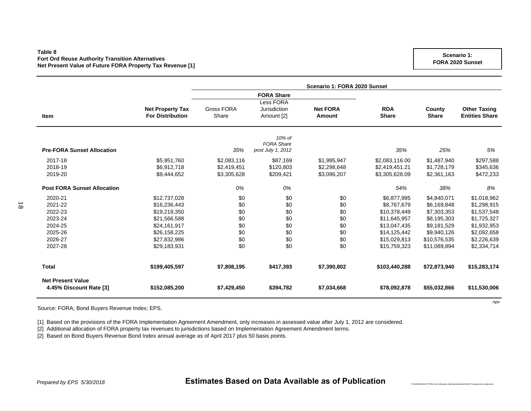### **Table 8Fort Ord Reuse Authority Transition Alternatives Net Present Value of Future FORA Property Tax Revenue [1]**

|                                    |                         | Scenario 1: FORA 2020 Sunset |                   |                 |                |              |                       |  |  |  |
|------------------------------------|-------------------------|------------------------------|-------------------|-----------------|----------------|--------------|-----------------------|--|--|--|
|                                    |                         |                              | <b>FORA Share</b> |                 |                |              |                       |  |  |  |
|                                    |                         |                              | Less FORA         |                 |                |              |                       |  |  |  |
|                                    | <b>Net Property Tax</b> | Gross FORA                   | Jurisdiction      | <b>Net FORA</b> | <b>RDA</b>     | County       | <b>Other Taxing</b>   |  |  |  |
| <b>Item</b>                        | <b>For Distribution</b> | Share                        | Amount [2]        | <b>Amount</b>   | <b>Share</b>   | <b>Share</b> | <b>Entities Share</b> |  |  |  |
|                                    |                         |                              | 10% of            |                 |                |              |                       |  |  |  |
|                                    |                         |                              | <b>FORA Share</b> |                 |                |              |                       |  |  |  |
| <b>Pre-FORA Sunset Allocation</b>  |                         | 35%                          | post July 1, 2012 |                 | 35%            | 25%          | 5%                    |  |  |  |
| 2017-18                            | \$5,951,760             | \$2,083,116                  | \$87,169          | \$1,995,947     | \$2,083,116.00 | \$1,487,940  | \$297,588             |  |  |  |
| 2018-19                            | \$6,912,718             | \$2,419,451                  | \$120,803         | \$2,298,648     | \$2,419,451.21 | \$1,728,179  | \$345,636             |  |  |  |
| 2019-20                            | \$9,444,652             | \$3,305,628                  | \$209,421         | \$3,096,207     | \$3,305,628.09 | \$2,361,163  | \$472,233             |  |  |  |
| <b>Post FORA Sunset Allocation</b> |                         | 0%                           | 0%                |                 | 54%            | 38%          | 8%                    |  |  |  |
| 2020-21                            | \$12,737,028            | \$0                          | \$0               | \$0             | \$6,877,995    | \$4,840,071  | \$1,018,962           |  |  |  |
| 2021-22                            | \$16,236,443            | \$0                          | \$0               | \$0             | \$8,767,679    | \$6,169,848  | \$1,298,915           |  |  |  |
| 2022-23                            | \$19,219,350            | \$0                          | \$0               | \$0             | \$10,378,449   | \$7,303,353  | \$1,537,548           |  |  |  |
| 2023-24                            | \$21,566,588            | \$0                          | \$0               | \$0             | \$11,645,957   | \$8,195,303  | \$1,725,327           |  |  |  |
| 2024-25                            | \$24,161,917            | \$0                          | \$0               | \$0             | \$13,047,435   | \$9,181,529  | \$1,932,953           |  |  |  |
| 2025-26                            | \$26,158,225            | \$0                          | \$0               | \$0             | \$14,125,442   | \$9,940,126  | \$2,092,658           |  |  |  |
| 2026-27                            | \$27,832,986            | \$0                          | \$0               | \$0             | \$15,029,813   | \$10,576,535 | \$2,226,639           |  |  |  |
| 2027-28                            | \$29,183,931            | \$0                          | \$0               | \$0             | \$15,759,323   | \$11,089,894 | \$2,334,714           |  |  |  |
| <b>Total</b>                       | \$199,405,597           | \$7,808,195                  | \$417,393         | \$7,390,802     | \$103,440,288  | \$72,873,940 | \$15,283,174          |  |  |  |
| <b>Net Present Value</b>           |                         |                              |                   |                 |                |              |                       |  |  |  |
| 4.45% Discount Rate [3]            | \$152,085,200           | \$7,429,450                  | \$394,782         | \$7,034,668     | \$78,092,878   | \$55,032,866 | \$11,530,006          |  |  |  |

Source: FORA; Bond Buyers Revenue Index; EPS.

[1] Based on the provisions of the FORA Implementation Agreement Amendment, only increases in assessed value after July 1, 2012 are considered.

[2] Additional allocation of FORA property tax revenues to jurisdictions based on Implementation Agreement Amendment terms.

[2] Based on Bond Buyers Revenue Bond Index annual average as of April 2017 plus 50 basis points.

*npv*

*P:\162000\162127 FORA Cost Allocation Alternatives\Model\162127 property tax model.xlsm*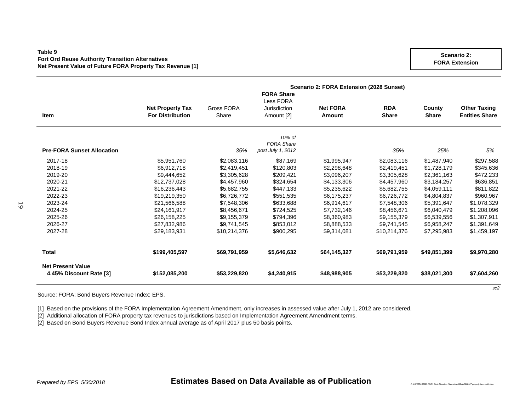### **Table 9Fort Ord Reuse Authority Transition Alternatives Net Present Value of Future FORA Property Tax Revenue [1]**

|                                                     |                         |                   | Scenario 2: FORA Extension (2028 Sunset) |                 |              |              |                       |  |
|-----------------------------------------------------|-------------------------|-------------------|------------------------------------------|-----------------|--------------|--------------|-----------------------|--|
|                                                     |                         |                   | <b>FORA Share</b>                        |                 |              |              |                       |  |
|                                                     |                         |                   | Less FORA                                |                 |              |              |                       |  |
|                                                     | <b>Net Property Tax</b> | <b>Gross FORA</b> | Jurisdiction                             | <b>Net FORA</b> | <b>RDA</b>   | County       | <b>Other Taxing</b>   |  |
| <b>Item</b>                                         | <b>For Distribution</b> | Share             | Amount [2]                               | <b>Amount</b>   | <b>Share</b> | <b>Share</b> | <b>Entities Share</b> |  |
|                                                     |                         |                   | 10% of                                   |                 |              |              |                       |  |
|                                                     |                         |                   | <b>FORA Share</b>                        |                 |              |              |                       |  |
| <b>Pre-FORA Sunset Allocation</b>                   |                         | 35%               | post July 1, 2012                        |                 | 35%          | 25%          | 5%                    |  |
| 2017-18                                             | \$5,951,760             | \$2,083,116       | \$87,169                                 | \$1,995,947     | \$2,083,116  | \$1,487,940  | \$297,588             |  |
| 2018-19                                             | \$6,912,718             | \$2,419,451       | \$120,803                                | \$2,298,648     | \$2,419,451  | \$1,728,179  | \$345,636             |  |
| 2019-20                                             | \$9,444,652             | \$3,305,628       | \$209,421                                | \$3,096,207     | \$3,305,628  | \$2,361,163  | \$472,233             |  |
| 2020-21                                             | \$12,737,028            | \$4,457,960       | \$324,654                                | \$4,133,306     | \$4,457,960  | \$3,184,257  | \$636,851             |  |
| 2021-22                                             | \$16,236,443            | \$5,682,755       | \$447,133                                | \$5,235,622     | \$5,682,755  | \$4,059,111  | \$811,822             |  |
| 2022-23                                             | \$19,219,350            | \$6,726,772       | \$551,535                                | \$6,175,237     | \$6,726,772  | \$4,804,837  | \$960,967             |  |
| 2023-24                                             | \$21,566,588            | \$7,548,306       | \$633,688                                | \$6.914.617     | \$7,548,306  | \$5,391,647  | \$1,078,329           |  |
| 2024-25                                             | \$24,161,917            | \$8,456,671       | \$724,525                                | \$7,732,146     | \$8,456,671  | \$6,040,479  | \$1,208,096           |  |
| 2025-26                                             | \$26,158,225            | \$9,155,379       | \$794,396                                | \$8,360,983     | \$9,155,379  | \$6,539,556  | \$1,307,911           |  |
| 2026-27                                             | \$27,832,986            | \$9,741,545       | \$853,012                                | \$8,888,533     | \$9,741,545  | \$6,958,247  | \$1,391,649           |  |
| 2027-28                                             | \$29,183,931            | \$10,214,376      | \$900,295                                | \$9,314,081     | \$10,214,376 | \$7,295,983  | \$1,459,197           |  |
| <b>Total</b>                                        | \$199,405,597           | \$69,791,959      | \$5,646,632                              | \$64,145,327    | \$69,791,959 | \$49,851,399 | \$9,970,280           |  |
| <b>Net Present Value</b><br>4.45% Discount Rate [3] | \$152,085,200           | \$53,229,820      | \$4,240,915                              | \$48,988,905    | \$53,229,820 | \$38,021,300 | \$7,604,260           |  |
|                                                     |                         |                   |                                          |                 |              |              | sc2                   |  |

Source: FORA; Bond Buyers Revenue Index; EPS.

[1] Based on the provisions of the FORA Implementation Agreement Amendment, only increases in assessed value after July 1, 2012 are considered.

[2] Additional allocation of FORA property tax revenues to jurisdictions based on Implementation Agreement Amendment terms.

[2] Based on Bond Buyers Revenue Bond Index annual average as of April 2017 plus 50 basis points.

*Prepared by EPS 5/30/2018* **Estimates Based on Data Available as of Publication**

*P:\162000\162127 FORA Cost Allocation Alternatives\Model\162127 property tax model.xlsm*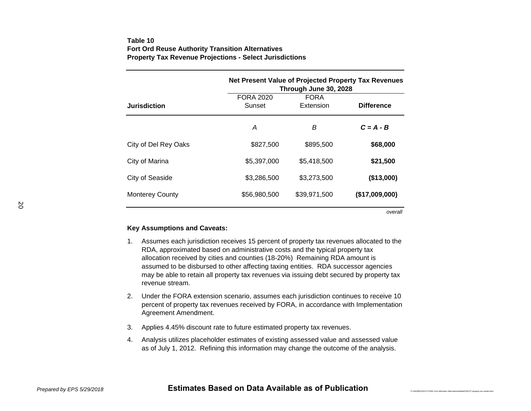### **Table 10Fort Ord Reuse Authority Transition Alternatives Property Tax Revenue Projections - Select Jurisdictions**

|                        | Net Present Value of Projected Property Tax Revenues<br>Through June 30, 2028 |                          |                   |  |  |  |  |
|------------------------|-------------------------------------------------------------------------------|--------------------------|-------------------|--|--|--|--|
| <b>Jurisdiction</b>    | <b>FORA 2020</b><br>Sunset                                                    | <b>FORA</b><br>Extension | <b>Difference</b> |  |  |  |  |
|                        | А                                                                             | B                        | $C = A - B$       |  |  |  |  |
| City of Del Rey Oaks   | \$827,500                                                                     | \$895,500                | \$68,000          |  |  |  |  |
| City of Marina         | \$5.397.000                                                                   | \$5,418,500              | \$21,500          |  |  |  |  |
| City of Seaside        | \$3,286,500                                                                   | \$3,273,500              | (\$13,000)        |  |  |  |  |
| <b>Monterey County</b> | \$56,980,500                                                                  | \$39,971,500             | (\$17,009,000)    |  |  |  |  |

*overall*

### **Key Assumptions and Caveats:**

- 1. Assumes each jurisdiction receives 15 percent of property tax revenues allocated to the RDA, approximated based on administrative costs and the typical property tax allocation received by cities and counties (18-20%) Remaining RDA amount is assumed to be disbursed to other affecting taxing entities. RDA successor agencies may be able to retain all property tax revenues via issuing debt secured by property tax revenue stream.
- 2. Under the FORA extension scenario, assumes each jurisdiction continues to receive 10 percent of property tax revenues received by FORA, in accordance with Implementation Agreement Amendment.
- 3. Applies 4.45% discount rate to future estimated property tax revenues.
- 4. Analysis utilizes placeholder estimates of existing assessed value and assessed value as of July 1, 2012. Refining this information may change the outcome of the analysis.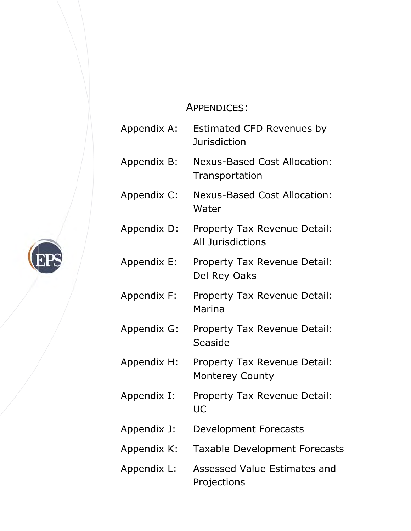# A APPENDIC CES:

Append dix A: Append dix B: Append dix C: Append dix D: Append dix E: Append dix F: Append dix G: Append dix H: Append dix I: Append dix J: Append dix K: Append dix L: Estimated CFD Revenues by Jurisdiction Nexus-Based Cost Allocation: Transportation Nexus-Based Cost Allocation: Water Property Tax Revenue Detail: All Jurisd dictions Property Tax Revenue Detail: Del Rey Oaks Property Tax Revenue Detail: Marina Property Tax Revenue Detail: Seaside Property Tax Revenue Detail: Monterey County Property Tax Revenue Detail: UC Development Forecasts Taxable Development Forecasts Assessed Value Estimates and Projections

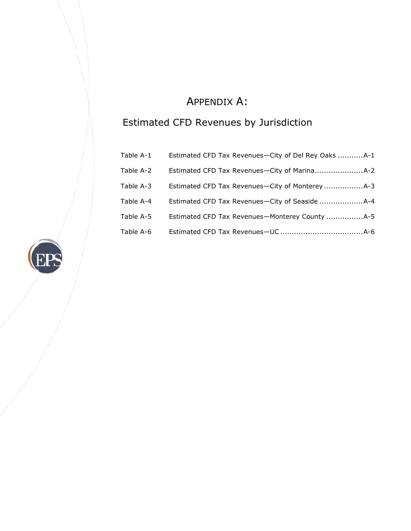# A APPENDIX X A:

# Estimated CFD Revenues by Jurisdiction

| Table A-1 |  |
|-----------|--|
| Table A-2 |  |
| Table A-3 |  |
| Table A-4 |  |
| Table A-5 |  |
| Table A-6 |  |

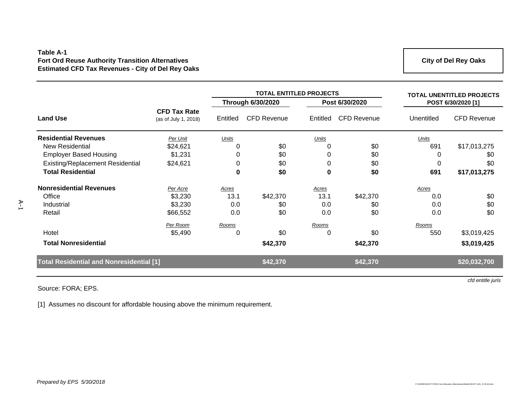### **Table A-1 Fort Ord Reuse Authority Transition Alternatives Estimated CFD Tax Revenues - City of Del Rey Oaks**

**City of Del Rey Oaks**

|                                                 |                                             |              | <b>TOTAL ENTITLED PROJECTS</b> |              |                    | <b>TOTAL UNENTITLED PROJECTS</b> |                    |
|-------------------------------------------------|---------------------------------------------|--------------|--------------------------------|--------------|--------------------|----------------------------------|--------------------|
|                                                 |                                             |              | Through 6/30/2020              |              | Post 6/30/2020     |                                  | POST 6/30/2020 [1] |
| <b>Land Use</b>                                 | <b>CFD Tax Rate</b><br>(as of July 1, 2018) | Entitled     | <b>CFD Revenue</b>             | Entitled     | <b>CFD Revenue</b> | Unentitled                       | <b>CFD Revenue</b> |
| <b>Residential Revenues</b>                     | Per Unit                                    | <b>Units</b> |                                | <b>Units</b> |                    | <b>Units</b>                     |                    |
| <b>New Residential</b>                          | \$24,621                                    | 0            | \$0                            | 0            | \$0                | 691                              | \$17,013,275       |
| <b>Employer Based Housing</b>                   | \$1,231                                     | 0            | \$0                            | 0            | \$0                | 0                                | \$0                |
| Existing/Replacement Residential                | \$24,621                                    | 0            | \$0                            | 0            | \$0                | 0                                | \$0                |
| <b>Total Residential</b>                        |                                             | $\bf{0}$     | \$0                            | 0            | \$0                | 691                              | \$17,013,275       |
| <b>Nonresidential Revenues</b>                  | Per Acre                                    | Acres        |                                | Acres        |                    | Acres                            |                    |
| Office                                          | \$3,230                                     | 13.1         | \$42,370                       | 13.1         | \$42,370           | 0.0                              | \$0                |
| Industrial                                      | \$3,230                                     | 0.0          | \$0                            | 0.0          | \$0                | 0.0                              | \$0                |
| Retail                                          | \$66,552                                    | 0.0          | \$0                            | 0.0          | \$0                | 0.0                              | \$0                |
|                                                 | Per Room                                    | Rooms        |                                | Rooms        |                    | Rooms                            |                    |
| Hotel                                           | \$5,490                                     | 0            | \$0                            | 0            | \$0                | 550                              | \$3,019,425        |
| <b>Total Nonresidential</b>                     |                                             |              | \$42,370                       |              | \$42,370           |                                  | \$3,019,425        |
| <b>Total Residential and Nonresidential [1]</b> |                                             |              | \$42,370                       |              | \$42,370           |                                  | \$20,032,700       |
|                                                 |                                             |              |                                |              |                    |                                  |                    |

Source: FORA; EPS.

[1] Assumes no discount for affordable housing above the minimum requirement.

*cfd entitle juris*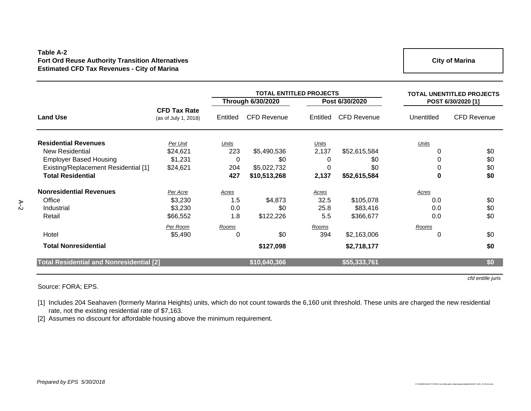### **Table A-2 Fort Ord Reuse Authority Transition Alternatives Estimated CFD Tax Revenues - City of Marina**

**City of Marina**

|                                                 |                                             |             | <b>TOTAL ENTITLED PROJECTS</b> |                |                    | <b>TOTAL UNENTITLED PROJECTS</b> |                    |
|-------------------------------------------------|---------------------------------------------|-------------|--------------------------------|----------------|--------------------|----------------------------------|--------------------|
|                                                 |                                             |             | <b>Through 6/30/2020</b>       | Post 6/30/2020 |                    | POST 6/30/2020 [1]               |                    |
| <b>Land Use</b>                                 | <b>CFD Tax Rate</b><br>(as of July 1, 2018) | Entitled    | <b>CFD Revenue</b>             | Entitled       | <b>CFD Revenue</b> | Unentitled                       | <b>CFD Revenue</b> |
| <b>Residential Revenues</b>                     | Per Unit                                    | Units       |                                | Units          |                    | Units                            |                    |
| New Residential                                 | \$24,621                                    | 223         | \$5,490,536                    | 2,137          | \$52,615,584       |                                  | \$0                |
| <b>Employer Based Housing</b>                   | \$1,231                                     | $\mathbf 0$ | \$0                            | O              | \$0                |                                  | \$0                |
| Existing/Replacement Residential [1]            | \$24,621                                    | 204         | \$5,022,732                    | 0              | \$0                |                                  | \$0                |
| <b>Total Residential</b>                        |                                             | 427         | \$10,513,268                   | 2,137          | \$52,615,584       | 0                                | \$0                |
| <b>Nonresidential Revenues</b>                  | Per Acre                                    | Acres       |                                | Acres          |                    | Acres                            |                    |
| Office                                          | \$3,230                                     | 1.5         | \$4,873                        | 32.5           | \$105,078          | 0.0                              | \$0                |
| Industrial                                      | \$3,230                                     | 0.0         | \$0                            | 25.8           | \$83,416           | 0.0                              | \$0                |
| Retail                                          | \$66,552                                    | 1.8         | \$122,226                      | 5.5            | \$366,677          | 0.0                              | \$0                |
|                                                 | Per Room                                    | Rooms       |                                | <u>Rooms</u>   |                    | Rooms                            |                    |
| Hotel                                           | \$5,490                                     | 0           | \$0                            | 394            | \$2,163,006        | $\Omega$                         | \$0                |
| <b>Total Nonresidential</b>                     |                                             |             | \$127,098                      |                | \$2,718,177        |                                  | \$0                |
| <b>Total Residential and Nonresidential [2]</b> |                                             |             | \$10,640,366                   |                | \$55,333,761       |                                  | \$0                |

Source: FORA; EPS.

A-2

*cfd entitle juris*

[1] Includes 204 Seahaven (formerly Marina Heights) units, which do not count towards the 6,160 unit threshold. These units are charged the new residential rate, not the existing residential rate of \$7,163.

[2] Assumes no discount for affordable housing above the minimum requirement.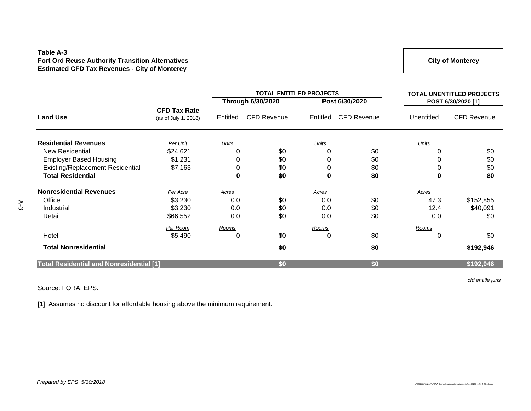### **Table A-3 Fort Ord Reuse Authority Transition Alternatives Estimated CFD Tax Revenues - City of Monterey**

**City of Monterey**

|                                                 |                                             |           | <b>TOTAL ENTITLED PROJECTS</b> |              |                    |            | <b>TOTAL UNENTITLED PROJECTS</b> |  |
|-------------------------------------------------|---------------------------------------------|-----------|--------------------------------|--------------|--------------------|------------|----------------------------------|--|
|                                                 |                                             |           | <b>Through 6/30/2020</b>       |              | Post 6/30/2020     |            | POST 6/30/2020 [1]               |  |
| <b>Land Use</b>                                 | <b>CFD Tax Rate</b><br>(as of July 1, 2018) | Entitled  | <b>CFD Revenue</b>             | Entitled     | <b>CFD Revenue</b> | Unentitled | <b>CFD Revenue</b>               |  |
| <b>Residential Revenues</b>                     | Per Unit                                    | Units     |                                | <b>Units</b> |                    | Units      |                                  |  |
| <b>New Residential</b>                          | \$24,621                                    |           | \$0                            | 0            | \$0                | 0          | \$0                              |  |
| <b>Employer Based Housing</b>                   | \$1,231                                     | 0         | \$0                            | 0            | \$0                | 0          | \$0                              |  |
| Existing/Replacement Residential                | \$7,163                                     | 0         | \$0                            | 0            | \$0                | 0          | \$0                              |  |
| <b>Total Residential</b>                        |                                             | $\pmb{0}$ | \$0                            | 0            | \$0                | $\bf{0}$   | \$0                              |  |
| <b>Nonresidential Revenues</b>                  | Per Acre                                    | Acres     |                                | Acres        |                    | Acres      |                                  |  |
| Office                                          | \$3,230                                     | 0.0       | \$0                            | 0.0          | \$0                | 47.3       | \$152,855                        |  |
| Industrial                                      | \$3,230                                     | 0.0       | \$0                            | 0.0          | \$0                | 12.4       | \$40,091                         |  |
| Retail                                          | \$66,552                                    | 0.0       | \$0                            | 0.0          | \$0                | 0.0        | \$0                              |  |
|                                                 | Per Room                                    | Rooms     |                                | Rooms        |                    | Rooms      |                                  |  |
| Hotel                                           | \$5,490                                     | 0         | \$0                            | 0            | \$0                | 0          | \$0                              |  |
| <b>Total Nonresidential</b>                     |                                             |           | \$0                            |              | \$0                |            | \$192,946                        |  |
| <b>Total Residential and Nonresidential [1]</b> |                                             |           | \$0                            |              | \$0                |            | \$192,946                        |  |
|                                                 |                                             |           |                                |              |                    |            | cfd entitle juris                |  |

### Source: FORA; EPS.

[1] Assumes no discount for affordable housing above the minimum requirement.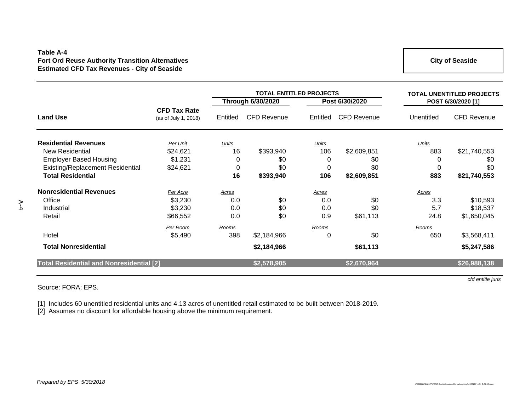### **Table A-4 Fort Ord Reuse Authority Transition Alternatives Estimated CFD Tax Revenues - City of Seaside**

**City of Seaside**

|                                                 |                                             |             | <b>TOTAL ENTITLED PROJECTS</b> |              |                    | <b>TOTAL UNENTITLED PROJECTS</b> |                    |
|-------------------------------------------------|---------------------------------------------|-------------|--------------------------------|--------------|--------------------|----------------------------------|--------------------|
|                                                 |                                             |             | <b>Through 6/30/2020</b>       |              | Post 6/30/2020     |                                  | POST 6/30/2020 [1] |
| <b>Land Use</b>                                 | <b>CFD Tax Rate</b><br>(as of July 1, 2018) | Entitled    | <b>CFD Revenue</b>             | Entitled     | <b>CFD Revenue</b> | Unentitled                       | <b>CFD Revenue</b> |
| <b>Residential Revenues</b>                     | Per Unit                                    | Units       |                                | <b>Units</b> |                    | Units                            |                    |
| <b>New Residential</b>                          | \$24,621                                    | 16          | \$393,940                      | 106          | \$2,609,851        | 883                              | \$21,740,553       |
| <b>Employer Based Housing</b>                   | \$1,231                                     | $\mathbf 0$ | \$0                            | 0            | \$0                | 0                                | \$0                |
| <b>Existing/Replacement Residential</b>         | \$24,621                                    | 0           | \$0                            | 0            | \$0                | 0                                | \$0                |
| <b>Total Residential</b>                        |                                             | 16          | \$393,940                      | 106          | \$2,609,851        | 883                              | \$21,740,553       |
| <b>Nonresidential Revenues</b>                  | Per Acre                                    | Acres       |                                | Acres        |                    | Acres                            |                    |
| Office                                          | \$3,230                                     | 0.0         | \$0                            | 0.0          | \$0                | 3.3                              | \$10,593           |
| Industrial                                      | \$3,230                                     | 0.0         | \$0                            | 0.0          | \$0                | 5.7                              | \$18,537           |
| Retail                                          | \$66,552                                    | 0.0         | \$0                            | 0.9          | \$61,113           | 24.8                             | \$1,650,045        |
|                                                 | Per Room                                    | Rooms       |                                | Rooms        |                    | <b>Rooms</b>                     |                    |
| Hotel                                           | \$5,490                                     | 398         | \$2,184,966                    | 0            | \$0                | 650                              | \$3,568,411        |
| <b>Total Nonresidential</b>                     |                                             |             | \$2,184,966                    |              | \$61,113           |                                  | \$5,247,586        |
| <b>Total Residential and Nonresidential [2]</b> |                                             |             | \$2,578,905                    |              | \$2,670,964        |                                  | \$26,988,138       |
|                                                 |                                             |             |                                |              |                    |                                  |                    |

Source: FORA; EPS.

[1] Includes 60 unentitled residential units and 4.13 acres of unentitled retail estimated to be built between 2018-2019.

[2] Assumes no discount for affordable housing above the minimum requirement.

*cfd entitle juris*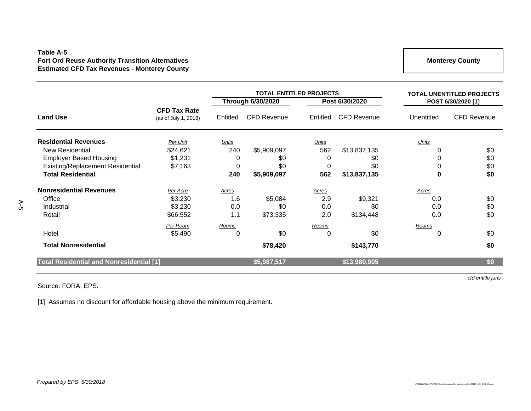### **Table A-5 Fort Ord Reuse Authority Transition Alternatives Estimated CFD Tax Revenues - Monterey County**

**Monterey County**

|                                                 |                                             |              | <b>TOTAL ENTITLED PROJECTS</b> |          |                    | <b>TOTAL UNENTITLED PROJECTS</b> |                    |
|-------------------------------------------------|---------------------------------------------|--------------|--------------------------------|----------|--------------------|----------------------------------|--------------------|
|                                                 |                                             |              | <b>Through 6/30/2020</b>       |          | Post 6/30/2020     |                                  | POST 6/30/2020 [1] |
| <b>Land Use</b>                                 | <b>CFD Tax Rate</b><br>(as of July 1, 2018) | Entitled     | <b>CFD Revenue</b>             | Entitled | <b>CFD Revenue</b> | Unentitled                       | <b>CFD Revenue</b> |
| <b>Residential Revenues</b>                     | Per Unit                                    | Units        |                                | Units    |                    | Units                            |                    |
| New Residential                                 | \$24,621                                    | 240          | \$5,909,097                    | 562      | \$13,837,135       |                                  | \$0                |
| <b>Employer Based Housing</b>                   | \$1,231                                     | $\mathbf 0$  | \$0                            | 0        | \$0                |                                  | \$0                |
| Existing/Replacement Residential                | \$7,163                                     | 0            | \$0                            | 0        | \$0                |                                  | \$0                |
| <b>Total Residential</b>                        |                                             | 240          | \$5,909,097                    | 562      | \$13,837,135       | 0                                | \$0                |
| <b>Nonresidential Revenues</b>                  | Per Acre                                    | Acres        |                                | Acres    |                    | Acres                            |                    |
| Office                                          | \$3,230                                     | 1.6          | \$5,084                        | 2.9      | \$9,321            | 0.0                              | \$0                |
| Industrial                                      | \$3,230                                     | 0.0          | \$0                            | 0.0      | \$0                | 0.0                              | \$0                |
| Retail                                          | \$66,552                                    | 1.1          | \$73,335                       | 2.0      | \$134,448          | 0.0                              | \$0                |
|                                                 | Per Room                                    | <u>Rooms</u> |                                | Rooms    |                    | Rooms                            |                    |
| Hotel                                           | \$5,490                                     | 0            | \$0                            | 0        | \$0                | $\Omega$                         | \$0                |
| <b>Total Nonresidential</b>                     |                                             |              | \$78,420                       |          | \$143,770          |                                  | \$0                |
| <b>Total Residential and Nonresidential [1]</b> |                                             |              | \$5,987,517                    |          | \$13,980,905       |                                  | \$0                |

### Source: FORA; EPS.

*cfd entitle juris*

[1] Assumes no discount for affordable housing above the minimum requirement.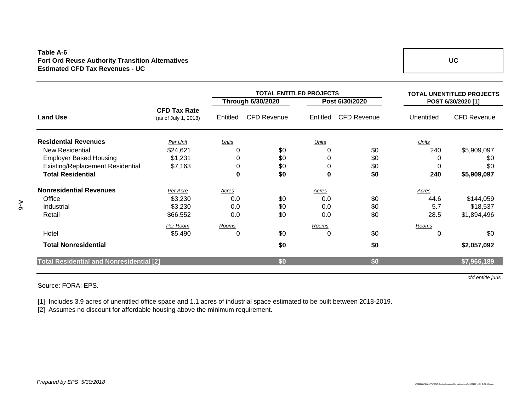### **Table A-6 Fort Ord Reuse Authority Transition Alternatives Estimated CFD Tax Revenues - UC**

|                                                 |                                             |              | <b>TOTAL ENTITLED PROJECTS</b> | <b>TOTAL UNENTITLED PROJECTS</b> |                    |                    |                    |
|-------------------------------------------------|---------------------------------------------|--------------|--------------------------------|----------------------------------|--------------------|--------------------|--------------------|
|                                                 |                                             |              | <b>Through 6/30/2020</b>       |                                  | Post 6/30/2020     | POST 6/30/2020 [1] |                    |
| <b>Land Use</b>                                 | <b>CFD Tax Rate</b><br>(as of July 1, 2018) | Entitled     | <b>CFD Revenue</b>             | Entitled                         | <b>CFD Revenue</b> | Unentitled         | <b>CFD Revenue</b> |
| <b>Residential Revenues</b>                     | Per Unit                                    | <b>Units</b> |                                | <b>Units</b>                     |                    | Units              |                    |
| New Residential                                 | \$24,621                                    |              | \$0                            | 0                                | \$0                | 240                | \$5,909,097        |
| <b>Employer Based Housing</b>                   | \$1,231                                     | 0            | \$0                            | 0                                | \$0                | 0                  | \$0                |
| Existing/Replacement Residential                | \$7,163                                     | 0            | \$0                            | 0                                | \$0                | 0                  | \$0                |
| <b>Total Residential</b>                        |                                             | $\pmb{0}$    | \$0                            | 0                                | \$0                | 240                | \$5,909,097        |
| <b>Nonresidential Revenues</b>                  | Per Acre                                    | <u>Acres</u> |                                | Acres                            |                    | <u>Acres</u>       |                    |
| Office                                          | \$3,230                                     | 0.0          | \$0                            | 0.0                              | \$0                | 44.6               | \$144,059          |
| Industrial                                      | \$3,230                                     | 0.0          | \$0                            | 0.0                              | \$0                | 5.7                | \$18,537           |
| Retail                                          | \$66,552                                    | 0.0          | \$0                            | 0.0                              | \$0                | 28.5               | \$1,894,496        |
|                                                 | Per Room                                    | Rooms        |                                | Rooms                            |                    | Rooms              |                    |
| Hotel                                           | \$5,490                                     | 0            | \$0                            | 0                                | \$0                | 0                  | \$0                |
| <b>Total Nonresidential</b>                     |                                             |              | \$0                            |                                  | \$0                |                    | \$2,057,092        |
| <b>Total Residential and Nonresidential [2]</b> |                                             |              | \$0                            |                                  | \$0                |                    | \$7,966,189        |
|                                                 |                                             |              |                                |                                  |                    |                    | cfd entitle juris  |

### Source: FORA; EPS.

[1] Includes 3.9 acres of unentitled office space and 1.1 acres of industrial space estimated to be built between 2018-2019.

[2] Assumes no discount for affordable housing above the minimum requirement.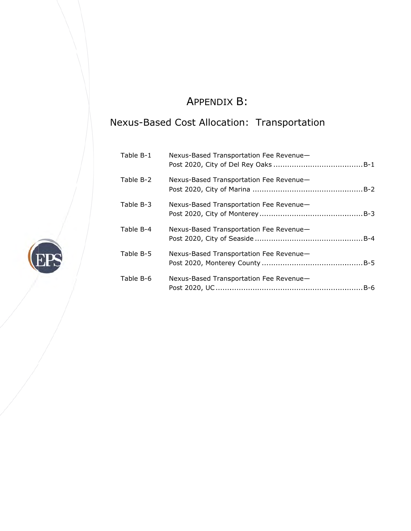# A APPENDIX X B:

# Nexus-Based Cost Allocation: Transportation

| Table B-1 | Nexus-Based Transportation Fee Revenue- |
|-----------|-----------------------------------------|
| Table B-2 | Nexus-Based Transportation Fee Revenue- |
| Table B-3 | Nexus-Based Transportation Fee Revenue- |
| Table B-4 | Nexus-Based Transportation Fee Revenue- |
| Table B-5 | Nexus-Based Transportation Fee Revenue- |
| Table B-6 | Nexus-Based Transportation Fee Revenue- |

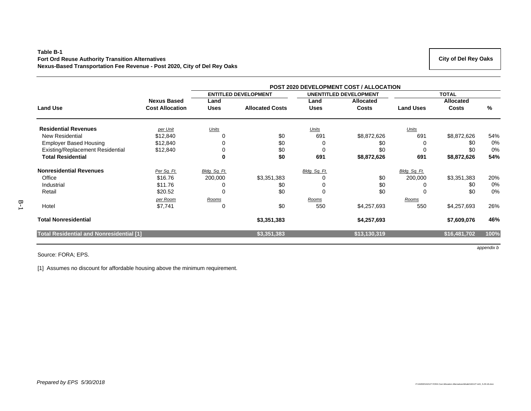### **Table B-1 Fort Ord Reuse Authority Transition Alternatives Nexus-Based Transportation Fee Revenue - Post 2020, City of Del Rey Oaks**

|                                                 |                        | <b>POST 2020 DEVELOPMENT COST / ALLOCATION</b> |                        |               |                               |                  |                  |      |  |
|-------------------------------------------------|------------------------|------------------------------------------------|------------------------|---------------|-------------------------------|------------------|------------------|------|--|
|                                                 |                        | <b>ENTITLED DEVELOPMENT</b>                    |                        |               | <b>UNENTITLED DEVELOPMENT</b> |                  | <b>TOTAL</b>     |      |  |
|                                                 | <b>Nexus Based</b>     | Land                                           |                        | Land          | Allocated                     |                  | <b>Allocated</b> |      |  |
| <b>Land Use</b>                                 | <b>Cost Allocation</b> | <b>Uses</b>                                    | <b>Allocated Costs</b> | <b>Uses</b>   | <b>Costs</b>                  | <b>Land Uses</b> | <b>Costs</b>     | ℅    |  |
| <b>Residential Revenues</b>                     | per Unit               | Units                                          |                        | Units         |                               | Units            |                  |      |  |
| <b>New Residential</b>                          | \$12,840               |                                                | \$0                    | 691           | \$8,872,626                   | 691              | \$8,872,626      | 54%  |  |
| <b>Employer Based Housing</b>                   | \$12,840               | 0                                              | \$0                    | 0             | \$0                           | 0                | \$0              | 0%   |  |
| Existing/Replacement Residential                | \$12,840               | $\Omega$                                       | \$0                    | 0             | \$0                           | 0                | \$0              | 0%   |  |
| <b>Total Residential</b>                        |                        | 0                                              | \$0                    | 691           | \$8,872,626                   | 691              | \$8,872,626      | 54%  |  |
| <b>Nonresidential Revenues</b>                  | Per Sq. Ft.            | Bldg. Sq. Ft.                                  |                        | Bldg. Sq. Ft. |                               | Bldg. Sq. Ft.    |                  |      |  |
| Office                                          | \$16.76                | 200,000                                        | \$3,351,383            | 0             | \$0                           | 200,000          | \$3,351,383      | 20%  |  |
| Industrial                                      | \$11.76                | 0                                              | \$0                    | 0             | \$0                           | 0                | \$0              | 0%   |  |
| Retail                                          | \$20.52                | 0                                              | \$0                    | 0             | \$0                           | 0                | \$0              | 0%   |  |
|                                                 | per Room               | Rooms                                          |                        | Rooms         |                               | Rooms            |                  |      |  |
| Hotel                                           | \$7,741                | 0                                              | \$0                    | 550           | \$4,257,693                   | 550              | \$4,257,693      | 26%  |  |
| <b>Total Nonresidential</b>                     |                        |                                                | \$3,351,383            |               | \$4,257,693                   |                  | \$7,609,076      | 46%  |  |
| <b>Total Residential and Nonresidential [1]</b> |                        |                                                | \$3,351,383            |               | \$13,130,319                  |                  | \$16,481,702     | 100% |  |

Source: FORA; EPS.

[1] Assumes no discount for affordable housing above the minimum requirement.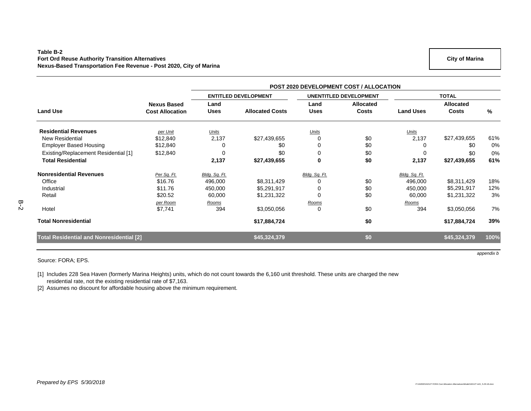### **Table B-2 Fort Ord Reuse Authority Transition Alternatives Nexus-Based Transportation Fee Revenue - Post 2020, City of Marina**

|                                                 |                        | <b>POST 2020 DEVELOPMENT COST / ALLOCATION</b> |                        |               |                               |                  |                  |      |  |  |
|-------------------------------------------------|------------------------|------------------------------------------------|------------------------|---------------|-------------------------------|------------------|------------------|------|--|--|
|                                                 |                        | <b>ENTITLED DEVELOPMENT</b>                    |                        |               | <b>UNENTITLED DEVELOPMENT</b> |                  | <b>TOTAL</b>     |      |  |  |
|                                                 | <b>Nexus Based</b>     | Land                                           |                        | Land          | <b>Allocated</b>              |                  | <b>Allocated</b> |      |  |  |
| <b>Land Use</b>                                 | <b>Cost Allocation</b> | <b>Uses</b>                                    | <b>Allocated Costs</b> | <b>Uses</b>   | <b>Costs</b>                  | <b>Land Uses</b> | <b>Costs</b>     | %    |  |  |
| <b>Residential Revenues</b>                     | per Unit               | Units                                          |                        | Units         |                               | Units            |                  |      |  |  |
| <b>New Residential</b>                          | \$12,840               | 2,137                                          | \$27,439,655           | $\Omega$      | \$0                           | 2,137            | \$27,439,655     | 61%  |  |  |
| <b>Employer Based Housing</b>                   | \$12,840               | 0                                              | \$0                    | 0             | \$0                           |                  | \$0              | 0%   |  |  |
| Existing/Replacement Residential [1]            | \$12,840               | 0                                              | \$0                    | $\mathbf 0$   | \$0                           | $\Omega$         | \$0              | 0%   |  |  |
| <b>Total Residential</b>                        |                        | 2,137                                          | \$27,439,655           | $\mathbf 0$   | \$0                           | 2,137            | \$27,439,655     | 61%  |  |  |
| <b>Nonresidential Revenues</b>                  | Per Sq. Ft.            | Bldg. Sq. Ft.                                  |                        | Bldg. Sq. Ft. |                               | Bldg. Sq. Ft.    |                  |      |  |  |
| Office                                          | \$16.76                | 496,000                                        | \$8,311,429            |               | \$0                           | 496,000          | \$8,311,429      | 18%  |  |  |
| Industrial                                      | \$11.76                | 450,000                                        | \$5,291,917            |               | \$0                           | 450,000          | \$5,291,917      | 12%  |  |  |
| Retail                                          | \$20.52                | 60,000                                         | \$1,231,322            | $\Omega$      | \$0                           | 60,000           | \$1,231,322      | 3%   |  |  |
|                                                 | per Room               | Rooms                                          |                        | Rooms         |                               | Rooms            |                  |      |  |  |
| Hotel                                           | \$7,741                | 394                                            | \$3,050,056            | $\mathbf 0$   | \$0                           | 394              | \$3,050,056      | 7%   |  |  |
| <b>Total Nonresidential</b>                     |                        |                                                | \$17,884,724           |               | \$0                           |                  | \$17,884,724     | 39%  |  |  |
| <b>Total Residential and Nonresidential [2]</b> |                        |                                                | \$45,324,379           |               | \$0                           |                  | \$45,324,379     | 100% |  |  |

Source: FORA; EPS.

[1] Includes 228 Sea Haven (formerly Marina Heights) units, which do not count towards the 6,160 unit threshold. These units are charged the new residential rate, not the existing residential rate of \$7,163.

[2] Assumes no discount for affordable housing above the minimum requirement.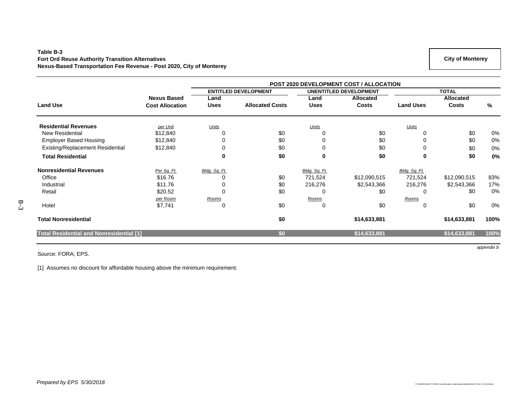### **Table B-3 Fort Ord Reuse Authority Transition Alternatives Nexus-Based Transportation Fee Revenue - Post 2020, City of Monterey**

|                                                 |                        |                             | <b>POST 2020 DEVELOPMENT COST / ALLOCATION</b> |                               |              |                  |                  |       |
|-------------------------------------------------|------------------------|-----------------------------|------------------------------------------------|-------------------------------|--------------|------------------|------------------|-------|
|                                                 |                        | <b>ENTITLED DEVELOPMENT</b> |                                                | <b>UNENTITLED DEVELOPMENT</b> |              |                  | <b>TOTAL</b>     |       |
|                                                 | <b>Nexus Based</b>     | Land                        |                                                | Land                          | Allocated    |                  | <b>Allocated</b> |       |
| <b>Land Use</b>                                 | <b>Cost Allocation</b> | <b>Uses</b>                 | <b>Allocated Costs</b>                         | <b>Uses</b>                   | <b>Costs</b> | <b>Land Uses</b> | Costs            | %     |
| <b>Residential Revenues</b>                     | per Unit               | Units                       |                                                | Units                         |              | <b>Units</b>     |                  |       |
| <b>New Residential</b>                          | \$12,840               |                             | \$0                                            |                               | \$0          |                  | \$0              | $0\%$ |
| <b>Employer Based Housing</b>                   | \$12,840               | $\Omega$                    | \$0                                            |                               | \$0          | $\Omega$         | \$0              | 0%    |
| Existing/Replacement Residential                | \$12,840               | 0                           | \$0                                            | 0                             | \$0          | $\Omega$         | \$0              | 0%    |
| <b>Total Residential</b>                        |                        |                             | \$0                                            | $\mathbf 0$                   | \$0          | $\mathbf 0$      | \$0              | 0%    |
| <b>Nonresidential Revenues</b>                  | Per Sq. Ft.            | Bldg. Sq. Ft.               |                                                | Bldg. Sq. Ft.                 |              | Bldg. Sq. Ft.    |                  |       |
| Office                                          | \$16.76                |                             | \$0                                            | 721,524                       | \$12,090,515 | 721,524          | \$12,090,515     | 83%   |
| Industrial                                      | \$11.76                |                             | \$0                                            | 216,276                       | \$2,543,366  | 216,276          | \$2,543,366      | 17%   |
| Retail                                          | \$20.52                | $\Omega$                    | \$0                                            | 0                             | \$0          | $\Omega$         | \$0              | 0%    |
|                                                 | per Room               | Rooms                       |                                                | Rooms                         |              | Rooms            |                  |       |
| Hotel                                           | \$7,741                | $\Omega$                    | \$0                                            | 0                             | \$0          | $\Omega$         | \$0              | 0%    |
| <b>Total Nonresidential</b>                     |                        |                             | \$0                                            |                               | \$14,633,881 |                  | \$14,633,881     | 100%  |
| <b>Total Residential and Nonresidential [1]</b> |                        |                             | \$0                                            |                               | \$14,633,881 |                  | \$14,633,881     | 100%  |

Source: FORA; EPS.

[1] Assumes no discount for affordable housing above the minimum requirement.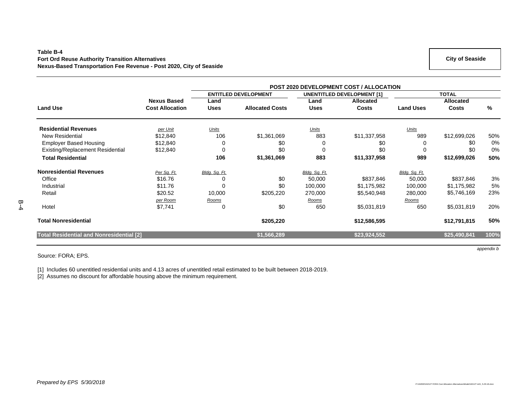#### **Table B-4 Fort Ord Reuse Authority Transition Alternatives Nexus-Based Transportation Fee Revenue - Post 2020, City of Seaside**

|                                                 |                        | <b>POST 2020 DEVELOPMENT COST / ALLOCATION</b> |                        |                                   |                  |                  |                  |               |  |  |
|-------------------------------------------------|------------------------|------------------------------------------------|------------------------|-----------------------------------|------------------|------------------|------------------|---------------|--|--|
|                                                 |                        | <b>ENTITLED DEVELOPMENT</b>                    |                        | <b>UNENTITLED DEVELOPMENT [1]</b> |                  |                  | <b>TOTAL</b>     |               |  |  |
|                                                 | <b>Nexus Based</b>     | Land                                           |                        | Land                              | <b>Allocated</b> |                  | <b>Allocated</b> |               |  |  |
| <b>Land Use</b>                                 | <b>Cost Allocation</b> | <b>Uses</b>                                    | <b>Allocated Costs</b> | <b>Uses</b>                       | <b>Costs</b>     | <b>Land Uses</b> | Costs            | $\frac{9}{6}$ |  |  |
| <b>Residential Revenues</b>                     | per Unit               | Units                                          |                        | Units                             |                  | Units            |                  |               |  |  |
| <b>New Residential</b>                          | \$12,840               | 106                                            | \$1,361,069            | 883                               | \$11,337,958     | 989              | \$12,699,026     | 50%           |  |  |
| <b>Employer Based Housing</b>                   | \$12,840               | 0                                              | \$0                    | 0                                 | \$0              |                  | \$0              | 0%            |  |  |
| Existing/Replacement Residential                | \$12,840               | $\mathbf 0$                                    | \$0                    | $\mathbf 0$                       | \$0              | $\Omega$         | \$0              | 0%            |  |  |
| <b>Total Residential</b>                        |                        | 106                                            | \$1,361,069            | 883                               | \$11,337,958     | 989              | \$12,699,026     | 50%           |  |  |
| <b>Nonresidential Revenues</b>                  | Per Sq. Ft.            | Bldg. Sq. Ft.                                  |                        | Bldg. Sq. Ft.                     |                  | Bldg. Sq. Ft.    |                  |               |  |  |
| Office                                          | \$16.76                | 0                                              | \$0                    | 50,000                            | \$837,846        | 50,000           | \$837,846        | 3%            |  |  |
| Industrial                                      | \$11.76                | 0                                              | \$0                    | 100,000                           | \$1,175,982      | 100,000          | \$1,175,982      | 5%            |  |  |
| Retail                                          | \$20.52                | 10,000                                         | \$205,220              | 270,000                           | \$5,540,948      | 280,000          | \$5,746,169      | 23%           |  |  |
|                                                 | per Room               | <u>Rooms</u>                                   |                        | Rooms                             |                  | Rooms            |                  |               |  |  |
| Hotel                                           | \$7,741                | 0                                              | \$0                    | 650                               | \$5,031,819      | 650              | \$5,031,819      | 20%           |  |  |
| <b>Total Nonresidential</b>                     |                        |                                                | \$205,220              |                                   | \$12,586,595     |                  | \$12,791,815     | 50%           |  |  |
| <b>Total Residential and Nonresidential [2]</b> |                        |                                                | \$1,566,289            |                                   | \$23,924,552     |                  | \$25,490,841     | 100%          |  |  |

Source: FORA; EPS.

[1] Includes 60 unentitled residential units and 4.13 acres of unentitled retail estimated to be built between 2018-2019.

[2] Assumes no discount for affordable housing above the minimum requirement.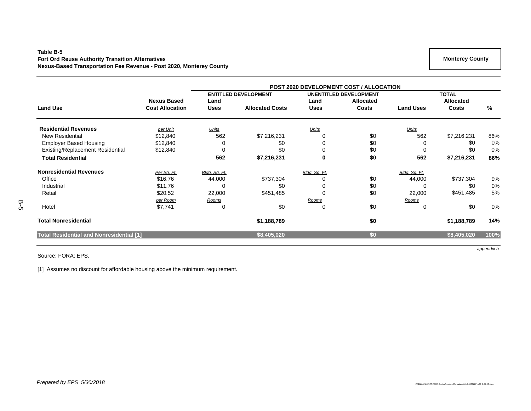### **Table B-5 Fort Ord Reuse Authority Transition Alternatives Nexus-Based Transportation Fee Revenue - Post 2020, Monterey County**

|                                                 |                        | <b>POST 2020 DEVELOPMENT COST / ALLOCATION</b> |                             |               |                               |                  |                  |      |  |  |
|-------------------------------------------------|------------------------|------------------------------------------------|-----------------------------|---------------|-------------------------------|------------------|------------------|------|--|--|
|                                                 |                        |                                                | <b>ENTITLED DEVELOPMENT</b> |               | <b>UNENTITLED DEVELOPMENT</b> |                  | <b>TOTAL</b>     |      |  |  |
|                                                 | <b>Nexus Based</b>     | Land                                           |                             | Land          | <b>Allocated</b>              |                  | <b>Allocated</b> |      |  |  |
| <b>Land Use</b>                                 | <b>Cost Allocation</b> | <b>Uses</b>                                    | <b>Allocated Costs</b>      | <b>Uses</b>   | <b>Costs</b>                  | <b>Land Uses</b> | <b>Costs</b>     | %    |  |  |
| <b>Residential Revenues</b>                     | per Unit               | <u>Units</u>                                   |                             | Units         |                               | Units            |                  |      |  |  |
| <b>New Residential</b>                          | \$12,840               | 562                                            | \$7,216,231                 |               | \$0                           | 562              | \$7,216,231      | 86%  |  |  |
| <b>Employer Based Housing</b>                   | \$12,840               |                                                | \$0                         |               | \$0                           | 0                | \$0              | 0%   |  |  |
| Existing/Replacement Residential                | \$12,840               | 0                                              | \$0                         |               | \$0                           | 0                | \$0              | 0%   |  |  |
| <b>Total Residential</b>                        |                        | 562                                            | \$7,216,231                 | 0             | \$0                           | 562              | \$7,216,231      | 86%  |  |  |
| <b>Nonresidential Revenues</b>                  | Per Sq. Ft.            | Bldg. Sq. Ft.                                  |                             | Bldg. Sq. Ft. |                               | Bldg. Sq. Ft.    |                  |      |  |  |
| Office                                          | \$16.76                | 44,000                                         | \$737,304                   |               | \$0                           | 44,000           | \$737,304        | 9%   |  |  |
| Industrial                                      | \$11.76                | 0                                              | \$0                         |               | \$0                           | 0                | \$0              | 0%   |  |  |
| Retail                                          | \$20.52                | 22,000                                         | \$451,485                   |               | \$0                           | 22,000           | \$451,485        | 5%   |  |  |
|                                                 | per Room               | Rooms                                          |                             | Rooms         |                               | Ro <u>oms</u>    |                  |      |  |  |
| Hotel                                           | \$7,741                |                                                | \$0                         |               | \$0                           | 0                | \$0              | 0%   |  |  |
| <b>Total Nonresidential</b>                     |                        |                                                | \$1,188,789                 |               | \$0                           |                  | \$1,188,789      | 14%  |  |  |
| <b>Total Residential and Nonresidential [1]</b> |                        |                                                | \$8,405,020                 |               | \$0                           |                  | \$8,405,020      | 100% |  |  |

Source: FORA; EPS.

[1] Assumes no discount for affordable housing above the minimum requirement.

 **Monterey County**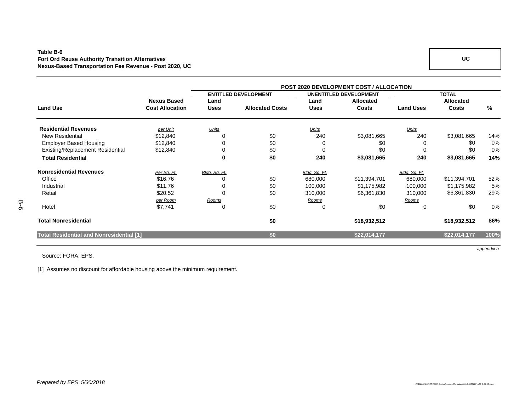### **Table B-6 Fort Ord Reuse Authority Transition Alternatives Nexus-Based Transportation Fee Revenue - Post 2020, UC**

|                                          |                        | <b>POST 2020 DEVELOPMENT COST / ALLOCATION</b> |                             |               |                               |                  |                  |      |
|------------------------------------------|------------------------|------------------------------------------------|-----------------------------|---------------|-------------------------------|------------------|------------------|------|
|                                          |                        |                                                | <b>ENTITLED DEVELOPMENT</b> |               | <b>UNENTITLED DEVELOPMENT</b> |                  | <b>TOTAL</b>     |      |
|                                          | <b>Nexus Based</b>     | Land                                           |                             | Land          | <b>Allocated</b>              |                  | <b>Allocated</b> |      |
| <b>Land Use</b>                          | <b>Cost Allocation</b> | <b>Uses</b>                                    | <b>Allocated Costs</b>      | <b>Uses</b>   | <b>Costs</b>                  | <b>Land Uses</b> | <b>Costs</b>     | ℅    |
| <b>Residential Revenues</b>              | per Unit               | Units                                          |                             | Units         |                               | Units            |                  |      |
| <b>New Residential</b>                   | \$12,840               |                                                | \$0                         | 240           | \$3,081,665                   | 240              | \$3,081,665      | 14%  |
| <b>Employer Based Housing</b>            | \$12,840               |                                                | \$0                         | 0             | \$0                           | 0                | \$0              | 0%   |
| <b>Existing/Replacement Residential</b>  | \$12,840               | 0                                              | \$0                         | $\Omega$      | \$0                           | $\Omega$         | \$0              | 0%   |
| <b>Total Residential</b>                 |                        | 0                                              | \$0                         | 240           | \$3,081,665                   | 240              | \$3,081,665      | 14%  |
| <b>Nonresidential Revenues</b>           | Per Sq. Ft.            | Bldg. Sq. Ft.                                  |                             | Bldg. Sq. Ft. |                               | Bldg. Sq. Ft.    |                  |      |
| Office                                   | \$16.76                |                                                | \$0                         | 680,000       | \$11,394,701                  | 680,000          | \$11,394,701     | 52%  |
| Industrial                               | \$11.76                | 0                                              | \$0                         | 100,000       | \$1,175,982                   | 100,000          | \$1,175,982      | 5%   |
| Retail                                   | \$20.52                | 0                                              | \$0                         | 310,000       | \$6,361,830                   | 310,000          | \$6,361,830      | 29%  |
|                                          | per Room               | Rooms                                          |                             | Rooms         |                               | Rooms            |                  |      |
| Hotel                                    | \$7,741                | 0                                              | \$0                         | 0             | \$0                           | 0                | \$0              | 0%   |
| <b>Total Nonresidential</b>              |                        |                                                | \$0                         |               | \$18,932,512                  |                  | \$18,932,512     | 86%  |
| Total Residential and Nonresidential [1] |                        |                                                | \$0                         |               | \$22,014,177                  |                  | \$22,014,177     | 100% |

Source: FORA; EPS.

[1] Assumes no discount for affordable housing above the minimum requirement.

*appendix b*

B-6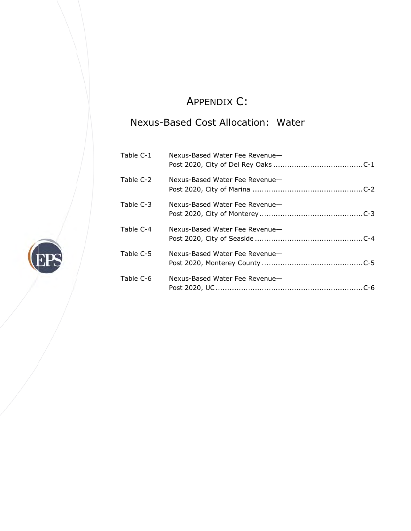# A APPENDIX X C:

# Nexus-Based Cost Allocation: Water

| Table C-1 | Nexus-Based Water Fee Revenue- |
|-----------|--------------------------------|
| Table C-2 | Nexus-Based Water Fee Revenue- |
| Table C-3 | Nexus-Based Water Fee Revenue- |
| Table C-4 | Nexus-Based Water Fee Revenue- |
| Table C-5 | Nexus-Based Water Fee Revenue- |
| Table C-6 | Nexus-Based Water Fee Revenue- |

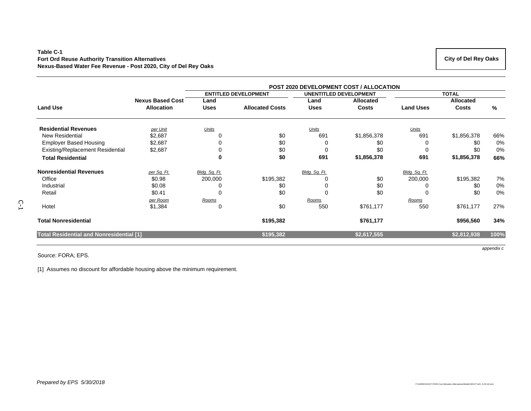#### **Table C-1 Fort Ord Reuse Authority Transition Alternatives Nexus-Based Water Fee Revenue - Post 2020, City of Del Rey Oaks**

|                                                 |                         | <b>POST 2020 DEVELOPMENT COST / ALLOCATION</b> |                             |               |                               |                  |                  |      |  |  |  |
|-------------------------------------------------|-------------------------|------------------------------------------------|-----------------------------|---------------|-------------------------------|------------------|------------------|------|--|--|--|
|                                                 |                         |                                                | <b>ENTITLED DEVELOPMENT</b> |               | <b>UNENTITLED DEVELOPMENT</b> |                  | <b>TOTAL</b>     |      |  |  |  |
|                                                 | <b>Nexus Based Cost</b> | Land                                           |                             | Land          | <b>Allocated</b>              |                  | <b>Allocated</b> |      |  |  |  |
| <b>Land Use</b>                                 | <b>Allocation</b>       | <b>Uses</b>                                    | <b>Allocated Costs</b>      | <b>Uses</b>   | <b>Costs</b>                  | <b>Land Uses</b> | <b>Costs</b>     | %    |  |  |  |
| <b>Residential Revenues</b>                     | per Unit                | Units                                          |                             | Units         |                               | Units            |                  |      |  |  |  |
| New Residential                                 | \$2,687                 |                                                | \$0                         | 691           | \$1,856,378                   | 691              | \$1,856,378      | 66%  |  |  |  |
| <b>Employer Based Housing</b>                   | \$2,687                 |                                                | \$0                         |               | \$0                           |                  | \$0              | 0%   |  |  |  |
| <b>Existing/Replacement Residential</b>         | \$2,687                 |                                                | \$0                         | 0             | \$0                           | 0                | \$0              | 0%   |  |  |  |
| <b>Total Residential</b>                        |                         | 0                                              | \$0                         | 691           | \$1,856,378                   | 691              | \$1,856,378      | 66%  |  |  |  |
| <b>Nonresidential Revenues</b>                  | per Sq. Ft.             | Bldg. Sq. Ft.                                  |                             | Bldg. Sq. Ft. |                               | Bldg. Sq. Ft.    |                  |      |  |  |  |
| Office                                          | \$0.98                  | 200,000                                        | \$195,382                   |               | \$0                           | 200,000          | \$195,382        | 7%   |  |  |  |
| Industrial                                      | \$0.08                  |                                                | \$0                         |               | \$0                           |                  | \$0              | 0%   |  |  |  |
| Retail                                          | \$0.41                  |                                                | \$0                         |               | \$0                           |                  | \$0              | 0%   |  |  |  |
|                                                 | per Room                | Rooms                                          |                             | Rooms         |                               | Rooms            |                  |      |  |  |  |
| Hotel                                           | \$1,384                 | 0                                              | \$0                         | 550           | \$761,177                     | 550              | \$761,177        | 27%  |  |  |  |
| <b>Total Nonresidential</b>                     |                         |                                                | \$195,382                   |               | \$761,177                     |                  | \$956,560        | 34%  |  |  |  |
| <b>Total Residential and Nonresidential [1]</b> |                         |                                                | \$195,382                   |               | \$2,617,555                   |                  | \$2,812,938      | 100% |  |  |  |

Source: FORA; EPS.

[1] Assumes no discount for affordable housing above the minimum requirement.

 **City of Del Rey Oaks** 

*appendix c*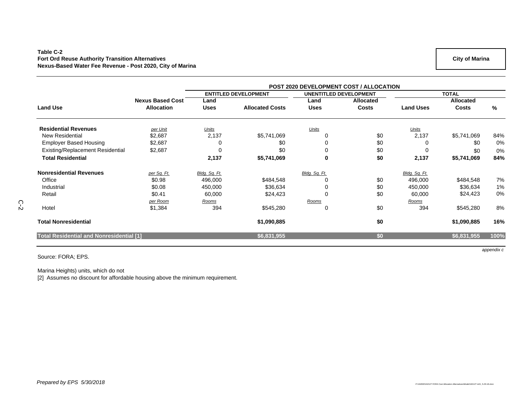#### **Table C-2 Fort Ord Reuse Authority Transition Alternatives Nexus-Based Water Fee Revenue - Post 2020, City of Marina**

|                                                 |                         | <b>POST 2020 DEVELOPMENT COST / ALLOCATION</b> |                             |               |                               |                  |                  |      |
|-------------------------------------------------|-------------------------|------------------------------------------------|-----------------------------|---------------|-------------------------------|------------------|------------------|------|
|                                                 |                         |                                                | <b>ENTITLED DEVELOPMENT</b> |               | <b>UNENTITLED DEVELOPMENT</b> |                  | <b>TOTAL</b>     |      |
|                                                 | <b>Nexus Based Cost</b> | Land                                           |                             | Land          | <b>Allocated</b>              |                  | <b>Allocated</b> |      |
| <b>Land Use</b>                                 | <b>Allocation</b>       | <b>Uses</b>                                    | <b>Allocated Costs</b>      | <b>Uses</b>   | <b>Costs</b>                  | <b>Land Uses</b> | <b>Costs</b>     | %    |
| <b>Residential Revenues</b>                     | per Unit                | Units                                          |                             | Units         |                               | <u>Units</u>     |                  |      |
| <b>New Residential</b>                          | \$2,687                 | 2,137                                          | \$5,741,069                 |               | \$0                           | 2,137            | \$5,741,069      | 84%  |
| <b>Employer Based Housing</b>                   | \$2,687                 |                                                | \$0                         | 0             | \$0                           |                  | \$0              | 0%   |
| <b>Existing/Replacement Residential</b>         | \$2,687                 | $\Omega$                                       | \$0                         | 0             | \$0                           | $\Omega$         | \$0              | 0%   |
| <b>Total Residential</b>                        |                         | 2,137                                          | \$5,741,069                 | $\mathbf 0$   | \$0                           | 2,137            | \$5,741,069      | 84%  |
| <b>Nonresidential Revenues</b>                  | per Sq. Ft.             | Bldg. Sq. Ft.                                  |                             | Bldg. Sq. Ft. |                               | Bldg. Sq. Ft.    |                  |      |
| Office                                          | \$0.98                  | 496,000                                        | \$484,548                   |               | \$0                           | 496,000          | \$484,548        | 7%   |
| Industrial                                      | \$0.08                  | 450,000                                        | \$36,634                    | 0             | \$0                           | 450,000          | \$36,634         | 1%   |
| Retail                                          | \$0.41                  | 60,000                                         | \$24,423                    | 0             | \$0                           | 60,000           | \$24,423         | 0%   |
|                                                 | per Room                | Rooms                                          |                             | Rooms         |                               | Rooms            |                  |      |
| Hotel                                           | \$1,384                 | 394                                            | \$545,280                   | 0             | \$0                           | 394              | \$545,280        | 8%   |
| <b>Total Nonresidential</b>                     |                         |                                                | \$1,090,885                 |               | \$0                           |                  | \$1,090,885      | 16%  |
| <b>Total Residential and Nonresidential [1]</b> |                         |                                                | \$6,831,955                 |               | \$0                           |                  | \$6,831,955      | 100% |

Source: FORA; EPS.

C-2

Marina Heights) units, which do not

[2] Assumes no discount for affordable housing above the minimum requirement.

**City of Marina**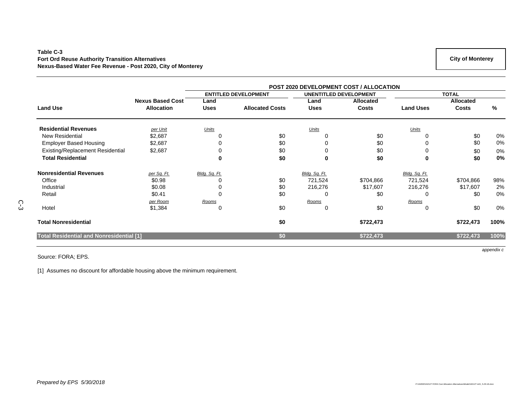#### **Table C-3 Fort Ord Reuse Authority Transition Alternatives Nexus-Based Water Fee Revenue - Post 2020, City of Monterey**

|                                                 |                         | <b>POST 2020 DEVELOPMENT COST / ALLOCATION</b> |                             |               |                               |                  |                  |      |  |  |  |
|-------------------------------------------------|-------------------------|------------------------------------------------|-----------------------------|---------------|-------------------------------|------------------|------------------|------|--|--|--|
|                                                 |                         |                                                | <b>ENTITLED DEVELOPMENT</b> |               | <b>UNENTITLED DEVELOPMENT</b> |                  | <b>TOTAL</b>     |      |  |  |  |
|                                                 | <b>Nexus Based Cost</b> | Land                                           |                             | Land          | <b>Allocated</b>              |                  | <b>Allocated</b> |      |  |  |  |
| <b>Land Use</b>                                 | <b>Allocation</b>       | <b>Uses</b>                                    | <b>Allocated Costs</b>      | <b>Uses</b>   | <b>Costs</b>                  | <b>Land Uses</b> | Costs            | %    |  |  |  |
| <b>Residential Revenues</b>                     | per Unit                | Units                                          |                             | <b>Units</b>  |                               | Units            |                  |      |  |  |  |
| <b>New Residential</b>                          | \$2,687                 | 0                                              | \$0                         |               | \$0                           |                  | \$0              | 0%   |  |  |  |
| <b>Employer Based Housing</b>                   | \$2,687                 | 0                                              | \$0                         |               | \$0                           |                  | \$0              | 0%   |  |  |  |
| Existing/Replacement Residential                | \$2,687                 |                                                | \$0                         |               | \$0                           |                  | \$0              | 0%   |  |  |  |
| <b>Total Residential</b>                        |                         | 0                                              | \$0                         | 0             | \$0                           | 0                | \$0              | 0%   |  |  |  |
| <b>Nonresidential Revenues</b>                  | per Sq. Ft.             | Bldg. Sq. Ft.                                  |                             | Bldg. Sq. Ft. |                               | Bldg. Sq. Ft.    |                  |      |  |  |  |
| Office                                          | \$0.98                  |                                                | \$0                         | 721,524       | \$704,866                     | 721,524          | \$704,866        | 98%  |  |  |  |
| Industrial                                      | \$0.08                  |                                                | \$0                         | 216,276       | \$17,607                      | 216,276          | \$17,607         | 2%   |  |  |  |
| Retail                                          | \$0.41                  | 0                                              | \$0                         | 0             | \$0                           | 0                | \$0              | 0%   |  |  |  |
|                                                 | per Room                | Rooms                                          |                             | Rooms         |                               | Rooms            |                  |      |  |  |  |
| Hotel                                           | \$1,384                 | 0                                              | \$0                         | 0             | \$0                           | 0                | \$0              | 0%   |  |  |  |
| <b>Total Nonresidential</b>                     |                         |                                                | \$0                         |               | \$722,473                     |                  | \$722,473        | 100% |  |  |  |
| <b>Total Residential and Nonresidential [1]</b> |                         |                                                | \$0                         |               | \$722,473                     |                  | \$722,473        | 100% |  |  |  |

Source: FORA; EPS.

[1] Assumes no discount for affordable housing above the minimum requirement.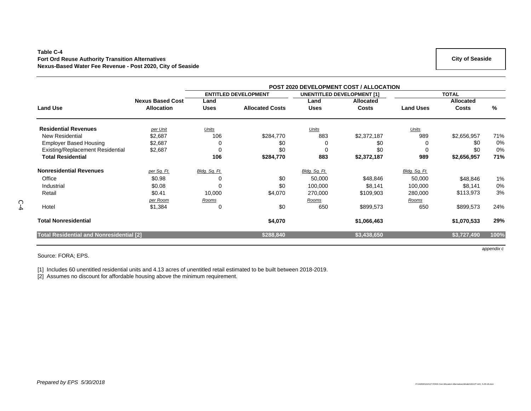#### **Table C-4 Fort Ord Reuse Authority Transition Alternatives Nexus-Based Water Fee Revenue - Post 2020, City of Seaside**

|                                                 |                         |               |                             | <b>POST 2020 DEVELOPMENT COST / ALLOCATION</b> |                                   |                  |                  |      |  |  |
|-------------------------------------------------|-------------------------|---------------|-----------------------------|------------------------------------------------|-----------------------------------|------------------|------------------|------|--|--|
|                                                 |                         |               | <b>ENTITLED DEVELOPMENT</b> |                                                | <b>UNENTITLED DEVELOPMENT [1]</b> |                  | <b>TOTAL</b>     |      |  |  |
|                                                 | <b>Nexus Based Cost</b> | Land          |                             | Land                                           | <b>Allocated</b>                  |                  | <b>Allocated</b> |      |  |  |
| <b>Land Use</b>                                 | <b>Allocation</b>       | <b>Uses</b>   | <b>Allocated Costs</b>      | <b>Uses</b>                                    | <b>Costs</b>                      | <b>Land Uses</b> | <b>Costs</b>     | %    |  |  |
| <b>Residential Revenues</b>                     | per Unit                | Units         |                             | Units                                          |                                   | <b>Units</b>     |                  |      |  |  |
| New Residential                                 | \$2,687                 | 106           | \$284,770                   | 883                                            | \$2,372,187                       | 989              | \$2,656,957      | 71%  |  |  |
| <b>Employer Based Housing</b>                   | \$2,687                 | 0             | \$0                         | 0                                              | \$0                               |                  | \$0              | 0%   |  |  |
| Existing/Replacement Residential                | \$2,687                 | $\Omega$      | \$0                         | $\mathbf 0$                                    | \$0                               | $\Omega$         | \$0              | 0%   |  |  |
| <b>Total Residential</b>                        |                         | 106           | \$284,770                   | 883                                            | \$2,372,187                       | 989              | \$2,656,957      | 71%  |  |  |
| <b>Nonresidential Revenues</b>                  | per Sq. Ft.             | Bldg. Sq. Ft. |                             | Bldg. Sq. Ft.                                  |                                   | Bldg. Sq. Ft.    |                  |      |  |  |
| Office                                          | \$0.98                  | 0             | \$0                         | 50,000                                         | \$48,846                          | 50,000           | \$48,846         | 1%   |  |  |
| Industrial                                      | \$0.08                  | 0             | \$0                         | 100,000                                        | \$8,141                           | 100,000          | \$8,141          | 0%   |  |  |
| Retail                                          | \$0.41                  | 10,000        | \$4,070                     | 270,000                                        | \$109,903                         | 280,000          | \$113,973        | 3%   |  |  |
|                                                 | per Room                | Rooms         |                             | Rooms                                          |                                   | Rooms            |                  |      |  |  |
| Hotel                                           | \$1,384                 | 0             | \$0                         | 650                                            | \$899,573                         | 650              | \$899,573        | 24%  |  |  |
| <b>Total Nonresidential</b>                     |                         |               | \$4,070                     |                                                | \$1,066,463                       |                  | \$1,070,533      | 29%  |  |  |
| <b>Total Residential and Nonresidential [2]</b> |                         |               | \$288,840                   |                                                | \$3,438,650                       |                  | \$3,727,490      | 100% |  |  |

Source: FORA; EPS.

C-4

[1] Includes 60 unentitled residential units and 4.13 acres of unentitled retail estimated to be built between 2018-2019.

[2] Assumes no discount for affordable housing above the minimum requirement.

*appendix c*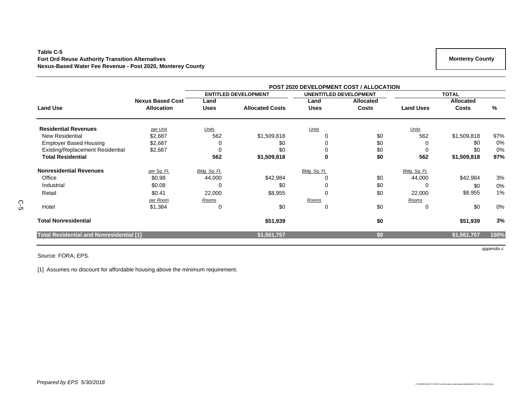#### **Table C-5 Fort Ord Reuse Authority Transition Alternatives Nexus-Based Water Fee Revenue - Post 2020, Monterey County**

|                                                 |                         | POST 2020 DEVELOPMENT COST / ALLOCATION |                             |               |                               |                  |                  |      |  |  |  |
|-------------------------------------------------|-------------------------|-----------------------------------------|-----------------------------|---------------|-------------------------------|------------------|------------------|------|--|--|--|
|                                                 |                         |                                         | <b>ENTITLED DEVELOPMENT</b> |               | <b>UNENTITLED DEVELOPMENT</b> | <b>TOTAL</b>     |                  |      |  |  |  |
|                                                 | <b>Nexus Based Cost</b> | Land                                    |                             | Land          | <b>Allocated</b>              |                  | <b>Allocated</b> |      |  |  |  |
| <b>Land Use</b>                                 | <b>Allocation</b>       | <b>Uses</b>                             | <b>Allocated Costs</b>      | <b>Uses</b>   | <b>Costs</b>                  | <b>Land Uses</b> | <b>Costs</b>     | %    |  |  |  |
| <b>Residential Revenues</b>                     | per Unit                | Units                                   |                             | Units         |                               | Units            |                  |      |  |  |  |
| <b>New Residential</b>                          | \$2,687                 | 562                                     | \$1,509,818                 |               | \$0                           | 562              | \$1,509,818      | 97%  |  |  |  |
| <b>Employer Based Housing</b>                   | \$2,687                 | 0                                       | \$0                         |               | \$0                           | 0                | \$0              | 0%   |  |  |  |
| Existing/Replacement Residential                | \$2,687                 | 0                                       | \$0                         |               | \$0                           | 0                | \$0              | 0%   |  |  |  |
| <b>Total Residential</b>                        |                         | 562                                     | \$1,509,818                 | 0             | \$0                           | 562              | \$1,509,818      | 97%  |  |  |  |
| <b>Nonresidential Revenues</b>                  | per Sq. Ft.             | Bldg. Sq. Ft.                           |                             | Bldg. Sq. Ft. |                               | Bldg. Sq. Ft.    |                  |      |  |  |  |
| Office                                          | \$0.98                  | 44,000                                  | \$42,984                    |               | \$0                           | 44,000           | \$42,984         | 3%   |  |  |  |
| Industrial                                      | \$0.08                  | 0                                       | \$0                         |               | \$0                           | 0                | \$0              | 0%   |  |  |  |
| Retail                                          | \$0.41                  | 22,000                                  | \$8,955                     | $\Omega$      | \$0                           | 22,000           | \$8,955          | 1%   |  |  |  |
|                                                 | per Room                | Rooms                                   |                             | <u>Rooms</u>  |                               | <u>Rooms</u>     |                  |      |  |  |  |
| Hotel                                           | \$1,384                 | 0                                       | \$0                         | $\Omega$      | \$0                           | 0                | \$0              | 0%   |  |  |  |
| <b>Total Nonresidential</b>                     |                         |                                         | \$51,939                    |               | \$0                           |                  | \$51,939         | 3%   |  |  |  |
| <b>Total Residential and Nonresidential [1]</b> |                         |                                         | \$1,561,757                 |               | \$0                           |                  | \$1,561,757      | 100% |  |  |  |

Source: FORA; EPS.

[1] Assumes no discount for affordable housing above the minimum requirement.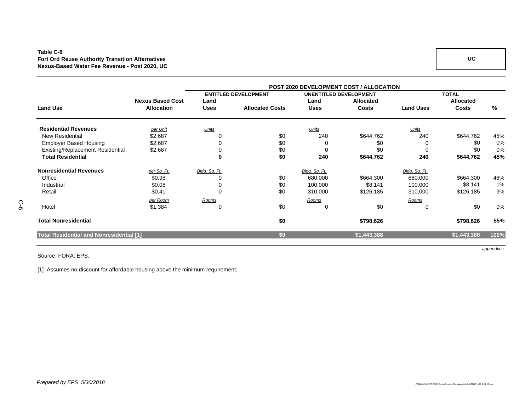#### **Table C-6 Fort Ord Reuse Authority Transition Alternatives Nexus-Based Water Fee Revenue - Post 2020, UC**

|                                                 |                         | <b>POST 2020 DEVELOPMENT COST / ALLOCATION</b> |                             |                               |                  |                  |              |      |  |  |  |
|-------------------------------------------------|-------------------------|------------------------------------------------|-----------------------------|-------------------------------|------------------|------------------|--------------|------|--|--|--|
|                                                 |                         |                                                | <b>ENTITLED DEVELOPMENT</b> | <b>UNENTITLED DEVELOPMENT</b> |                  |                  | <b>TOTAL</b> |      |  |  |  |
|                                                 | <b>Nexus Based Cost</b> | Land                                           |                             | Land                          | <b>Allocated</b> |                  | Allocated    |      |  |  |  |
| <b>Land Use</b>                                 | <b>Allocation</b>       | <b>Uses</b>                                    | <b>Allocated Costs</b>      | Uses                          | <b>Costs</b>     | <b>Land Uses</b> | <b>Costs</b> | %    |  |  |  |
| <b>Residential Revenues</b>                     | per Unit                | Units                                          |                             | Units                         |                  | Units            |              |      |  |  |  |
| <b>New Residential</b>                          | \$2,687                 |                                                | \$0                         | 240                           | \$644,762        | 240              | \$644,762    | 45%  |  |  |  |
| <b>Employer Based Housing</b>                   | \$2,687                 |                                                | \$0                         |                               | \$0              |                  | \$0          | 0%   |  |  |  |
| <b>Existing/Replacement Residential</b>         | \$2,687                 |                                                | \$0                         | 0                             | \$0              | $\Omega$         | \$0          | 0%   |  |  |  |
| <b>Total Residential</b>                        |                         | 0                                              | \$0                         | 240                           | \$644,762        | 240              | \$644,762    | 45%  |  |  |  |
| <b>Nonresidential Revenues</b>                  | per Sq. Ft.             | Bldg. Sq. Ft.                                  |                             | Bldg. Sq. Ft.                 |                  | Bldg. Sq. Ft.    |              |      |  |  |  |
| Office                                          | \$0.98                  |                                                | \$0                         | 680,000                       | \$664,300        | 680,000          | \$664,300    | 46%  |  |  |  |
| Industrial                                      | \$0.08                  |                                                | \$0                         | 100,000                       | \$8,141          | 100,000          | \$8,141      | 1%   |  |  |  |
| Retail                                          | \$0.41                  | $\Omega$                                       | \$0                         | 310,000                       | \$126,185        | 310,000          | \$126,185    | 9%   |  |  |  |
|                                                 | per Room                | Rooms                                          |                             | Rooms                         |                  | Rooms            |              |      |  |  |  |
| Hotel                                           | \$1,384                 | 0                                              | \$0                         | 0                             | \$0              | 0                | \$0          | 0%   |  |  |  |
| <b>Total Nonresidential</b>                     |                         |                                                | \$0                         |                               | \$798,626        |                  | \$798,626    | 55%  |  |  |  |
| <b>Total Residential and Nonresidential [1]</b> |                         |                                                | \$0                         |                               | \$1,443,388      |                  | \$1,443,388  | 100% |  |  |  |

Source: FORA; EPS.

C-6

[1] Assumes no discount for affordable housing above the minimum requirement.

*Prepared by EPS 5/30/2018* 

 **UC** 

*appendix c*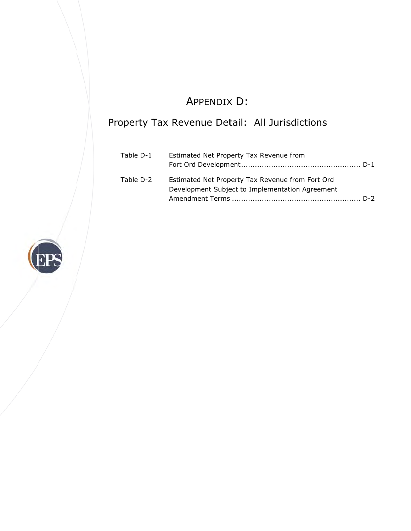# A APPENDIX X D:

## Property Tax Revenue Detail: All Jurisdictions

| Table D-1 | Estimated Net Property Tax Revenue from                                                             |
|-----------|-----------------------------------------------------------------------------------------------------|
| Table D-2 | Estimated Net Property Tax Revenue from Fort Ord<br>Development Subject to Implementation Agreement |
|           |                                                                                                     |

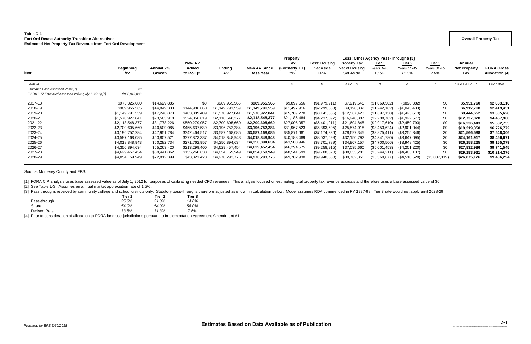### **Table D-1 Fort Ord Reuse Authority Transition Alternatives Estimated Net Property Tax Revenue from Fort Ord Development**

|                                                                                                               |                                                                                                                                                                                        |                                                                                                                                                              |                                                                                                                                                              |                                                                                                                                                                                          |                                                                                                                                                                                          | <b>Property</b>                                                                                                                                             |                                                                                                                                                                          |                                                                                                                                                            | Less: Other Agency Pass-Throughs [3]                                                                                                                                   |                                                                                                                                                                       |                                                                    |                                                                                                                                                           |                                                                                                                                                    |
|---------------------------------------------------------------------------------------------------------------|----------------------------------------------------------------------------------------------------------------------------------------------------------------------------------------|--------------------------------------------------------------------------------------------------------------------------------------------------------------|--------------------------------------------------------------------------------------------------------------------------------------------------------------|------------------------------------------------------------------------------------------------------------------------------------------------------------------------------------------|------------------------------------------------------------------------------------------------------------------------------------------------------------------------------------------|-------------------------------------------------------------------------------------------------------------------------------------------------------------|--------------------------------------------------------------------------------------------------------------------------------------------------------------------------|------------------------------------------------------------------------------------------------------------------------------------------------------------|------------------------------------------------------------------------------------------------------------------------------------------------------------------------|-----------------------------------------------------------------------------------------------------------------------------------------------------------------------|--------------------------------------------------------------------|-----------------------------------------------------------------------------------------------------------------------------------------------------------|----------------------------------------------------------------------------------------------------------------------------------------------------|
| <b>Item</b>                                                                                                   | <b>Beginning</b><br>AV                                                                                                                                                                 | Annual 2%<br>Growth                                                                                                                                          | New AV<br>Added<br>to Roll [2]                                                                                                                               | <b>Ending</b><br>A٧                                                                                                                                                                      | <b>New AV Since</b><br><b>Base Year</b>                                                                                                                                                  | Tax<br>(Formerly T.I.)<br>1%                                                                                                                                | Less: Housing<br>Set Aside<br>20%                                                                                                                                        | <b>Property Tax</b><br>Net of Housing<br>Set Aside                                                                                                         | Tier 1<br>Years 1-45<br>13.5%                                                                                                                                          | Tier <sub>2</sub><br>Years 11-45<br>11.3%                                                                                                                             | Tier $3$<br>Years 31-45<br>7.6%                                    | Annual<br><b>Net Property</b><br>Tax                                                                                                                      | <b>FORA Gross</b><br><b>Allocation</b> [4]                                                                                                         |
| Formula<br><b>Estimated Base Assessed Value [1]</b><br>FY 2016-17 Estimated Assessed Value (July 1, 2016) [1] | \$0<br>\$960,912,000                                                                                                                                                                   |                                                                                                                                                              |                                                                                                                                                              |                                                                                                                                                                                          |                                                                                                                                                                                          |                                                                                                                                                             |                                                                                                                                                                          | $c = a + b$                                                                                                                                                | d                                                                                                                                                                      |                                                                                                                                                                       |                                                                    | $e = c + d + e + f$                                                                                                                                       | $f = e * 35%$                                                                                                                                      |
| 2017-18<br>2018-19<br>2019-20<br>2020-21<br>2021-22<br>2022-23<br>2023-24<br>2024-25<br>2025-26<br>2026-27    | \$975,325,680<br>\$989,955,565<br>\$1,149,791,559<br>\$1,570,927,841<br>\$2,118,548,377<br>\$2,700,605,660<br>\$3,196,752,284<br>\$3,587,168,085<br>\$4,018,848,943<br>\$4,350,894,634 | \$14,629,885<br>\$14,849,333<br>\$17,246,873<br>\$23,563,918<br>\$31,778,226<br>\$40,509,085<br>\$47,951,284<br>\$53,807,521<br>\$60,282,734<br>\$65,263,420 | \$0<br>\$144,986,660<br>\$403,889,409<br>\$524,056,619<br>\$550,279,057<br>\$455,637,539<br>\$342,464,517<br>\$377,873,337<br>\$271,762,957<br>\$213,299,400 | \$989,955,565<br>\$1,149,791,559<br>\$1,570,927,841<br>\$2,118,548,377<br>\$2,700,605,660<br>\$3,196,752,284<br>\$3,587,168,085<br>\$4,018,848,943<br>\$4,350,894,634<br>\$4,629,457,454 | \$989,955,565<br>\$1,149,791,559<br>\$1,570,927,841<br>\$2,118,548,377<br>\$2,700,605,660<br>\$3,196,752,284<br>\$3,587,168,085<br>\$4,018,848,943<br>\$4,350,894,634<br>\$4,629,457,454 | \$9,899,556<br>\$11,497,916<br>\$15,709,278<br>\$21,185,484<br>\$27,006,057<br>\$31,967,523<br>\$35,871,681<br>\$40,188,489<br>\$43,508,946<br>\$46,294,575 | (\$1,979,911)<br>(\$2,299,583)<br>(\$3,141,856)<br>(S4, 237, 097)<br>(S5, 401, 211)<br>(\$6,393,505)<br>(\$7,174,336)<br>(\$8,037,698)<br>(\$8,701,789)<br>(\$9,258,915) | \$7,919,645<br>\$9,198,332<br>\$12,567,423<br>\$16,948,387<br>\$21,604,845<br>\$25,574,018<br>\$28,697,345<br>\$32,150,792<br>\$34,807,157<br>\$37,035,660 | (\$1,069,502)<br>(\$1,242,182)<br>(\$1,697,158)<br>(\$2,288,782)<br>(\$2,917,610)<br>(\$3,453,624)<br>(\$3,875,411)<br>(\$4,341,780)<br>(\$4,700,506)<br>(\$5,001,453) | (\$898,382)<br>(\$1,043,433)<br>(\$1,425,613)<br>(\$1,922,577)<br>(S2, 450, 793)<br>(\$2,901,044)<br>(\$3,255,346)<br>(\$3,647,095)<br>(\$3,948,425)<br>(\$4,201,220) | \$0<br>\$0<br>\$0<br>\$0<br>\$0<br>\$0<br>\$0<br>\$0<br>\$0<br>\$0 | \$5,951,760<br>\$6,912,718<br>\$9,444,652<br>\$12,737,028<br>\$16,236,443<br>\$19,219,350<br>\$21,566,588<br>\$24,161,917<br>\$26,158,225<br>\$27,832,986 | \$2,083,116<br>\$2,419,451<br>\$3,305,628<br>\$4,457,960<br>\$5,682,755<br>\$6,726,772<br>\$7,548,306<br>\$8,456,671<br>\$9,155,379<br>\$9,741,545 |
| 2027-28<br>2028-29                                                                                            | \$4,629,457,454<br>\$4,854,159,949                                                                                                                                                     | \$69,441,862<br>\$72,812,399                                                                                                                                 | \$155,260,633<br>\$43,321,428                                                                                                                                | \$4,854,159,949<br>\$4,970,293,776                                                                                                                                                       | \$4,854,159,949<br>\$4,970,293,776                                                                                                                                                       | \$48,541,599<br>\$49,702,938                                                                                                                                | (\$9,708,320)<br>(\$9,940,588)                                                                                                                                           | \$38,833,280<br>\$39,762,350                                                                                                                               | (\$5,244,211)<br>(\$5,369,677)                                                                                                                                         | (\$4,405,137)<br>(S4, 510, 528)                                                                                                                                       | \$0<br>(\$3,007,019)                                               | \$29,183,931<br>\$26,875,126                                                                                                                              | \$10,214,376<br>\$9,406,294                                                                                                                        |

*ti*

Source: Monterey County and EPS.

[1] FORA CIP analysis uses base assessed value as of July 1, 2012 for purposes of calibrating needed CFD revenues. This analysis focused on estimating total property tax revenue accruals and therefore uses a base assessed

[2] See Table L-3. Assumes an annual market appreciation rate of 1.5%.

[3] Pass throughs received by community college and school districts only. Statutory pass-throughs therefore adjusted as shown in calculation below. Model assumes RDA commenced in FY 1997-98. Tier 3 rate would not apply un

| Tier 1<br>______ | Tier 2 | Tier 3 |
|------------------|--------|--------|
| 25.0%            | 21.0%  | 14.0%  |
| 54.0%            | 54.0%  | 54.0%  |
| 13.5%            | 11.3%  | 7.6%   |
|                  |        |        |

[4] Prior to consideration of allocation to FORA land use jurisdictions pursuant to Implementation Agreement Amendment #1.

#### **Overall Property Tax**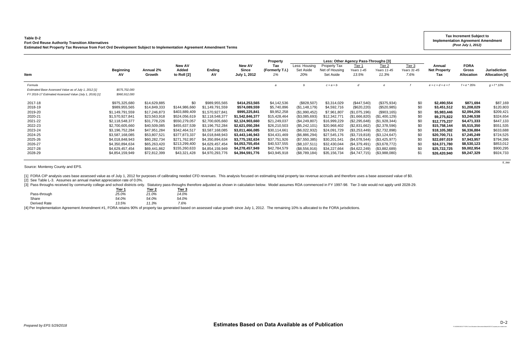## **Table D-2 Fort Ord Reuse Authority Transition Alternatives**

[3] Pass throughs received by community college and school districts only. Statutory pass-throughs therefore adjusted as shown in calculation below. Model assumes RDA commenced in FY 1997-98. Tier 3 rate would not apply un **Tier 1 Tier 2 Tier 3**

| Fort Ord Reuse Authority Transition Alternatives<br>Estimated Net Property Tax Revenue from Fort Ord Development Subject to Implementation Agreement Amendment Terms |                         |                     |                                       |                 |                                                      |                              |                                   |                                             | (Post July 1, 2012)                  |                                           |                                 |                                      |                                           |                                       |
|----------------------------------------------------------------------------------------------------------------------------------------------------------------------|-------------------------|---------------------|---------------------------------------|-----------------|------------------------------------------------------|------------------------------|-----------------------------------|---------------------------------------------|--------------------------------------|-------------------------------------------|---------------------------------|--------------------------------------|-------------------------------------------|---------------------------------------|
|                                                                                                                                                                      |                         |                     |                                       |                 |                                                      | <b>Property</b>              |                                   |                                             | Less: Other Agency Pass-Throughs [3] |                                           |                                 |                                      |                                           |                                       |
| Item                                                                                                                                                                 | <b>Beginning</b><br>AV. | Annual 2%<br>Growth | <b>New AV</b><br>Added<br>to Roll [2] | Ending<br>AV    | <b>New AV</b><br><b>Since</b><br><b>July 1, 2012</b> | Tax<br>(Formerly T.I.)<br>1% | Less: Housing<br>Set Aside<br>20% | Property Tax<br>Net of Housing<br>Set Aside | Tier 1<br>Years 1-45<br>13.5%        | Tier <sub>2</sub><br>Years 11-45<br>11.3% | Tier $3$<br>Years 31-45<br>7.6% | Annual<br><b>Net Property</b><br>Tax | <b>FORA</b><br>Gross<br><b>Allocation</b> | Jurisdiction<br><b>Allocation [4]</b> |
| Formula                                                                                                                                                              |                         |                     |                                       |                 |                                                      |                              |                                   | $c = a + b$                                 |                                      |                                           |                                 | $e = c + d + e + f$                  | $f = e * 35%$                             | $q = f * 10\%$                        |
| Estimated Base Assessed Value as of July 1, 2012 [1]                                                                                                                 | \$575,702,000           |                     |                                       |                 |                                                      |                              |                                   |                                             |                                      |                                           |                                 |                                      |                                           |                                       |
| FY 2016-17 Estimated Assessed Value (July 1, 2016) [1]                                                                                                               | \$960,912,000           |                     |                                       |                 |                                                      |                              |                                   |                                             |                                      |                                           |                                 |                                      |                                           |                                       |
| 2017-18                                                                                                                                                              | \$975,325,680           | \$14,629,885        | \$0                                   | \$989,955,565   | \$414,253,565                                        | \$4,142,536                  | (\$828,507)                       | \$3,314,029                                 | (\$447,540)                          | (\$375,934)                               | \$0                             | \$2,490,554                          | \$871,694                                 | \$87,169                              |
| 2018-19                                                                                                                                                              | \$989,955,565           | \$14,849,333        | \$144,986,660                         | \$1,149,791,559 | \$574,089,559                                        | \$5,740,896                  | (\$1,148,179)                     | \$4,592,716                                 | (\$620,220)                          | (\$520,985)                               | \$0                             | \$3,451,512                          | \$1,208,029                               | \$120,803                             |
| 2019-20                                                                                                                                                              | \$1,149,791,559         | \$17,246,873        | \$403,889,409                         | \$1,570,927,841 | \$995,225,841                                        | \$9,952,258                  | (\$1,990,452)                     | \$7,961,807                                 | (\$1,075,196)                        | (\$903,165)                               | \$0                             | \$5,983,446                          | \$2,094,206                               | \$209,421                             |
| 2020-21                                                                                                                                                              | \$1,570,927,841         | \$23,563,918        | \$524,056,619                         | \$2,118,548,377 | \$1,542,846,377                                      | \$15,428,464                 | (\$3,085,693)                     | \$12,342,771                                | (\$1,666,820)                        | (S1,400,129)                              | \$0                             | \$9,275,822                          | \$3,246,538                               | \$324,654                             |
| 2021-22                                                                                                                                                              | \$2,118,548,377         | \$31,778,226        | \$550,279,057                         | \$2,700,605,660 | \$2,124,903,660                                      | \$21,249,037                 | $(\$4,249,807)$                   | \$16,999,229                                | (\$2,295,648)                        | (\$1,928,344)                             | \$0                             | \$12,775,237                         | \$4,471,333                               | \$447,133                             |
| 2022-23                                                                                                                                                              | \$2,700,605,660         | \$40,509,085        | \$455,637,539                         | \$3,196,752,284 | \$2,621,050,284                                      | \$26,210,503                 | (\$5,242,101)                     | \$20,968,402                                | (\$2,831,662)                        | (\$2,378,596)                             | \$0                             | \$15,758,144                         | \$5,515,350                               | \$551,535                             |
| 2023-24                                                                                                                                                              | \$3,196,752,284         | \$47,951,284        | \$342,464,517                         | \$3,587,168,085 | \$3,011,466,085                                      | \$30,114,661                 | (\$6,022,932)                     | \$24,091,729                                | (\$3,253,449)                        | (\$2,732,898)                             | \$0                             | \$18,105,382                         | \$6,336,884                               | \$633,688                             |
| 2024-25                                                                                                                                                              | \$3,587,168,085         | \$53,807,521        | \$377,873,337                         | \$4,018,848,943 | \$3,443,146,943                                      | \$34,431,469                 | (\$6,886,294)                     | \$27,545,176                                | (\$3,719,818)                        | (\$3,124,647)                             | \$0                             | \$20,700,711                         | \$7,245,249                               | \$724,525                             |
| 2025-26                                                                                                                                                              | \$4,018,848,943         | \$60,282,734        | \$271,762,957                         | \$4,350,894,634 | \$3,775,192,634                                      | \$37,751,926                 | (\$7,550,385)                     | \$30,201,541                                | (\$4,078,544)                        | $(\$3,425,977)$                           | \$0                             | \$22,697,019                         | \$7,943,957                               | \$794,396                             |
| 2026-27                                                                                                                                                              | \$4,350,894,634         | \$65,263,420        | \$213,299,400                         | \$4,629,457,454 | \$4,053,755,454                                      | \$40,537,555                 | $(\$8,107,511)$                   | \$32,430,044                                | (\$4,379,491)                        | (\$3,678,772)                             | \$0                             | \$24,371,780                         | \$8,530,123                               | \$853,012                             |
| 2027-28                                                                                                                                                              | \$4,629,457,454         | \$69,441,862        | \$155,260,633                         | \$4,854,159,949 | \$4,278,457,949                                      | \$42,784,579                 | (\$8,556,916)                     | \$34,227,664                                | (\$4,622,249)                        | (\$3,882,689)                             | \$0                             | \$25,722,725                         | \$9,002,954                               | \$900,295                             |
| 2028-29                                                                                                                                                              | \$4,854,159,949         | \$72,812,399        | \$43,321,428                          | \$4,970,293,776 | \$4,394,591,776                                      | \$43,945,918                 | (\$8,789,184)                     | \$35,156,734                                | (\$4,747,715)                        | (\$3,988,080)                             | \$1                             | \$26,420,940                         | \$9,247,329                               | \$924,733                             |

*ti\_iaa*

Source: Monterey County and EPS.

[1] FORA CIP analysis uses base assessed value as of July 1, 2012 for purposes of calibrating needed CFD revenues. This analysis focused on estimating total property tax revenue accruals and therefore uses a base assessed

[2] See Table L-3. Assumes an annual market appreciation rate of 0.0%.

|              | <u>rer i</u> | <u>i lei z</u> | нег э |
|--------------|--------------|----------------|-------|
| Pass-through | 25.0%        | 21.0%          | 14.0% |
| Share        | 54.0%        | 54.0%          | 54.0% |
| Derived Rate | 13.5%        | 11.3%          | 7.6%  |
|              |              |                |       |

[4] Per Implementation Agreement Amendment #1, FORA retains 90% of property tax generated based on assessed value growth since July 1, 2012. The remaining 10% is allocated to the FORA jurisdictions.

**Tax Increment Subject to Implementation Agreement Amendment** 

*P:\162000\162127 FORA Cost Allocation Alternatives\Model\162127 property tax model.xlsm*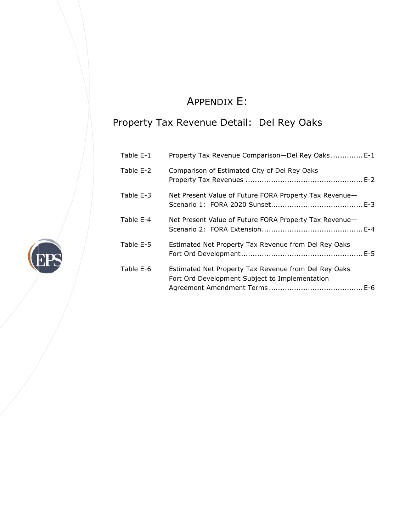# A APPENDIX X E:

## Property Tax Revenue Detail: Del Rey Oaks

| Table E-1 | Property Tax Revenue Comparison-Del Rey Oaks E-1                                                       |
|-----------|--------------------------------------------------------------------------------------------------------|
| Table E-2 | Comparison of Estimated City of Del Rey Oaks                                                           |
| Table E-3 | Net Present Value of Future FORA Property Tax Revenue-                                                 |
| Table E-4 | Net Present Value of Future FORA Property Tax Revenue-                                                 |
| Table E-5 | Estimated Net Property Tax Revenue from Del Rey Oaks                                                   |
| Table E-6 | Estimated Net Property Tax Revenue from Del Rey Oaks<br>Fort Ord Development Subject to Implementation |

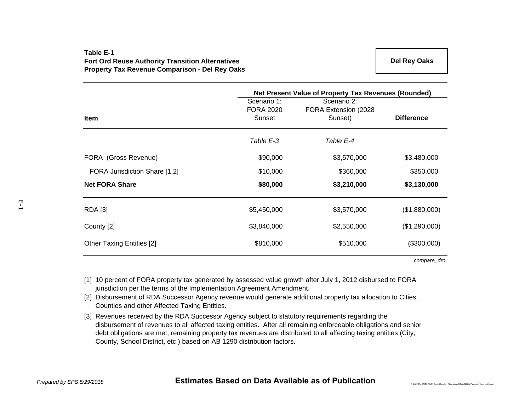## **Table E-1Fort Ord Reuse Authority Transition Alternatives Property Tax Revenue Comparison - Del Rey Oaks**

|                                  | Net Present Value of Property Tax Revenues (Rounded) |                                                 |                   |  |  |  |  |  |  |
|----------------------------------|------------------------------------------------------|-------------------------------------------------|-------------------|--|--|--|--|--|--|
| <b>Item</b>                      | Scenario 1:<br><b>FORA 2020</b><br>Sunset            | Scenario 2:<br>FORA Extension (2028)<br>Sunset) | <b>Difference</b> |  |  |  |  |  |  |
|                                  | Table E-3                                            | Table E-4                                       |                   |  |  |  |  |  |  |
| FORA (Gross Revenue)             | \$90,000                                             | \$3,570,000                                     | \$3,480,000       |  |  |  |  |  |  |
| FORA Jurisdiction Share [1,2]    | \$10,000                                             | \$360,000                                       | \$350,000         |  |  |  |  |  |  |
| <b>Net FORA Share</b>            | \$80,000                                             | \$3,210,000                                     | \$3,130,000       |  |  |  |  |  |  |
| <b>RDA</b> [3]                   | \$5,450,000                                          | \$3,570,000                                     | (\$1,880,000)     |  |  |  |  |  |  |
| County [2]                       | \$3,840,000                                          | \$2,550,000                                     | (\$1,290,000)     |  |  |  |  |  |  |
| <b>Other Taxing Entities [2]</b> | \$810,000                                            | \$510,000                                       | (\$300,000)       |  |  |  |  |  |  |

*compare\_dro*

*P:\162000\162127 FORA Cost Allocation Alternatives\Model\162127 property tax model.xlsm*

- [1] 10 percent of FORA property tax generated by assessed value growth after July 1, 2012 disbursed to FORA jurisdiction per the terms of the Implementation Agreement Amendment.
- [2] Disbursement of RDA Successor Agency revenue would generate additional property tax allocation to Cities, Counties and other Affected Taxing Entities.
- [3] Revenues received by the RDA Successor Agency subject to statutory requirements regarding the disbursement of revenues to all affected taxing entities. After all remaining enforceable obligations and senior debt obligations are met, remaining property tax revenues are distributed to all affecting taxing entities (City, County, School District, etc.) based on AB 1290 distribution factors.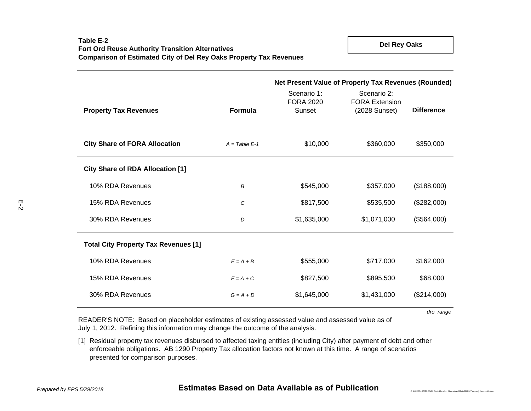**Del Rey Oaks**

|                                             |                 | Net Present Value of Property Tax Revenues (Rounded) |                                                       |                   |  |  |  |  |  |  |
|---------------------------------------------|-----------------|------------------------------------------------------|-------------------------------------------------------|-------------------|--|--|--|--|--|--|
| <b>Property Tax Revenues</b>                | <b>Formula</b>  | Scenario 1:<br><b>FORA 2020</b><br>Sunset            | Scenario 2:<br><b>FORA Extension</b><br>(2028 Sunset) | <b>Difference</b> |  |  |  |  |  |  |
| <b>City Share of FORA Allocation</b>        | $A = Table E-1$ | \$10,000                                             | \$360,000                                             | \$350,000         |  |  |  |  |  |  |
| <b>City Share of RDA Allocation [1]</b>     |                 |                                                      |                                                       |                   |  |  |  |  |  |  |
| 10% RDA Revenues                            | B               | \$545,000                                            | \$357,000                                             | (\$188,000)       |  |  |  |  |  |  |
| 15% RDA Revenues                            | C               | \$817,500                                            | \$535,500                                             | (\$282,000)       |  |  |  |  |  |  |
| 30% RDA Revenues                            | D               | \$1,635,000                                          | \$1,071,000                                           | (\$564,000)       |  |  |  |  |  |  |
| <b>Total City Property Tax Revenues [1]</b> |                 |                                                      |                                                       |                   |  |  |  |  |  |  |
| 10% RDA Revenues                            | $E = A + B$     | \$555,000                                            | \$717,000                                             | \$162,000         |  |  |  |  |  |  |
| 15% RDA Revenues                            | $F = A + C$     | \$827,500                                            | \$895,500                                             | \$68,000          |  |  |  |  |  |  |
| 30% RDA Revenues                            | $G = A + D$     | \$1,645,000                                          | \$1,431,000                                           | (\$214,000)       |  |  |  |  |  |  |

*dro\_range*

*P:\162000\162127 FORA Cost Allocation Alternatives\Model\162127 property tax model.xlsm*

READER'S NOTE: Based on placeholder estimates of existing assessed value and assessed value as of July 1, 2012. Refining this information may change the outcome of the analysis.

[1] Residual property tax revenues disbursed to affected taxing entities (including City) after payment of debt and other enforceable obligations. AB 1290 Property Tax allocation factors not known at this time. A range of scenarios presented for comparison purposes.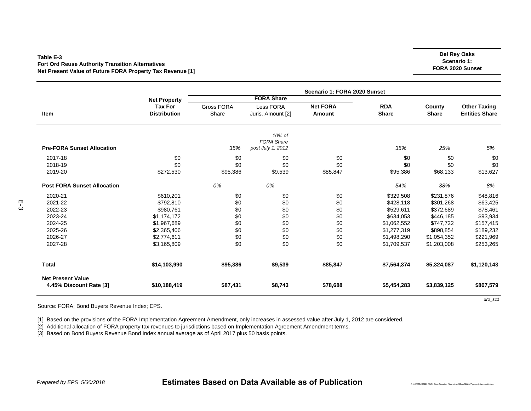#### **Table E-3Fort Ord Reuse Authority Transition Alternatives Net Present Value of Future FORA Property Tax Revenue [1]**

**Item**Gross FORA **Share** Less FORA Juris. Amount [2] **Net FORAAmountRDAShare County Share Other Taxing Entities Share Pre-FORA Sunset Allocation** *35%10% of FORA Share post July 1, 2012 35% 25% 5%* 2017-18 \$0 \$0 \$0 \$0 \$0 \$0 \$0 2018-19 \$0 \$0 \$0 \$0 \$0 \$0 \$0 2019-200 \$272,530 \$95,386 \$9,539 \$85,847 \$95,386 \$68,133 \$13,627 **Post FORA Sunset Allocation** *0% 0% 54% 38% 8%* 2020-21\$610,201 \$0 \$0 \$0 \$0 \$0 \$329,508 \$231,876 \$48,816 \$48,816 \$ك 2021-222 \$792,810 \$0 \$0 \$0 \$428,118 \$301,268 \$63,425 2022-233 \$980,761 \$0 \$0 \$0 \$529,611 \$372,689 \$78,461 2023-244 \$1,174,172 \$0 \$0 \$0 \$634,053 \$446,185 \$93,934 2024-25\$1,062,552 \$1,067,689 \$1,062,552 \$1,062,552 \$157,415 2025-26 \$2,365,406 \$0 \$0 \$0 \$1,277,319 \$898,854 \$189,232 2026-27\$2,774,611 \$0 \$0 \$0 \$0 \$0 \$1,498,290 \$1,054,352 \$221,969 \$2,074,611 \$0 \$0 \$1,498,290 \$1,054,352 \$221,969 2027-288 \$3,165,809 \$0 \$0 \$0 \$1,709,537 \$1,203,008 \$253,265 **Total \$14,103,990 \$95,386 \$9,539 \$85,847 \$7,564,374 \$5,324,087 \$1,120,143 Net Present Value4.45% Discount Rate [3] \$10,188,419 \$87,431 \$8,743 \$78,688 \$5,454,283 \$3,839,125 \$807,579 Scenario 1: FORA 2020 Sunset Net Property Tax For Distribution FORA Share**

Source: FORA; Bond Buyers Revenue Index; EPS.

[1] Based on the provisions of the FORA Implementation Agreement Amendment, only increases in assessed value after July 1, 2012 are considered.

[2] Additional allocation of FORA property tax revenues to jurisdictions based on Implementation Agreement Amendment terms.

[3] Based on Bond Buyers Revenue Bond Index annual average as of April 2017 plus 50 basis points.

## *Prepared by EPS 5/30/2018* **Estimates Based on Data Available as of Publication**

*P:\162000\162127 FORA Cost Allocation Alternatives\Model\162127 property tax model.xlsm*

*dro\_sc1*

**Del Rey Oaks Scenario 1: FORA 2020 Sunset**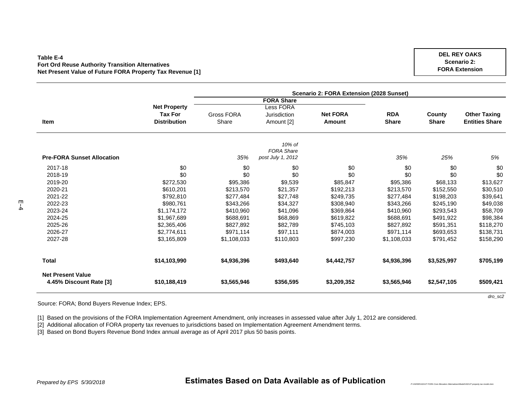#### **Table E-4Fort Ord Reuse Authority Transition Alternatives Net Present Value of Future FORA Property Tax Revenue [1]**

|                     | Scenario 2: FORA Extension (2028 Sunset) |                   |                                        |              |                                                               |                       |  |  |  |  |  |
|---------------------|------------------------------------------|-------------------|----------------------------------------|--------------|---------------------------------------------------------------|-----------------------|--|--|--|--|--|
|                     |                                          | <b>FORA Share</b> |                                        |              |                                                               |                       |  |  |  |  |  |
| <b>Net Property</b> |                                          | Less FORA         |                                        |              |                                                               |                       |  |  |  |  |  |
| <b>Tax For</b>      | Gross FORA                               | Jurisdiction      | <b>Net FORA</b>                        | <b>RDA</b>   | County                                                        | <b>Other Taxing</b>   |  |  |  |  |  |
| <b>Distribution</b> | Share                                    | Amount [2]        | Amount                                 | <b>Share</b> | <b>Share</b>                                                  | <b>Entities Share</b> |  |  |  |  |  |
|                     |                                          | 10% of            |                                        |              |                                                               |                       |  |  |  |  |  |
|                     |                                          |                   |                                        |              |                                                               |                       |  |  |  |  |  |
|                     |                                          |                   |                                        |              |                                                               | 5%                    |  |  |  |  |  |
| \$0                 | \$0                                      | \$0               | \$0                                    | \$0          | \$0                                                           | \$0                   |  |  |  |  |  |
| \$0                 | \$0                                      | \$0               | \$0                                    | \$0          | \$0                                                           | \$0                   |  |  |  |  |  |
| \$272,530           | \$95,386                                 | \$9,539           | \$85,847                               | \$95,386     | \$68,133                                                      | \$13,627              |  |  |  |  |  |
| \$610,201           | \$213,570                                | \$21,357          | \$192,213                              | \$213,570    | \$152,550                                                     | \$30,510              |  |  |  |  |  |
| \$792,810           | \$277,484                                | \$27,748          | \$249,735                              | \$277,484    | \$198,203                                                     | \$39,641              |  |  |  |  |  |
| \$980,761           | \$343,266                                | \$34,327          | \$308,940                              | \$343,266    | \$245,190                                                     | \$49,038              |  |  |  |  |  |
| \$1,174,172         | \$410,960                                | \$41,096          | \$369,864                              | \$410,960    | \$293,543                                                     | \$58,709              |  |  |  |  |  |
| \$1,967,689         | \$688,691                                | \$68,869          | \$619,822                              | \$688,691    | \$491,922                                                     | \$98,384              |  |  |  |  |  |
| \$2,365,406         | \$827,892                                | \$82,789          | \$745,103                              | \$827,892    | \$591,351                                                     | \$118,270             |  |  |  |  |  |
| \$2,774,611         | \$971,114                                | \$97,111          | \$874,003                              | \$971,114    | \$693,653                                                     | \$138,731             |  |  |  |  |  |
| \$3,165,809         | \$1,108,033                              | \$110,803         | \$997,230                              | \$1,108,033  | \$791,452                                                     | \$158,290             |  |  |  |  |  |
| \$14,103,990        | \$4,936,396                              | \$493,640         | \$4,442,757                            | \$4,936,396  | \$3,525,997                                                   | \$705,199             |  |  |  |  |  |
|                     |                                          |                   |                                        |              |                                                               | \$509,421             |  |  |  |  |  |
|                     | \$10,188,419                             | 35%               | <b>FORA Share</b><br>post July 1, 2012 |              | 35%<br>\$3,565,946<br>\$356,595<br>\$3,209,352<br>\$3,565,946 | 25%<br>\$2,547,105    |  |  |  |  |  |

Source: FORA; Bond Buyers Revenue Index; EPS.

[1] Based on the provisions of the FORA Implementation Agreement Amendment, only increases in assessed value after July 1, 2012 are considered.

[2] Additional allocation of FORA property tax revenues to jurisdictions based on Implementation Agreement Amendment terms.

[3] Based on Bond Buyers Revenue Bond Index annual average as of April 2017 plus 50 basis points.

## *Prepared by EPS 5/30/2018* **Estimates Based on Data Available as of Publication**

*P:\162000\162127 FORA Cost Allocation Alternatives\Model\162127 property tax model.xlsm*

**DEL REY OAKSScenario 2: FORA Extension**

*dro\_sc2*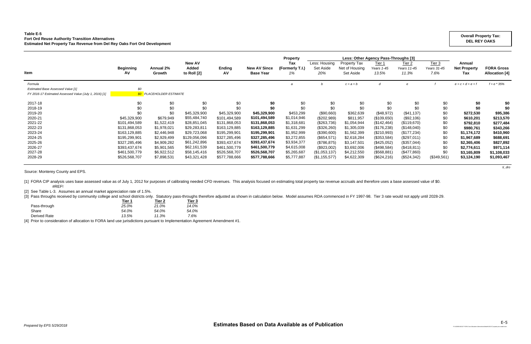### **Table E-5 Fort Ord Reuse Authority Transition Alternatives Estimated Net Property Tax Revenue from Del Rey Oaks Fort Ord Development**

[1] FORA CIP analysis uses base assessed value as of July 1, 2012 for purposes of calibrating needed CFD revenues. This analysis focused on estimating total property tax revenue accruals and therefore uses a base assessed #REF!

|                                                        |                        |                                 |                                       |                     |                                         | <b>Property</b>              | Less: Other Agency Pass-Throughs [3] |                                                    |                               |                                           |                               |                                      |                                            |
|--------------------------------------------------------|------------------------|---------------------------------|---------------------------------------|---------------------|-----------------------------------------|------------------------------|--------------------------------------|----------------------------------------------------|-------------------------------|-------------------------------------------|-------------------------------|--------------------------------------|--------------------------------------------|
| <b>Item</b>                                            | <b>Beginning</b><br>AV | <b>Annual 2%</b><br>Growth      | <b>New AV</b><br>Added<br>to Roll [2] | <b>Ending</b><br>A٧ | <b>New AV Since</b><br><b>Base Year</b> | Tax<br>(Formerly T.I.)<br>1% | Less: Housing<br>Set Aside<br>20%    | <b>Property Tax</b><br>Net of Housing<br>Set Aside | Tier 1<br>Years 1-45<br>13.5% | Tier <sub>2</sub><br>Years 11-45<br>11.3% | Tier 3<br>Years 31-45<br>7.6% | Annual<br><b>Net Property</b><br>Tax | <b>FORA Gross</b><br><b>Allocation</b> [4] |
|                                                        |                        |                                 |                                       |                     |                                         |                              |                                      |                                                    |                               |                                           |                               |                                      |                                            |
| Formula                                                |                        |                                 |                                       |                     |                                         |                              |                                      | $c = a + b$                                        | d                             |                                           |                               | $e = c + d + e + f$                  | $f = e * 35%$                              |
| <b>Estimated Base Assessed Value [1]</b>               | \$0                    |                                 |                                       |                     |                                         |                              |                                      |                                                    |                               |                                           |                               |                                      |                                            |
| FY 2016-17 Estimated Assessed Value (July 1, 2016) [1] |                        | <b>\$0</b> PLACEHOLDER ESTIMATE |                                       |                     |                                         |                              |                                      |                                                    |                               |                                           |                               |                                      |                                            |
| 2017-18                                                | \$0                    | \$0                             | \$0                                   | \$0                 | \$0                                     | \$0                          | \$0                                  | \$0                                                | \$0                           | \$0                                       | \$0                           | \$0                                  | \$0                                        |
| 2018-19                                                | \$0                    | \$0                             | \$0                                   | \$0                 | \$0                                     | \$0                          | \$0                                  | \$0                                                | \$0                           | \$0                                       | \$0                           | \$0                                  | \$0                                        |
| 2019-20                                                | \$0                    | \$0                             | \$45,329,900                          | \$45,329,900        | \$45,329,900                            | \$453,299                    | (\$90,660)                           | \$362,639                                          | (\$48,972)                    | (\$41,137)                                | \$0                           | \$272,530                            | \$95,386                                   |
| 2020-21                                                | \$45,329,900           | \$679,949                       | \$55,484,740                          | \$101,494,589       | \$101,494,589                           | \$1,014,946                  | (\$202,989)                          | \$811,957                                          | (\$109,650)                   | (\$92,106)                                | \$0                           | \$610,201                            | \$213,570                                  |
| 2021-22                                                | \$101,494,589          | \$1,522,419                     | \$28,851,045                          | \$131,868,053       | \$131,868,053                           | \$1,318,681                  | (\$263,736)                          | \$1,054,944                                        | (\$142,464)                   | (\$119,670)                               | \$0                           | \$792,810                            | \$277,484                                  |
| 2022-23                                                | \$131,868,053          | \$1,978,021                     | \$29,283,811                          | \$163,129,885       | \$163,129,885                           | \$1,631,299                  | (\$326, 260)                         | \$1,305,039                                        | (\$176,238)                   | (\$148,040)                               | \$0                           | \$980,761                            | \$343,266                                  |
| 2023-24                                                | \$163,129,885          | \$2,446,948                     | \$29,723,068                          | \$195,299,901       | \$195,299,901                           | \$1,952,999                  | (\$390,600)                          | \$1,562,399                                        | $(\$210,993)$                 | (\$177,234)                               | \$0                           | \$1,174,172                          | \$410,960                                  |
| 2024-25                                                | \$195,299,901          | \$2,929,499                     | \$129,056,096                         | \$327,285,496       | \$327,285,496                           | \$3,272,855                  | (\$654,571)                          | \$2,618,284                                        | (\$353,584)                   | (\$297,011)                               | \$0                           | \$1,967,689                          | \$688,691                                  |
| 2025-26                                                | \$327,285,496          | \$4,909,282                     | \$61,242,896                          | \$393,437,674       | \$393,437,674                           | \$3,934,377                  | (\$786, 875)                         | \$3,147,501                                        | (\$425,052)                   | (\$357,044)                               | \$0                           | \$2,365,406                          | \$827,892                                  |
| 2026-27                                                | \$393,437,674          | \$5,901,565                     | \$62,161,539                          | \$461,500,779       | \$461,500,779                           | \$4,615,008                  | (\$923,002)                          | \$3,692,006                                        | (\$498,584)                   | (\$418, 811)                              | \$0                           | \$2,774,611                          | \$971,114                                  |
| 2027-28                                                | \$461,500,779          | \$6,922,512                     | \$58,145,416                          | \$526,568,707       | \$526,568,707                           | \$5,265,687                  | (\$1,053,137)                        | \$4,212,550                                        | (\$568, 881)                  | $(\$477,860)$                             | \$0                           | \$3,165,809                          | \$1,108,033                                |
| 2028-29                                                | \$526,568,707          | \$7,898,531                     | \$43,321,428                          | \$577,788,666       | \$577,788,666                           | \$5,777,887                  | (\$1,155,577)                        | \$4,622,309                                        | (\$624,216)                   | (\$524,342)                               | (\$349,561)                   | \$3,124,190                          | \$1,093,467                                |

*ti\_dro*

Source: Monterey County and EPS.

[2] See Table L-3. Assumes an annual market appreciation rate of 1.5%.

[3] Pass throughs received by community college and school districts only. Statutory pass-throughs therefore adjusted as shown in calculation below. Model assumes RDA commenced in FY 1997-98. Tier 3 rate would not apply un

|              | Tier 1 | Tier 2 | Tier 3 |
|--------------|--------|--------|--------|
| Pass-through | 25.0%  | 21.0%  | 14.0%  |
| Share        | 54.0%  | 54.0%  | 54.0%  |
| Derived Rate | 13.5%  | 11.3%  | 7.6%   |

[4] Prior to consideration of allocation to FORA land use jurisdictions pursuant to Implementation Agreement Amendment #1.

### **Overall Property Tax: DEL REY OAKS**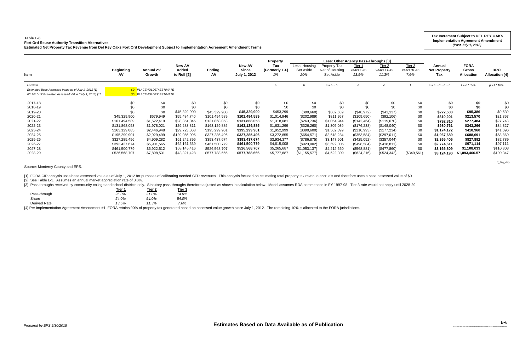#### **Table E-6**

## **Fort Ord Reuse Authority Transition Alternatives**

**Estimated Net Property Tax Revenue from Del Rey Oaks Fort Ord Development Subject to Implementation Agreement Amendment Terms**

[3] Pass throughs received by community college and school districts only. Statutory pass-throughs therefore adjusted as shown in calculation below. Model assumes RDA commenced in FY 1997-98. Tier 3 rate would not apply un **Tier 1 Tier 2 Tier 3**

|                                                                                                                           |                         |                                                                    | New AV               |               | <b>New AV</b>                | <b>Property</b><br>Tax | Less: Housing    | Property Tax                | Less: Other Agency Pass-Throughs [3]<br>Tier 1 | Tier <sub>2</sub>    | Tier 3              | Annual                     | <b>FORA</b>                |                                     |
|---------------------------------------------------------------------------------------------------------------------------|-------------------------|--------------------------------------------------------------------|----------------------|---------------|------------------------------|------------------------|------------------|-----------------------------|------------------------------------------------|----------------------|---------------------|----------------------------|----------------------------|-------------------------------------|
| Item                                                                                                                      | <b>Beginning</b><br>AV. | Annual 2%<br>Growth                                                | Added<br>to Roll [2] | Ending<br>AV  | <b>Since</b><br>July 1, 2012 | (Formerly T.I.)<br>1%  | Set Aside<br>20% | Net of Housing<br>Set Aside | Years 1-45<br>13.5%                            | Years 11-45<br>11.3% | Years 31-45<br>7.6% | <b>Net Property</b><br>Tax | Gross<br><b>Allocation</b> | <b>DRO</b><br><b>Allocation [4]</b> |
| Formula<br>Estimated Base Assessed Value as of July 1, 2012 [1]<br>FY 2016-17 Estimated Assessed Value (July 1, 2016) [1] |                         | <b>\$0</b> PLACEHOLDER ESTIMATE<br><b>\$0</b> PLACEHOLDER ESTIMATE |                      |               |                              |                        |                  | $c = a + b$                 | d                                              |                      |                     | $e = c + d + e + f$        | $f = e * 35%$              | $g = f * 10\%$                      |
| 2017-18                                                                                                                   | \$0                     | \$0                                                                | \$0                  | \$0           | \$0                          | \$0                    | \$0              | \$0                         | \$0                                            | \$0                  | \$0                 | \$0                        | \$0                        | \$0                                 |
| 2018-19                                                                                                                   | \$0                     | \$0                                                                | \$0                  | \$0           | \$0                          | \$0                    | \$0              | \$0                         | \$0                                            | \$0                  | \$0                 | \$0                        | \$0                        | \$0                                 |
| 2019-20                                                                                                                   | \$0                     | \$0                                                                | \$45,329,900         | \$45,329,900  | \$45,329,900                 | \$453,299              | (\$90,660)       | \$362,639                   | (\$48,972)                                     | (\$41, 137)          | \$0                 | \$272,530                  | \$95,386                   | \$9,539                             |
| 2020-21                                                                                                                   | \$45,329,900            | \$679,949                                                          | \$55,484,740         | \$101,494,589 | \$101,494,589                | \$1,014,946            | (\$202,989)      | \$811,957                   | (\$109,650)                                    | (\$92,106)           | \$0                 | \$610,201                  | \$213,570                  | \$21,357                            |
| 2021-22                                                                                                                   | \$101,494,589           | \$1,522,419                                                        | \$28,851,045         | \$131,868,053 | \$131,868,053                | \$1,318,681            | (\$263,736)      | \$1,054,944                 | (\$142,464)                                    | (\$119,670)          | \$0                 | \$792,810                  | \$277,484                  | \$27,748                            |
| 2022-23                                                                                                                   | \$131,868,053           | \$1,978,021                                                        | \$29,283,811         | \$163,129,885 | \$163,129,885                | \$1,631,299            | $(\$326,260)$    | \$1,305,039                 | (\$176,238)                                    | (\$148,040)          | \$0                 | \$980,761                  | \$343,266                  | \$34,327                            |
| 2023-24                                                                                                                   | \$163,129,885           | \$2,446,948                                                        | \$29,723,068         | \$195,299,901 | \$195,299,901                | \$1,952,999            | (\$390,600)      | \$1,562,399                 | $(\$210,993)$                                  | (\$177,234)          | \$0                 | \$1,174,172                | \$410,960                  | \$41,096                            |
| 2024-25                                                                                                                   | \$195,299,901           | \$2,929,499                                                        | \$129,056,096        | \$327,285,496 | \$327,285,496                | \$3,272,855            | $(\$654,571)$    | \$2,618,284                 | (\$353,584)                                    | (\$297,011)          | \$0                 | \$1,967,689                | \$688,691                  | \$68,869                            |
| 2025-26                                                                                                                   | \$327,285,496           | \$4,909,282                                                        | \$61,242,896         | \$393,437,674 | \$393,437,674                | \$3,934,377            | (\$786, 875)     | \$3,147,501                 | (\$425,052)                                    | (\$357,044)          | \$0                 | \$2,365,406                | \$827,892                  | \$82,789                            |
| 2026-27                                                                                                                   | \$393,437,674           | \$5,901,565                                                        | \$62,161,539         | \$461,500,779 | \$461,500,779                | \$4,615,008            | (\$923,002)      | \$3,692,006                 | (\$498,584)                                    | (\$418,811)          | \$0                 | \$2,774,611                | \$971,114                  | \$97,111                            |
| 2027-28                                                                                                                   | \$461,500,779           | \$6,922,512                                                        | \$58,145,416         | \$526,568,707 | \$526,568,707                | \$5,265,687            | (\$1,053,137)    | \$4,212,550                 | (\$568,881)                                    | (\$477,860)          | \$0                 | \$3,165,809                | \$1,108,033                | \$110,803                           |
| 2028-29                                                                                                                   | \$526,568,707           | \$7,898,531                                                        | \$43,321,428         | \$577,788,666 | \$577,788,666                | \$5,777,887            | (\$1,155,577)    | \$4,622,309                 | (\$624, 216)                                   | (\$524,342)          | (\$349,561)         | \$3,124,190                | \$1,093,466.57             | \$109,347                           |

*ti\_iaa\_dro*

Source: Monterey County and EPS.

[1] FORA CIP analysis uses base assessed value as of July 1, 2012 for purposes of calibrating needed CFD revenues. This analysis focused on estimating total property tax revenue accruals and therefore uses a base assessed

[2] See Table L-3. Assumes an annual market appreciation rate of 0.0%.

|              | a ler n | ner z | l ler ə |
|--------------|---------|-------|---------|
| Pass-through | 25.0%   | 21.0% | 14.0%   |
| Share        | 54.0%   | 54.0% | 54.0%   |
| Derived Rate | 13.5%   | 11.3% | 7.6%    |
|              |         |       |         |

[4] Per Implementation Agreement Amendment #1, FORA retains 90% of property tax generated based on assessed value growth since July 1, 2012. The remaining 10% is allocated to the FORA jurisdictions.

### **Tax Increment Subject to DEL REY OAKS Implementation Agreement Amendment**  *(Post July 1, 2012)*

*P:\162000\162127 FORA Cost Allocation Alternatives\Model\162127 property tax model.xlsm*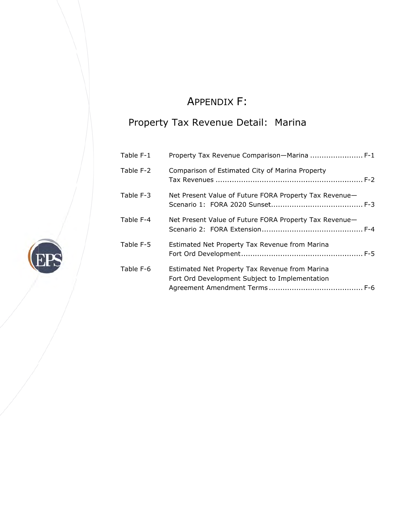# A APPENDIX X F:

## Property Tax Revenue Detail: Marina

| Table F-1 | Property Tax Revenue Comparison—Marina  F-1                                                      |
|-----------|--------------------------------------------------------------------------------------------------|
| Table F-2 | Comparison of Estimated City of Marina Property                                                  |
| Table F-3 | Net Present Value of Future FORA Property Tax Revenue-                                           |
| Table F-4 | Net Present Value of Future FORA Property Tax Revenue-                                           |
| Table F-5 | Estimated Net Property Tax Revenue from Marina                                                   |
| Table F-6 | Estimated Net Property Tax Revenue from Marina<br>Fort Ord Development Subject to Implementation |

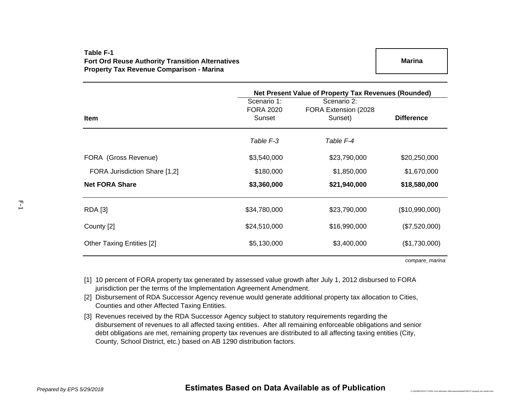## **Table F-1Fort Ord Reuse Authority Transition Alternatives Property Tax Revenue Comparison - Marina**

|                                  | Net Present Value of Property Tax Revenues (Rounded) |                                                 |                   |  |  |  |  |  |  |
|----------------------------------|------------------------------------------------------|-------------------------------------------------|-------------------|--|--|--|--|--|--|
| Item                             | Scenario 1:<br><b>FORA 2020</b><br>Sunset            | Scenario 2:<br>FORA Extension (2028)<br>Sunset) | <b>Difference</b> |  |  |  |  |  |  |
|                                  |                                                      |                                                 |                   |  |  |  |  |  |  |
|                                  | Table F-3                                            | Table F-4                                       |                   |  |  |  |  |  |  |
| FORA (Gross Revenue)             | \$3,540,000                                          | \$23,790,000                                    | \$20,250,000      |  |  |  |  |  |  |
| FORA Jurisdiction Share [1,2]    | \$180,000                                            | \$1,850,000                                     | \$1,670,000       |  |  |  |  |  |  |
| <b>Net FORA Share</b>            | \$3,360,000                                          | \$21,940,000                                    | \$18,580,000      |  |  |  |  |  |  |
| <b>RDA</b> [3]                   | \$34,780,000                                         | \$23,790,000                                    | (\$10,990,000)    |  |  |  |  |  |  |
| County [2]                       | \$24,510,000                                         | \$16,990,000                                    | (\$7,520,000)     |  |  |  |  |  |  |
| <b>Other Taxing Entities [2]</b> | \$5,130,000                                          | \$3,400,000                                     | (\$1,730,000)     |  |  |  |  |  |  |

*compare\_marina*

- [1] 10 percent of FORA property tax generated by assessed value growth after July 1, 2012 disbursed to FORA jurisdiction per the terms of the Implementation Agreement Amendment.
- [2] Disbursement of RDA Successor Agency revenue would generate additional property tax allocation to Cities, Counties and other Affected Taxing Entities.
- [3] Revenues received by the RDA Successor Agency subject to statutory requirements regarding the disbursement of revenues to all affected taxing entities. After all remaining enforceable obligations and senior debt obligations are met, remaining property tax revenues are distributed to all affecting taxing entities (City, County, School District, etc.) based on AB 1290 distribution factors.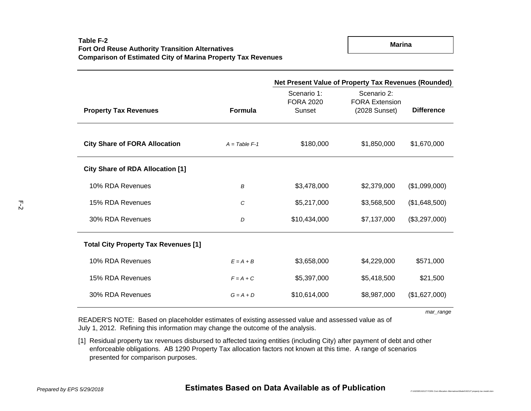|                                             |                 | Net Present Value of Property Tax Revenues (Rounded) |                                      |                   |  |  |  |  |  |
|---------------------------------------------|-----------------|------------------------------------------------------|--------------------------------------|-------------------|--|--|--|--|--|
|                                             |                 | Scenario 1:<br><b>FORA 2020</b>                      | Scenario 2:<br><b>FORA Extension</b> |                   |  |  |  |  |  |
| <b>Property Tax Revenues</b>                | <b>Formula</b>  | Sunset                                               | (2028 Sunset)                        | <b>Difference</b> |  |  |  |  |  |
| <b>City Share of FORA Allocation</b>        | $A = Table F-1$ | \$180,000                                            | \$1,850,000                          | \$1,670,000       |  |  |  |  |  |
| <b>City Share of RDA Allocation [1]</b>     |                 |                                                      |                                      |                   |  |  |  |  |  |
| 10% RDA Revenues                            | В               | \$3,478,000                                          | \$2,379,000                          | (\$1,099,000)     |  |  |  |  |  |
| 15% RDA Revenues                            | C               | \$5,217,000                                          | \$3,568,500                          | (\$1,648,500)     |  |  |  |  |  |
| 30% RDA Revenues                            | D               | \$10,434,000                                         | \$7,137,000                          | (\$3,297,000)     |  |  |  |  |  |
| <b>Total City Property Tax Revenues [1]</b> |                 |                                                      |                                      |                   |  |  |  |  |  |
| 10% RDA Revenues                            | $E = A + B$     | \$3,658,000                                          | \$4,229,000                          | \$571,000         |  |  |  |  |  |
| 15% RDA Revenues                            | $F = A + C$     | \$5,397,000                                          | \$5,418,500                          | \$21,500          |  |  |  |  |  |
| 30% RDA Revenues                            | $G = A + D$     | \$10,614,000                                         | \$8,987,000                          | (\$1,627,000)     |  |  |  |  |  |

*mar\_range*

*P:\162000\162127 FORA Cost Allocation Alternatives\Model\162127 property tax model.xlsm*

READER'S NOTE: Based on placeholder estimates of existing assessed value and assessed value as of July 1, 2012. Refining this information may change the outcome of the analysis.

[1] Residual property tax revenues disbursed to affected taxing entities (including City) after payment of debt and other enforceable obligations. AB 1290 Property Tax allocation factors not known at this time. A range of scenarios presented for comparison purposes.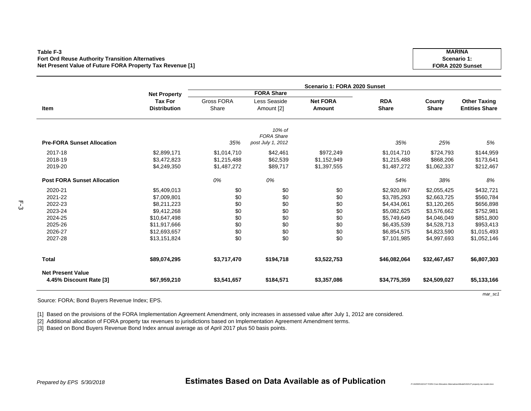#### **Table F-3Fort Ord Reuse Authority Transition Alternatives Net Present Value of Future FORA Property Tax Revenue [1]**

|                                                     |                                       | Scenario 1: FORA 2020 Sunset |                             |                           |                            |                        |                                              |  |  |  |  |  |
|-----------------------------------------------------|---------------------------------------|------------------------------|-----------------------------|---------------------------|----------------------------|------------------------|----------------------------------------------|--|--|--|--|--|
|                                                     | <b>Net Property</b>                   |                              | <b>FORA Share</b>           |                           |                            |                        |                                              |  |  |  |  |  |
| Item                                                | <b>Tax For</b><br><b>Distribution</b> | <b>Gross FORA</b><br>Share   | Less Seaside<br>Amount [2]  | <b>Net FORA</b><br>Amount | <b>RDA</b><br><b>Share</b> | County<br><b>Share</b> | <b>Other Taxing</b><br><b>Entities Share</b> |  |  |  |  |  |
|                                                     |                                       |                              |                             |                           |                            |                        |                                              |  |  |  |  |  |
|                                                     |                                       |                              | 10% of<br><b>FORA Share</b> |                           |                            |                        |                                              |  |  |  |  |  |
| <b>Pre-FORA Sunset Allocation</b>                   |                                       | 35%                          | post July 1, 2012           |                           | 35%                        | 25%                    | 5%                                           |  |  |  |  |  |
| 2017-18                                             | \$2,899,171                           | \$1,014,710                  | \$42,461                    | \$972,249                 | \$1,014,710                | \$724,793              | \$144,959                                    |  |  |  |  |  |
| 2018-19                                             | \$3,472,823                           | \$1,215,488                  | \$62,539                    | \$1,152,949               | \$1,215,488                | \$868,206              | \$173,641                                    |  |  |  |  |  |
| 2019-20                                             | \$4,249,350                           | \$1,487,272                  | \$89,717                    | \$1,397,555               | \$1,487,272                | \$1,062,337            | \$212,467                                    |  |  |  |  |  |
| <b>Post FORA Sunset Allocation</b>                  |                                       | 0%                           | 0%                          |                           | 54%                        | 38%                    | 8%                                           |  |  |  |  |  |
| 2020-21                                             | \$5,409,013                           | \$0                          | \$0                         | \$0                       | \$2,920,867                | \$2,055,425            | \$432,721                                    |  |  |  |  |  |
| 2021-22                                             | \$7,009,801                           | \$0                          | \$0                         | \$0                       | \$3,785,293                | \$2,663,725            | \$560,784                                    |  |  |  |  |  |
| 2022-23                                             | \$8.211.223                           | \$0                          | \$0                         | \$0                       | \$4,434,061                | \$3,120,265            | \$656,898                                    |  |  |  |  |  |
| 2023-24                                             | \$9,412,268                           | \$0                          | \$0                         | \$0                       | \$5,082,625                | \$3,576,662            | \$752,981                                    |  |  |  |  |  |
| 2024-25                                             | \$10,647,498                          | \$0                          | \$0                         | \$0                       | \$5,749,649                | \$4,046,049            | \$851,800                                    |  |  |  |  |  |
| 2025-26                                             | \$11,917,666                          | \$0                          | \$0                         | \$0                       | \$6,435,539                | \$4,528,713            | \$953,413                                    |  |  |  |  |  |
| 2026-27                                             | \$12,693,657                          | \$0                          | \$0                         | \$0                       | \$6,854,575                | \$4,823,590            | \$1,015,493                                  |  |  |  |  |  |
| 2027-28                                             | \$13,151,824                          | \$0                          | \$0                         | \$0                       | \$7,101,985                | \$4,997,693            | \$1,052,146                                  |  |  |  |  |  |
| <b>Total</b>                                        | \$89,074,295                          | \$3,717,470                  | \$194,718                   | \$3,522,753               | \$46,082,064               | \$32,467,457           | \$6,807,303                                  |  |  |  |  |  |
| <b>Net Present Value</b><br>4.45% Discount Rate [3] | \$67,959,210                          | \$3,541,657                  | \$184,571                   | \$3,357,086               | \$34,775,359               | \$24,509,027           | \$5,133,166                                  |  |  |  |  |  |

Source: FORA; Bond Buyers Revenue Index; EPS.

[1] Based on the provisions of the FORA Implementation Agreement Amendment, only increases in assessed value after July 1, 2012 are considered.

[2] Additional allocation of FORA property tax revenues to jurisdictions based on Implementation Agreement Amendment terms.

[3] Based on Bond Buyers Revenue Bond Index annual average as of April 2017 plus 50 basis points.

*mar\_sc1*

*P:\162000\162127 FORA Cost Allocation Alternatives\Model\162127 property tax model.xlsm*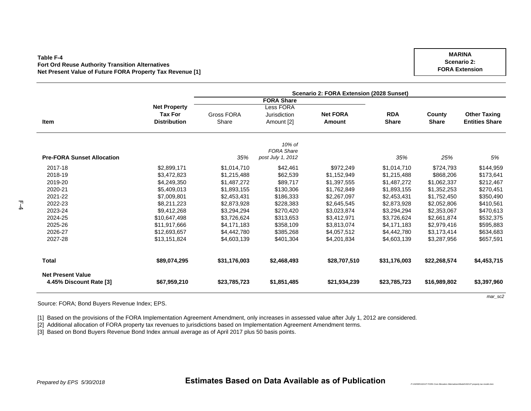#### **Table F-4Fort Ord Reuse Authority Transition Alternatives Net Present Value of Future FORA Property Tax Revenue [1]**

**ItemNet Property Tax For Distribution** Gross FORA ShareLess FORA Jurisdiction Amount [2] **Net FORAAmountRDAShare County Share Other Taxing Entities Share Pre-FORA Sunset Allocation** *35%10% of FORA Share post July 1, 2012 35% 25% 5%* 2017-18 \$2,899,171 \$1,014,710 \$42,461 \$972,249 \$1,014,710 \$724,793 \$144,959 2018-19 \$3,472,823 \$1,215,488 \$62,539 \$1,152,949 \$1,215,488 \$868,206 \$173,641 2019-20 \$4,249,350 \$1,487,272 \$89,717 \$1,397,555 \$1,487,272 \$1,062,337 \$212,467 2020-21 \$5,409,013 \$1,893,155 \$130,306 \$1,762,849 \$1,893,155 \$1,352,253 \$270,451 2021-22 \$7,009,801 \$2,453,431 \$186,333 \$2,267,097 \$2,453,431 \$1,752,450 \$350,490 2022-23 \$8,211,223 \$2,873,928 \$228,383 \$2,645,545 \$2,873,928 \$2,052,806 \$410,561 2023-24 \$9,412,268 \$3,294,294 \$270,420 \$3,023,874 \$3,294,294 \$2,353,067 \$470,613 2024-25 \$10,647,498 \$3,726,624 \$313,653 \$3,412,971 \$3,726,624 \$2,661,874 \$532,375 2025-26 \$11,917,666 \$4,171,183 \$358,109 \$3,813,074 \$4,171,183 \$2,979,416 \$595,883 2026-27 \$12,693,657 \$4,442,780 \$385,268 \$4,057,512 \$4,442,780 \$3,173,414 \$634,683 2027-28 \$13,151,824 \$4,603,139 \$401,304 \$4,201,834 \$4,603,139 \$3,287,956 \$657,591 **Total \$89,074,295 \$31,176,003 \$2,468,493 \$28,707,510 \$31,176,003 \$22,268,574 \$4,453,715 Net Present Value4.45% Discount Rate [3] \$67,959,210 \$23,785,723 \$1,851,485 \$21,934,239 \$23,785,723 \$16,989,802 \$3,397,960 Scenario 2: FORA Extension (2028 Sunset) FORA Share**

Source: FORA; Bond Buyers Revenue Index; EPS.

[1] Based on the provisions of the FORA Implementation Agreement Amendment, only increases in assessed value after July 1, 2012 are considered.

[2] Additional allocation of FORA property tax revenues to jurisdictions based on Implementation Agreement Amendment terms.

[3] Based on Bond Buyers Revenue Bond Index annual average as of April 2017 plus 50 basis points.

F-4

*P:\162000\162127 FORA Cost Allocation Alternatives\Model\162127 property tax model.xlsm*

**Scenario 2: FORA Extension**

**MARINA**

*mar\_sc2*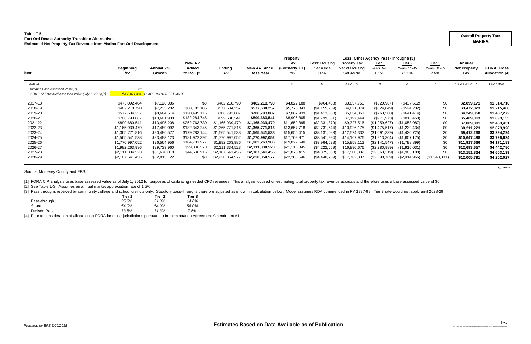### **Table F-5 Fort Ord Reuse Authority Transition Alternatives Estimated Net Property Tax Revenue from Marina Fort Ord Development**

|                                                                         |                                                                                                                                                                      |                                                                                                                                           |                                                                                                                                                         |                                                                                                                                              | <b>Property</b>                                                                                        | Less: Other Agency Pass-Throughs [3]                                                                                                                            |                                                                                                                                                                                       |                                                                                                                                                                          |                                                                                                                                                          |                                                                                                                                                                |                                                                                |                                                                                                                                                  |
|-------------------------------------------------------------------------|----------------------------------------------------------------------------------------------------------------------------------------------------------------------|-------------------------------------------------------------------------------------------------------------------------------------------|---------------------------------------------------------------------------------------------------------------------------------------------------------|----------------------------------------------------------------------------------------------------------------------------------------------|--------------------------------------------------------------------------------------------------------|-----------------------------------------------------------------------------------------------------------------------------------------------------------------|---------------------------------------------------------------------------------------------------------------------------------------------------------------------------------------|--------------------------------------------------------------------------------------------------------------------------------------------------------------------------|----------------------------------------------------------------------------------------------------------------------------------------------------------|----------------------------------------------------------------------------------------------------------------------------------------------------------------|--------------------------------------------------------------------------------|--------------------------------------------------------------------------------------------------------------------------------------------------|
| <b>Beginning</b><br>AV                                                  | <b>Annual 2%</b><br>Growth                                                                                                                                           | Added<br>to Roll [2]                                                                                                                      | <b>Ending</b><br>AV                                                                                                                                     | <b>New AV Since</b><br><b>Base Year</b>                                                                                                      | (Formerly T.I.)<br>1%                                                                                  | Set Aside<br>20%                                                                                                                                                | Net of Housing<br>Set Aside                                                                                                                                                           | Years 1-45<br>13.5%                                                                                                                                                      | Years 11-45<br>11.3%                                                                                                                                     | Years 31-45<br>7.6%                                                                                                                                            | <b>Net Property</b><br>Tax                                                     | <b>FORA Gross</b><br><b>Allocation</b> [4]                                                                                                       |
|                                                                         |                                                                                                                                                                      |                                                                                                                                           |                                                                                                                                                         |                                                                                                                                              | a                                                                                                      |                                                                                                                                                                 | $c = a + b$                                                                                                                                                                           | d                                                                                                                                                                        |                                                                                                                                                          |                                                                                                                                                                | $e = c + d + e + f$                                                            | $f = e * 35%$                                                                                                                                    |
|                                                                         |                                                                                                                                                                      |                                                                                                                                           |                                                                                                                                                         |                                                                                                                                              |                                                                                                        |                                                                                                                                                                 |                                                                                                                                                                                       |                                                                                                                                                                          |                                                                                                                                                          |                                                                                                                                                                |                                                                                |                                                                                                                                                  |
| FY 2016-17 Estimated Assessed Value (July 1, 2016) [1]<br>\$468,071,334 |                                                                                                                                                                      |                                                                                                                                           |                                                                                                                                                         |                                                                                                                                              |                                                                                                        |                                                                                                                                                                 |                                                                                                                                                                                       |                                                                                                                                                                          |                                                                                                                                                          |                                                                                                                                                                |                                                                                |                                                                                                                                                  |
|                                                                         |                                                                                                                                                                      |                                                                                                                                           |                                                                                                                                                         |                                                                                                                                              |                                                                                                        |                                                                                                                                                                 |                                                                                                                                                                                       |                                                                                                                                                                          |                                                                                                                                                          |                                                                                                                                                                |                                                                                | \$1,014,710                                                                                                                                      |
|                                                                         |                                                                                                                                                                      |                                                                                                                                           |                                                                                                                                                         |                                                                                                                                              |                                                                                                        |                                                                                                                                                                 |                                                                                                                                                                                       |                                                                                                                                                                          |                                                                                                                                                          |                                                                                                                                                                |                                                                                | \$1,215,488                                                                                                                                      |
|                                                                         |                                                                                                                                                                      |                                                                                                                                           |                                                                                                                                                         |                                                                                                                                              |                                                                                                        |                                                                                                                                                                 |                                                                                                                                                                                       |                                                                                                                                                                          |                                                                                                                                                          |                                                                                                                                                                |                                                                                | \$1,487,272                                                                                                                                      |
|                                                                         |                                                                                                                                                                      |                                                                                                                                           |                                                                                                                                                         |                                                                                                                                              |                                                                                                        |                                                                                                                                                                 | \$7,197,444                                                                                                                                                                           |                                                                                                                                                                          |                                                                                                                                                          |                                                                                                                                                                |                                                                                | \$1,893,155                                                                                                                                      |
|                                                                         |                                                                                                                                                                      |                                                                                                                                           |                                                                                                                                                         | \$1,165,939,479                                                                                                                              |                                                                                                        |                                                                                                                                                                 |                                                                                                                                                                                       |                                                                                                                                                                          |                                                                                                                                                          |                                                                                                                                                                |                                                                                | \$2,453,431                                                                                                                                      |
|                                                                         |                                                                                                                                                                      |                                                                                                                                           |                                                                                                                                                         | \$1,365,771,816                                                                                                                              |                                                                                                        |                                                                                                                                                                 |                                                                                                                                                                                       |                                                                                                                                                                          |                                                                                                                                                          |                                                                                                                                                                |                                                                                | \$2,873,928                                                                                                                                      |
|                                                                         | \$20,486,577                                                                                                                                                         | \$179,283,144                                                                                                                             | \$1,565,541,538                                                                                                                                         |                                                                                                                                              |                                                                                                        | $($ \$3,131,083)                                                                                                                                                |                                                                                                                                                                                       | (\$1,691,339)                                                                                                                                                            | (\$1,420,725)                                                                                                                                            |                                                                                                                                                                | \$9,412,268                                                                    | \$3,294,294                                                                                                                                      |
|                                                                         |                                                                                                                                                                      | \$181,972,392                                                                                                                             | \$1,770,997,052                                                                                                                                         | \$1,770,997,052                                                                                                                              |                                                                                                        |                                                                                                                                                                 |                                                                                                                                                                                       |                                                                                                                                                                          | (\$1,607,175)                                                                                                                                            |                                                                                                                                                                | \$10,647,498                                                                   | \$3,726,624                                                                                                                                      |
| \$1,770,997,052                                                         |                                                                                                                                                                      | \$184,701,977                                                                                                                             | \$1,982,263,986                                                                                                                                         | \$1,982,263,986                                                                                                                              |                                                                                                        |                                                                                                                                                                 |                                                                                                                                                                                       |                                                                                                                                                                          |                                                                                                                                                          |                                                                                                                                                                |                                                                                | \$4,171,183                                                                                                                                      |
|                                                                         |                                                                                                                                                                      | \$99,336,578                                                                                                                              |                                                                                                                                                         |                                                                                                                                              |                                                                                                        |                                                                                                                                                                 |                                                                                                                                                                                       |                                                                                                                                                                          |                                                                                                                                                          |                                                                                                                                                                |                                                                                | \$4,442,780                                                                                                                                      |
| \$2,111,334,523                                                         | \$31,670,018                                                                                                                                                         |                                                                                                                                           |                                                                                                                                                         | \$2,187,541,456                                                                                                                              | \$21,875,415                                                                                           |                                                                                                                                                                 |                                                                                                                                                                                       | (\$2,363,319)                                                                                                                                                            |                                                                                                                                                          | \$0                                                                                                                                                            |                                                                                | \$4,603,139                                                                                                                                      |
| \$2,187,541,456                                                         | \$32,813,122                                                                                                                                                         | \$0                                                                                                                                       | \$2,220,354,577                                                                                                                                         | \$2,220,354,577                                                                                                                              | \$22,203,546                                                                                           | (\$4,440,709)                                                                                                                                                   | \$17,762,837                                                                                                                                                                          | (\$2,398,769)                                                                                                                                                            | $(\$2,014,966)$                                                                                                                                          | (\$1,343,311)                                                                                                                                                  | \$12,005,791                                                                   | \$4,202,027                                                                                                                                      |
|                                                                         | \$0<br>\$475,092,404<br>\$482,218,790<br>\$577,634,257<br>\$706,793,887<br>\$899,680,541<br>\$1,165,939,479<br>\$1,365,771,816<br>\$1,565,541,538<br>\$1,982,263,986 | \$7,126,386<br>\$7,233,282<br>\$8,664,514<br>\$10,601,908<br>\$13,495,208<br>\$17,489,092<br>\$23,483,123<br>\$26,564,956<br>\$29,733,960 | <b>New AV</b><br><b>PLACEHOLDER ESTIMATE</b><br>\$0<br>\$88,182,185<br>\$120,495,116<br>\$182,284,746<br>\$252,763,730<br>\$182,343,245<br>\$44,536,915 | \$482,218,790<br>\$577,634,257<br>\$706,793,887<br>\$899,680,541<br>\$1,165,939,479<br>\$1,365,771,816<br>\$2,111,334,523<br>\$2,187,541,456 | \$482,218,790<br>\$577,634,257<br>\$706,793,887<br>\$899,680,541<br>\$1,565,541,538<br>\$2,111,334,523 | Tax<br>\$4,822,188<br>\$5,776,343<br>\$7,067,939<br>\$8,996,805<br>\$11,659,395<br>\$13,657,718<br>\$15,655,415<br>\$17,709,971<br>\$19,822,640<br>\$21,113,345 | Less: Housing<br>(\$964,438)<br>(\$1,155,269)<br>(\$1,413,588)<br>(\$1,799,361)<br>(\$2,331,879)<br>(\$2,731,544)<br>(\$3,541,994)<br>(\$3,964,528)<br>(\$4,222,669)<br>(\$4,375,083) | Property Tax<br>\$3,857,750<br>\$4,621,074<br>\$5,654,351<br>\$9,327,516<br>\$10,926,175<br>\$12,524,332<br>\$14,167,976<br>\$15,858,112<br>\$16,890,676<br>\$17,500,332 | Tier 1<br>(\$520, 967)<br>(\$624,049)<br>(\$763,588)<br>(\$971,973)<br>(\$1,259,627)<br>(\$1,475,517)<br>(\$1,913,304)<br>(\$2,141,547)<br>(\$2,280,989) | <u>Tier 2</u><br>(\$437,612)<br>(\$524,202)<br>(\$641,414)<br>(\$816,458)<br>(\$1,058,087)<br>(\$1,239,434)<br>(\$1,798,899)<br>(\$1,916,031)<br>(\$1,985,188) | Tier $3$<br>\$0<br>\$0<br>\$0<br>\$0<br>\$0<br>\$0<br>\$0<br>\$0<br>\$0<br>\$0 | Annual<br>\$2,899,171<br>\$3,472,823<br>\$4,249,350<br>\$5,409,013<br>\$7,009,801<br>\$8,211,223<br>\$11,917,666<br>\$12,693,657<br>\$13,151,824 |

*ti\_marina*

Source: Monterey County and EPS.

[1] FORA CIP analysis uses base assessed value as of July 1, 2012 for purposes of calibrating needed CFD revenues. This analysis focused on estimating total property tax revenue accruals and therefore uses a base assessed

[2] See Table L-3. Assumes an annual market appreciation rate of 1.5%.

[3] Pass throughs received by community college and school districts only. Statutory pass-throughs therefore adjusted as shown in calculation below. Model assumes RDA commenced in FY 1997-98. Tier 3 rate would not apply un

| Tier 1<br>______ | Tier 2 | Tier 3 |
|------------------|--------|--------|
| 25.0%            | 21.0%  | 14.0%  |
| 54.0%            | 54.0%  | 54.0%  |
| 13.5%            | 11.3%  | 7.6%   |
|                  |        |        |

[4] Prior to consideration of allocation to FORA land use jurisdictions pursuant to Implementation Agreement Amendment #1.

### **Overall Property Tax: MARINA**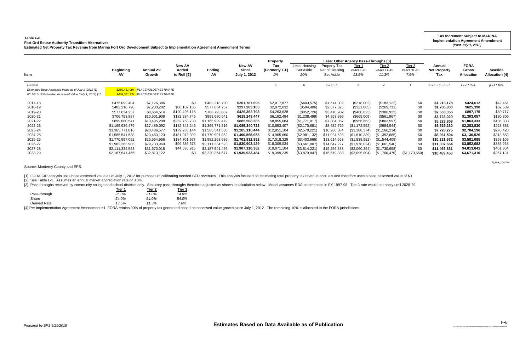## **Table F-6Fort Ord Reuse Authority Transition Alternatives**

[3] Pass throughs received by community college and school districts only. Statutory pass-throughs therefore adjusted as shown in calculation below. Model assumes RDA commenced in FY 1997-98. Tier 3 rate would not apply un **Tier 1 Tier 2 Tier 3**

| Table F-6<br><b>Fort Ord Reuse Authority Transition Alternatives</b><br>Estimated Net Property Tax Revenue from Marina Fort Ord Development Subject to Implementation Agreement Amendment Terms |                                                                                                                                                                                                                        |                                                                                                                                                                                           |                                                                                                                                                                                   |                                                                                                                                                                                                                          |                                                                                                                                                                                                                        |                                                                                                                                                                                         |                                                                                                                                                                                                   |                                                                                                                                                                                        |                                                                                                                                                                                                |                                                                                                                                                                                               |                                                                                     |                                                                                                                                                                                      | <b>Tax Increment Subject to MARINA</b><br><b>Implementation Agreement Amendment</b><br>(Post July 1, 2012)                                                                 |                                                                                                                                                       |
|-------------------------------------------------------------------------------------------------------------------------------------------------------------------------------------------------|------------------------------------------------------------------------------------------------------------------------------------------------------------------------------------------------------------------------|-------------------------------------------------------------------------------------------------------------------------------------------------------------------------------------------|-----------------------------------------------------------------------------------------------------------------------------------------------------------------------------------|--------------------------------------------------------------------------------------------------------------------------------------------------------------------------------------------------------------------------|------------------------------------------------------------------------------------------------------------------------------------------------------------------------------------------------------------------------|-----------------------------------------------------------------------------------------------------------------------------------------------------------------------------------------|---------------------------------------------------------------------------------------------------------------------------------------------------------------------------------------------------|----------------------------------------------------------------------------------------------------------------------------------------------------------------------------------------|------------------------------------------------------------------------------------------------------------------------------------------------------------------------------------------------|-----------------------------------------------------------------------------------------------------------------------------------------------------------------------------------------------|-------------------------------------------------------------------------------------|--------------------------------------------------------------------------------------------------------------------------------------------------------------------------------------|----------------------------------------------------------------------------------------------------------------------------------------------------------------------------|-------------------------------------------------------------------------------------------------------------------------------------------------------|
| Item                                                                                                                                                                                            | <b>Beginning</b><br>AV.                                                                                                                                                                                                | Annual 2%<br>Growth                                                                                                                                                                       | <b>New AV</b><br>Added<br>to Roll [2]                                                                                                                                             | Ending<br>Α٧                                                                                                                                                                                                             | <b>New AV</b><br><b>Since</b><br>July 1, 2012                                                                                                                                                                          | <b>Property</b><br>Tax<br>(Formerly T.I.)<br>1%                                                                                                                                         | Less: Housing<br>Set Aside<br>20%                                                                                                                                                                 | <b>Property Tax</b><br>Net of Housing<br>Set Aside                                                                                                                                     | Less: Other Agency Pass-Throughs [3]<br>Tier 1<br>Years 1-45<br>13.5%                                                                                                                          | Tier <sub>2</sub><br>Years 11-45<br>11.3%                                                                                                                                                     | Tier 3<br>Years 31-45<br>7.6%                                                       | Annual<br><b>Net Property</b><br>Tax                                                                                                                                                 | <b>FORA</b><br>Gross<br>Allocation                                                                                                                                         | <b>Seaside</b><br><b>Allocation [4]</b>                                                                                                               |
| Formula<br>Estimated Base Assessed Value as of July 1, 2012 [1]<br>FY 2016-17 Estimated Assessed Value (July 1, 2016) [1]                                                                       |                                                                                                                                                                                                                        | \$280.431.094 PLACEHOLDER ESTIMATE<br>\$468,071,334 PLACEHOLDER ESTIMATE                                                                                                                  |                                                                                                                                                                                   |                                                                                                                                                                                                                          |                                                                                                                                                                                                                        | $\overline{a}$                                                                                                                                                                          |                                                                                                                                                                                                   | $c = a + b$                                                                                                                                                                            |                                                                                                                                                                                                |                                                                                                                                                                                               |                                                                                     | $e = c + d + e + f$                                                                                                                                                                  | $f = e * 35%$                                                                                                                                                              | $q = f * 10\%$                                                                                                                                        |
| 2017-18<br>2018-19<br>2019-20<br>2020-21<br>2021-22<br>2022-23<br>2023-24<br>2024-25<br>2025-26<br>2026-27<br>2027-28<br>2028-29                                                                | \$475,092,404<br>\$482,218,790<br>\$577,634,257<br>\$706,793,887<br>\$899,680,541<br>\$1,165,939,479<br>\$1,365,771,816<br>\$1,565,541,538<br>\$1,770,997,052<br>\$1,982,263,986<br>\$2,111,334,523<br>\$2,187,541,456 | \$7,126,386<br>\$7,233,282<br>\$8,664,514<br>\$10,601,908<br>\$13,495,208<br>\$17,489,092<br>\$20,486,577<br>\$23,483,123<br>\$26,564,956<br>\$29,733,960<br>\$31,670,018<br>\$32,813,122 | \$0<br>\$88,182,185<br>\$120,495,116<br>\$182,284,746<br>\$252,763,730<br>\$182,343,245<br>\$179,283,144<br>\$181,972,392<br>\$184,701,977<br>\$99,336,578<br>\$44,536,915<br>\$0 | \$482,218,790<br>\$577,634,257<br>\$706,793,887<br>\$899,680,541<br>\$1,165,939,479<br>\$1,365,771,816<br>\$1,565,541,538<br>\$1,770,997,052<br>\$1,982,263,986<br>\$2,111,334,523<br>\$2,187,541,456<br>\$2,220,354,577 | \$201,787,696<br>\$297,203,163<br>\$426,362,793<br>\$619,249,447<br>\$885,508,385<br>\$1,085,340,722<br>\$1.285.110.444<br>\$1,490,565,958<br>\$1,701,832,892<br>\$1,830,903,429<br>\$1,907,110,362<br>\$1,939,923,484 | \$2,017,877<br>\$2,972,032<br>\$4,263,628<br>\$6,192,494<br>\$8,855,084<br>\$10,853,407<br>\$12,851,104<br>\$14,905,660<br>\$17,018,329<br>\$18,309,034<br>\$19,071,104<br>\$19,399,235 | (\$403,575)<br>(\$594,406)<br>(\$852,726)<br>(\$1,238,499)<br>(\$1,771,017)<br>(\$2,170,681<br>(\$2,570,221<br>(\$2,981,132)<br>(\$3,403,666)<br>$(\$3,661,807)$<br>(\$3,814,221<br>(\$3,879,847) | \$1,614,302<br>\$2,377,625<br>\$3,410,902<br>\$4,953,996<br>\$7,084,067<br>\$8,682,726<br>\$10,280,884<br>\$11,924,528<br>\$13,614,663<br>\$14,647,227<br>\$15,256,883<br>\$15,519,388 | (\$218,002)<br>(\$321,085)<br>(\$460,623)<br>(\$669,009)<br>(\$956,663)<br>(\$1,172,552)<br>(\$1,388,374)<br>(\$1,610,339)<br>(\$1,838,582)<br>(\$1,978,024)<br>(\$2,060,354)<br>(\$2,095,804) | (\$183, 122)<br>(\$269,711)<br>(\$386,923)<br>(\$561,967)<br>(\$803,597)<br>(\$984,944)<br>(\$1,166,234)<br>(\$1,352,685)<br>(\$1,544,409)<br>(\$1,661,540)<br>(\$1,730,698)<br>(\$1,760,475) | \$0<br>\$0<br>\$0<br>\$0<br>\$0<br>\$0<br>\$0<br>\$0<br>\$0<br>\$0<br>(\$1,173,650) | \$1,213,178<br>\$1,786,830<br>\$2,563,356<br>\$3,723,020<br>\$5,323,808<br>\$6,525,230<br>\$7,726,275<br>\$8,961,504<br>\$10,231,672<br>\$11,007,664<br>\$11,465,831<br>\$10,489,458 | \$424,612<br>\$625,390<br>\$897,175<br>\$1,303,057<br>\$1,863,333<br>\$2,283,830<br>\$2,704,196<br>\$3,136,526<br>\$3,581,085<br>\$3,852,682<br>\$4,013,041<br>\$3,671,310 | \$42,461<br>\$62,539<br>\$89,717<br>\$130,306<br>\$186,333<br>\$228,383<br>\$270,420<br>\$313,653<br>\$358,109<br>\$385,268<br>\$401,304<br>\$367,131 |

*ti\_iaa\_marina*

Source: Monterey County and EPS.

[1] FORA CIP analysis uses base assessed value as of July 1, 2012 for purposes of calibrating needed CFD revenues. This analysis focused on estimating total property tax revenue accruals and therefore uses a base assessed

[2] See Table L-3. Assumes an annual market appreciation rate of 0.0%.

|              | rier 1 | ner z | нег з |
|--------------|--------|-------|-------|
| Pass-through | 25.0%  | 21.0% | 14.0% |
| Share        | 54.0%  | 54.0% | 54.0% |
| Derived Rate | 13.5%  | 11.3% | 7.6%  |
|              |        |       |       |

[4] Per Implementation Agreement Amendment #1, FORA retains 90% of property tax generated based on assessed value growth since July 1, 2012. The remaining 10% is allocated to the FORA jurisdictions.

*P:\162000\162127 FORA Cost Allocation Alternatives\Model\162127 property tax model.xlsm*

F-6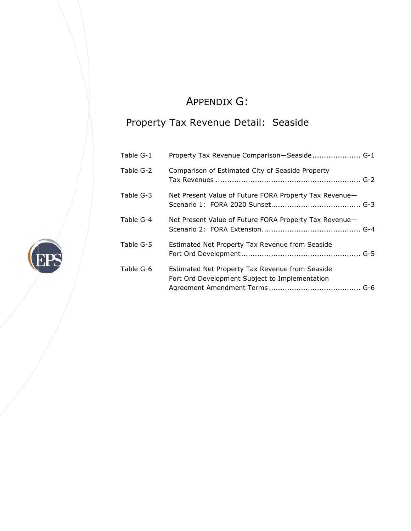# A APPENDIX X G:

## Prope rty Tax R Revenue Detail: Seaside

|           | Property Tax Revenue Detail: Seaside                                                              |
|-----------|---------------------------------------------------------------------------------------------------|
| Table G-1 | Property Tax Revenue Comparison-Seaside G-1                                                       |
| Table G-2 | Comparison of Estimated City of Seaside Property                                                  |
| Table G-3 | Net Present Value of Future FORA Property Tax Revenue—                                            |
| Table G-4 | Net Present Value of Future FORA Property Tax Revenue-                                            |
| Table G-5 | Estimated Net Property Tax Revenue from Seaside                                                   |
| Table G-6 | Estimated Net Property Tax Revenue from Seaside<br>Fort Ord Development Subject to Implementation |

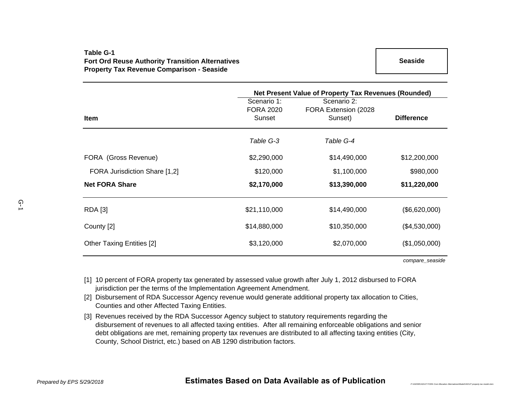## **Table G-1Fort Ord Reuse Authority Transition Alternatives Property Tax Revenue Comparison - Seaside**

|                                  | Net Present Value of Property Tax Revenues (Rounded) |                                      |                   |  |  |  |  |
|----------------------------------|------------------------------------------------------|--------------------------------------|-------------------|--|--|--|--|
|                                  | Scenario 1:<br><b>FORA 2020</b>                      | Scenario 2:<br>FORA Extension (2028) |                   |  |  |  |  |
| <b>Item</b>                      | Sunset                                               | Sunset)                              | <b>Difference</b> |  |  |  |  |
|                                  | Table G-3                                            | Table G-4                            |                   |  |  |  |  |
| FORA (Gross Revenue)             | \$2,290,000                                          | \$14,490,000                         | \$12,200,000      |  |  |  |  |
| FORA Jurisdiction Share [1,2]    | \$120,000                                            | \$1,100,000                          | \$980,000         |  |  |  |  |
| <b>Net FORA Share</b>            | \$2,170,000                                          | \$13,390,000                         | \$11,220,000      |  |  |  |  |
| <b>RDA</b> [3]                   | \$21,110,000                                         | \$14,490,000                         | (\$6,620,000)     |  |  |  |  |
| County [2]                       | \$14,880,000                                         | \$10,350,000                         | (\$4,530,000)     |  |  |  |  |
| <b>Other Taxing Entities [2]</b> | \$3,120,000                                          | \$2,070,000                          | (\$1,050,000)     |  |  |  |  |

*compare\_seaside*

*P*:\162000\162127 FORA Cost Allocation Alternatives\Model\162127 property tax m

- [1] 10 percent of FORA property tax generated by assessed value growth after July 1, 2012 disbursed to FORA jurisdiction per the terms of the Implementation Agreement Amendment.
- [2] Disbursement of RDA Successor Agency revenue would generate additional property tax allocation to Cities, Counties and other Affected Taxing Entities.
- [3] Revenues received by the RDA Successor Agency subject to statutory requirements regarding the disbursement of revenues to all affected taxing entities. After all remaining enforceable obligations and senior debt obligations are met, remaining property tax revenues are distributed to all affecting taxing entities (City, County, School District, etc.) based on AB 1290 distribution factors.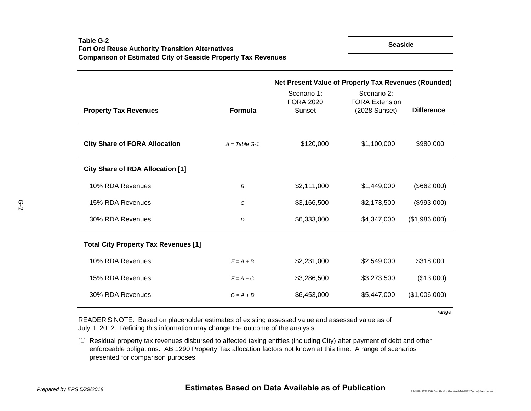**Seaside**

|                                             |                 | Net Present Value of Property Tax Revenues (Rounded) |                                                       |                   |
|---------------------------------------------|-----------------|------------------------------------------------------|-------------------------------------------------------|-------------------|
| <b>Property Tax Revenues</b>                | <b>Formula</b>  | Scenario 1:<br><b>FORA 2020</b><br>Sunset            | Scenario 2:<br><b>FORA Extension</b><br>(2028 Sunset) | <b>Difference</b> |
| <b>City Share of FORA Allocation</b>        | $A = Table G-1$ | \$120,000                                            | \$1,100,000                                           | \$980,000         |
| <b>City Share of RDA Allocation [1]</b>     |                 |                                                      |                                                       |                   |
| 10% RDA Revenues                            | B               | \$2,111,000                                          | \$1,449,000                                           | (\$662,000)       |
| 15% RDA Revenues                            | C               | \$3,166,500                                          | \$2,173,500                                           | (\$993,000)       |
| 30% RDA Revenues                            | D               | \$6,333,000                                          | \$4,347,000                                           | (\$1,986,000)     |
| <b>Total City Property Tax Revenues [1]</b> |                 |                                                      |                                                       |                   |
| 10% RDA Revenues                            | $E = A + B$     | \$2,231,000                                          | \$2,549,000                                           | \$318,000         |
| 15% RDA Revenues                            | $F = A + C$     | \$3,286,500                                          | \$3,273,500                                           | (\$13,000)        |
| 30% RDA Revenues                            | $G = A + D$     | \$6,453,000                                          | \$5,447,000                                           | (\$1,006,000)     |

*range*

*P:\162000\162127 FORA Cost Allocation Alternatives\Model\162127 property tax model.xlsm*

READER'S NOTE: Based on placeholder estimates of existing assessed value and assessed value as of July 1, 2012. Refining this information may change the outcome of the analysis.

[1] Residual property tax revenues disbursed to affected taxing entities (including City) after payment of debt and other enforceable obligations. AB 1290 Property Tax allocation factors not known at this time. A range of scenarios presented for comparison purposes.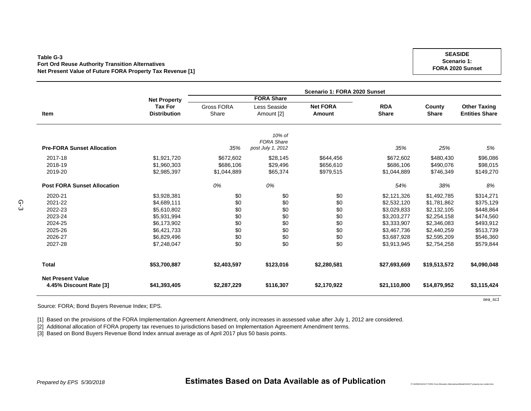#### **Table G-3Fort Ord Reuse Authority Transition Alternatives Net Present Value of Future FORA Property Tax Revenue [1]**

**SEASIDEScenario 1: FORA 2020 Sunset**

|                                                     |                     | Scenario 1: FORA 2020 Sunset |                   |                 |              |              |                       |  |  |
|-----------------------------------------------------|---------------------|------------------------------|-------------------|-----------------|--------------|--------------|-----------------------|--|--|
|                                                     | <b>Net Property</b> |                              | <b>FORA Share</b> |                 |              |              |                       |  |  |
|                                                     | <b>Tax For</b>      | <b>Gross FORA</b>            | Less Seaside      | <b>Net FORA</b> | <b>RDA</b>   | County       | <b>Other Taxing</b>   |  |  |
| Item                                                | <b>Distribution</b> | Share                        | Amount [2]        | Amount          | <b>Share</b> | <b>Share</b> | <b>Entities Share</b> |  |  |
|                                                     |                     |                              |                   |                 |              |              |                       |  |  |
|                                                     |                     |                              | 10% of            |                 |              |              |                       |  |  |
|                                                     |                     |                              | <b>FORA Share</b> |                 |              |              |                       |  |  |
| <b>Pre-FORA Sunset Allocation</b>                   |                     | 35%                          | post July 1, 2012 |                 | 35%          | 25%          | 5%                    |  |  |
| 2017-18                                             | \$1,921,720         | \$672,602                    | \$28,145          | \$644,456       | \$672,602    | \$480,430    | \$96,086              |  |  |
| 2018-19                                             | \$1,960,303         | \$686,106                    | \$29,496          | \$656,610       | \$686,106    | \$490,076    | \$98,015              |  |  |
| 2019-20                                             | \$2,985,397         | \$1,044,889                  | \$65,374          | \$979,515       | \$1,044,889  | \$746,349    | \$149,270             |  |  |
| <b>Post FORA Sunset Allocation</b>                  |                     | 0%                           | 0%                |                 | 54%          | 38%          | 8%                    |  |  |
| 2020-21                                             | \$3,928,381         | \$0                          | \$0               | \$0             | \$2,121,326  | \$1,492,785  | \$314,271             |  |  |
| 2021-22                                             | \$4,689,111         | \$0                          | \$0               | \$0             | \$2,532,120  | \$1,781,862  | \$375,129             |  |  |
| 2022-23                                             | \$5,610,802         | \$0                          | \$0               | \$0             | \$3,029,833  | \$2,132,105  | \$448,864             |  |  |
| 2023-24                                             | \$5,931,994         | \$0                          | \$0               | \$0             | \$3,203,277  | \$2,254,158  | \$474,560             |  |  |
| 2024-25                                             | \$6,173,902         | \$0                          | \$0               | \$0             | \$3,333,907  | \$2,346,083  | \$493,912             |  |  |
| 2025-26                                             | \$6,421,733         | \$0                          | \$0               | \$0             | \$3,467,736  | \$2,440,259  | \$513,739             |  |  |
| 2026-27                                             | \$6,829,496         | \$0                          | \$0               | \$0             | \$3,687,928  | \$2,595,209  | \$546,360             |  |  |
| 2027-28                                             | \$7,248,047         | \$0                          | \$0               | \$0             | \$3,913,945  | \$2,754,258  | \$579,844             |  |  |
| <b>Total</b>                                        | \$53,700,887        | \$2,403,597                  | \$123,016         | \$2,280,581     | \$27,693,669 | \$19,513,572 | \$4,090,048           |  |  |
|                                                     |                     |                              |                   |                 |              |              |                       |  |  |
| <b>Net Present Value</b><br>4.45% Discount Rate [3] | \$41,393,405        | \$2,287,229                  | \$116,307         | \$2,170,922     | \$21,110,800 | \$14,879,952 | \$3,115,424           |  |  |

Source: FORA; Bond Buyers Revenue Index; EPS.

[1] Based on the provisions of the FORA Implementation Agreement Amendment, only increases in assessed value after July 1, 2012 are considered.

[2] Additional allocation of FORA property tax revenues to jurisdictions based on Implementation Agreement Amendment terms.

[3] Based on Bond Buyers Revenue Bond Index annual average as of April 2017 plus 50 basis points.

G-3

*P:\162000\162127 FORA Cost Allocation Alternatives\Model\162127 property tax model.xlsm*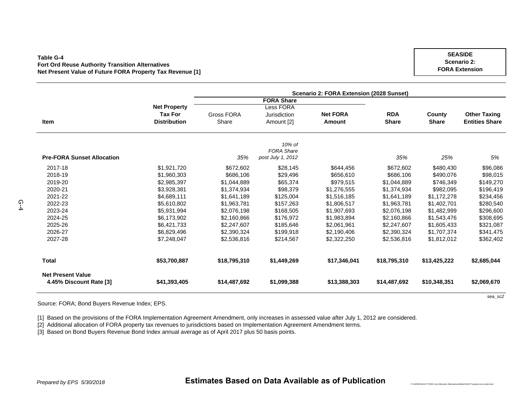#### **Table G-4Fort Ord Reuse Authority Transition Alternatives Net Present Value of Future FORA Property Tax Revenue [1]**

**ItemNet Property Tax For Distribution** Gross FORA ShareLess FORA Jurisdiction Amount [2] **Net FORAAmountRDAShare County Share Other Taxing Entities Share Pre-FORA Sunset Allocation** *35%10% of FORA Share post July 1, 2012 35% 25% 5%* 2017-188 \$1,921,720 \$672,602 \$28,145 \$644,456 \$672,602 \$480,430 \$96,086 2018-199 \$1,960,303 \$686,106 \$29,496 \$656,610 \$686,106 \$490,076 \$98,015 2019-20 \$2,985,397 \$1,044,889 \$65,374 \$979,515 \$1,044,889 \$746,349 \$149,270 2020-21 \$3,928,381 \$1,374,934 \$98,379 \$1,276,555 \$1,374,934 \$982,095 \$196,419 2021-22 \$4,689,111 \$1,641,189 \$125,004 \$1,516,185 \$1,641,189 \$1,172,278 \$234,456 2022-23 \$5,610,802 \$1,963,781 \$157,263 \$1,806,517 \$1,963,781 \$1,402,701 \$280,540 2023-24 \$5,931,994 \$2,076,198 \$168,505 \$1,907,693 \$2,076,198 \$1,482,999 \$296,600 2024-25 \$6,173,902 \$2,160,866 \$176,972 \$1,983,894 \$2,160,866 \$1,543,476 \$308,695 2025-26 \$6,421,733 \$2,247,607 \$185,646 \$2,061,961 \$2,247,607 \$1,605,433 \$321,087 2026-27 \$6,829,496 \$2,390,324 \$199,918 \$2,190,406 \$2,390,324 \$1,707,374 \$341,475 2027-28 \$7,248,047 \$2,536,816 \$214,567 \$2,322,250 \$2,536,816 \$1,812,012 \$362,402 **Total \$53,700,887 \$18,795,310 \$1,449,269 \$17,346,041 \$18,795,310 \$13,425,222 \$2,685,044 Net Present Value4.45% Discount Rate [3] \$41,393,405 \$14,487,692 \$1,099,388 \$13,388,303 \$14,487,692 \$10,348,351 \$2,069,670 Scenario 2: FORA Extension (2028 Sunset) FORA Share**

Source: FORA; Bond Buyers Revenue Index; EPS.

[1] Based on the provisions of the FORA Implementation Agreement Amendment, only increases in assessed value after July 1, 2012 are considered.

[2] Additional allocation of FORA property tax revenues to jurisdictions based on Implementation Agreement Amendment terms.

[3] Based on Bond Buyers Revenue Bond Index annual average as of April 2017 plus 50 basis points.

*P:\162000\162127 FORA Cost Allocation Alternatives\Model\162127 property tax model.xlsm*

 $\Omega$ 

**SEASIDEScenario 2: FORA Extension**

*sea\_sc2*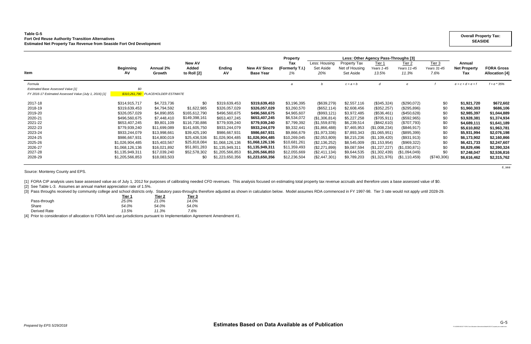### **Table G-5 Fort Ord Reuse Authority Transition Alternatives Estimated Net Property Tax Revenue from Seaside Fort Ord Development**

|                                                        |                        |                             |                                         |                     |                                         | <b>Property</b>              |                                   |                                             | Less: Other Agency Pass-Throughs [3]     |                                           |                                 |                                      |                                            |
|--------------------------------------------------------|------------------------|-----------------------------|-----------------------------------------|---------------------|-----------------------------------------|------------------------------|-----------------------------------|---------------------------------------------|------------------------------------------|-------------------------------------------|---------------------------------|--------------------------------------|--------------------------------------------|
| <b>Item</b>                                            | <b>Beginning</b><br>AV | Annual 2%<br>Growth         | <b>New AV</b><br>Added<br>to Roll $[2]$ | <b>Ending</b><br>AV | <b>New AV Since</b><br><b>Base Year</b> | Tax<br>(Formerly T.I.)<br>1% | Less: Housing<br>Set Aside<br>20% | Property Tax<br>Net of Housing<br>Set Aside | Tier <sub>1</sub><br>Years 1-45<br>13.5% | Tier <sub>2</sub><br>Years 11-45<br>11.3% | Tier $3$<br>Years 31-45<br>7.6% | Annual<br><b>Net Property</b><br>Tax | <b>FORA Gross</b><br><b>Allocation [4]</b> |
| Formula                                                |                        |                             |                                         |                     |                                         | a                            |                                   | $c = a + b$                                 | d                                        |                                           |                                 | $e = c + d + e + f$                  | $f = e * 35%$                              |
| <b>Estimated Base Assessed Value [1]</b>               | \$0                    |                             |                                         |                     |                                         |                              |                                   |                                             |                                          |                                           |                                 |                                      |                                            |
| FY 2016-17 Estimated Assessed Value (July 1, 2016) [1] | \$310,261,790          | <b>PLACEHOLDER ESTIMATE</b> |                                         |                     |                                         |                              |                                   |                                             |                                          |                                           |                                 |                                      |                                            |
| 2017-18                                                | \$314,915,717          | \$4,723,736                 | \$0                                     | \$319,639,453       | \$319,639,453                           | \$3,196,395                  | (\$639,279)                       | \$2,557,116                                 | (\$345,324)                              | (\$290,072)                               | \$0                             | \$1,921,720                          | \$672,602                                  |
| 2018-19                                                | \$319,639,453          | \$4,794,592                 | \$1,622,985                             | \$326,057,029       | \$326,057,029                           | \$3,260,570                  | (\$652, 114)                      | \$2,608,456                                 | (\$352, 257)                             | (\$295,896)                               | \$0                             | \$1,960,303                          | \$686,106                                  |
| 2019-20                                                | \$326,057,029          | \$4,890,855                 | \$165,612,790                           | \$496,560,675       | \$496,560,675                           | \$4,965,607                  | (\$993,121)                       | \$3,972,485                                 | $(\$536,461)$                            | (\$450,628)                               | \$0                             | \$2,985,397                          | \$1,044,889                                |
| 2020-21                                                | \$496,560,675          | \$7,448,410                 | \$149,398,161                           | \$653,407,245       | \$653,407,245                           | \$6,534,072                  | (\$1,306,814)                     | \$5,227,258                                 | (\$705,911)                              | (\$592,965)                               | \$0                             | \$3,928,381                          | \$1,374,934                                |
| 2021-22                                                | \$653,407,245          | \$9,801,109                 | \$116,730,886                           | \$779,939,240       | \$779,939,240                           | \$7,799,392                  | (\$1,559,878)                     | \$6,239,514                                 | (\$842,610)                              | (\$707,793)                               | \$0                             | \$4,689,111                          | \$1,641,189                                |
| 2022-23                                                | \$779,939,240          | \$11,699,089                | \$141,605,750                           | \$933,244,079       | \$933,244,079                           | \$9,332,441                  | (\$1,866,488)                     | \$7,465,953                                 | (\$1,008,234)                            | (\$846,917)                               | \$0                             | \$5,610,802                          | \$1,963,781                                |
| 2023-24                                                | \$933,244,079          | \$13,998,661                | \$39,425,190                            | \$986,667,931       | \$986,667,931                           | \$9,866,679                  | (\$1,973,336)                     | \$7,893,343                                 | (\$1,065,951)                            | (\$895,399)                               | \$0                             | \$5,931,994                          | \$2,076,198                                |
| 2024-25                                                | \$986,667,931          | \$14,800,019                | \$25,436,536                            | \$1,026,904,485     | \$1,026,904,485                         | \$10,269,045                 | (\$2,053,809)                     | \$8,215,236                                 | (\$1,109,420)                            | (\$931,913)                               | \$0                             | \$6,173,902                          | \$2,160,866                                |
| 2025-26                                                | \$1,026,904,485        | \$15,403,567                | \$25,818,084                            | \$1,068,126,136     | \$1,068,126,136                         | \$10,681,261                 | (\$2,136,252)                     | \$8,545,009                                 | (\$1,153,954)                            | (\$969,322)                               | \$0                             | \$6,421,733                          | \$2,247,607                                |
| 2026-27                                                | \$1,068,126,136        | \$16,021,892                | \$51,801,283                            | \$1,135,949,311     | \$1,135,949,311                         | \$11,359,493                 | (\$2,271,899)                     | \$9,087,594                                 | (\$1,227,227)                            | (\$1,030,871)                             | \$0                             | \$6,829,496                          | \$2,390,324                                |
| 2027-28                                                | \$1,135,949,311        | \$17,039,240                | \$52,578,302                            | \$1,205,566,853     | \$1,205,566,853                         | \$12,055,669                 | (\$2,411,134)                     | \$9,644,535                                 | (\$1,302,439)                            | (\$1,094,049)                             | \$0                             | \$7,248,047                          | \$2,536,816                                |
| 2028-29                                                | \$1,205,566,853        | \$18,083,503                | \$0                                     | \$1,223,650,356     | \$1,223,650,356                         | \$12,236,504                 | (\$2,447,301)                     | \$9,789,203                                 | (\$1,321,976)                            | $(\$1,110,459)$                           | $(\$740,306)$                   | \$6,616,462                          | \$2,315,762                                |
|                                                        |                        |                             |                                         |                     |                                         |                              |                                   |                                             |                                          |                                           |                                 |                                      |                                            |

*ti\_sea*

Source: Monterey County and EPS.

[1] FORA CIP analysis uses base assessed value as of July 1, 2012 for purposes of calibrating needed CFD revenues. This analysis focused on estimating total property tax revenue accruals and therefore uses a base assessed

[2] See Table L-3. Assumes an annual market appreciation rate of 1.5%.

[3] Pass throughs received by community college and school districts only. Statutory pass-throughs therefore adjusted as shown in calculation below. Model assumes RDA commenced in FY 1997-98. Tier 3 rate would not apply un

| Tier 1 | Tier 2 | Tier 3 |
|--------|--------|--------|
| 25.0%  | 21.0%  | 14.0%  |
| 54.0%  | 54.0%  | 54.0%  |
| 13.5%  | 11.3%  | 7.6%   |
|        |        |        |

[4] Prior to consideration of allocation to FORA land use jurisdictions pursuant to Implementation Agreement Amendment #1.

### **Overall Property Tax: SEASIDE**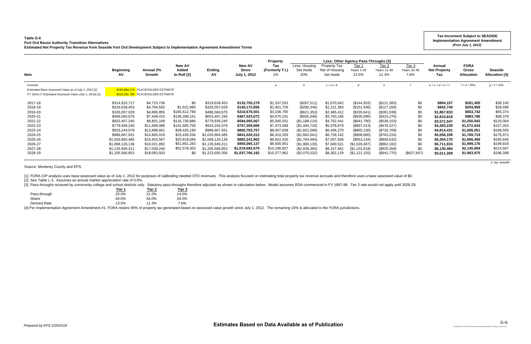#### **Table G-6Fort Ord Reuse Authority Transition Alternatives**

[3] Pass throughs received by community college and school districts only. Statutory pass-throughs therefore adjusted as shown in calculation below. Model assumes RDA commenced in FY 1997-98. Tier 3 rate would not apply un **Tier 1 Tier 2 Tier 3**

| Table G-6<br><b>Fort Ord Reuse Authority Transition Alternatives</b><br>Estimated Net Property Tax Revenue from Seaside Fort Ord Development Subject to Implementation Agreement Amendment Terms |                                                                                                                                                                                                                  |                                                                                                                                                                                         |                                                                                                                                                                               |                                                                                                                                                                                                                    |                                                                                                                                                                                                              |                                                                                                                                                                                    |                                                                                                                                                                                                      |                                                                                                                                                                                 |                                                                                                                                                                                           |                                                                                                                                                                                    |                                                                                           |                                                                                                                                                                              | <b>Tax Increment Subject to SEASIDE</b><br><b>Implementation Agreement Amendment</b><br>(Post July 1, 2012)                                                              |                                                                                                                                                      |
|--------------------------------------------------------------------------------------------------------------------------------------------------------------------------------------------------|------------------------------------------------------------------------------------------------------------------------------------------------------------------------------------------------------------------|-----------------------------------------------------------------------------------------------------------------------------------------------------------------------------------------|-------------------------------------------------------------------------------------------------------------------------------------------------------------------------------|--------------------------------------------------------------------------------------------------------------------------------------------------------------------------------------------------------------------|--------------------------------------------------------------------------------------------------------------------------------------------------------------------------------------------------------------|------------------------------------------------------------------------------------------------------------------------------------------------------------------------------------|------------------------------------------------------------------------------------------------------------------------------------------------------------------------------------------------------|---------------------------------------------------------------------------------------------------------------------------------------------------------------------------------|-------------------------------------------------------------------------------------------------------------------------------------------------------------------------------------------|------------------------------------------------------------------------------------------------------------------------------------------------------------------------------------|-------------------------------------------------------------------------------------------|------------------------------------------------------------------------------------------------------------------------------------------------------------------------------|--------------------------------------------------------------------------------------------------------------------------------------------------------------------------|------------------------------------------------------------------------------------------------------------------------------------------------------|
| Item                                                                                                                                                                                             | <b>Beginning</b><br>AV.                                                                                                                                                                                          | Annual 2%<br>Growth                                                                                                                                                                     | <b>New AV</b><br>Added<br>to Roll [2]                                                                                                                                         | Ending<br>AV                                                                                                                                                                                                       | <b>New AV</b><br><b>Since</b><br>July 1, 2012                                                                                                                                                                | <b>Property</b><br>Tax<br>(Formerly T.I.)<br>1%                                                                                                                                    | Less: Housing<br>Set Aside<br>20%                                                                                                                                                                    | Property Tax<br>Net of Housing<br>Set Aside                                                                                                                                     | Less: Other Agency Pass-Throughs [3]<br>Tier 1<br>Years 1-45<br>13.5%                                                                                                                     | Tier $2$<br>Years 11-45<br>11.3%                                                                                                                                                   | Tier 3<br>Years 31-45<br>7.6%                                                             | Annual<br><b>Net Property</b><br>Tax                                                                                                                                         | <b>FORA</b><br><b>Gross</b><br><b>Allocation</b>                                                                                                                         | <b>Seaside</b><br><b>Allocation [4]</b>                                                                                                              |
| Formula<br>Estimated Base Assessed Value as of July 1, 2012 [1]<br>FY 2016-17 Estimated Assessed Value (July 1, 2016) [1]                                                                        |                                                                                                                                                                                                                  | \$185.884.174 PLACEHOLDER ESTIMATE<br>\$310,261,790 PLACEHOLDER ESTIMATE                                                                                                                |                                                                                                                                                                               |                                                                                                                                                                                                                    |                                                                                                                                                                                                              | $\overline{a}$                                                                                                                                                                     |                                                                                                                                                                                                      | $c = a + b$                                                                                                                                                                     |                                                                                                                                                                                           |                                                                                                                                                                                    |                                                                                           | $e = c + d + e + f$                                                                                                                                                          | $f = e * 35%$                                                                                                                                                            | $q = f * 10\%$                                                                                                                                       |
| 2017-18<br>2018-19<br>2019-20<br>2020-21<br>2021-22<br>2022-23<br>2023-24<br>2024-25<br>2025-26<br>2026-27<br>2027-28<br>2028-29                                                                 | \$314,915,717<br>\$319,639,453<br>\$326,057,029<br>\$496,560,675<br>\$653,407,245<br>\$779,939,240<br>\$933,244,079<br>\$986,667,931<br>\$1,026,904,485<br>\$1,068,126,136<br>\$1,135,949,311<br>\$1,205,566,853 | \$4,723,736<br>\$4,794,592<br>\$4,890,855<br>\$7,448,410<br>\$9,801,109<br>\$11,699,089<br>\$13,998,661<br>\$14,800,019<br>\$15,403,567<br>\$16,021,892<br>\$17,039,240<br>\$18,083,503 | \$0<br>\$1,622,985<br>\$165,612,790<br>\$149,398,161<br>\$116,730,886<br>\$141,605,750<br>\$39,425,190<br>\$25,436,536<br>\$25,818,084<br>\$51,801,283<br>\$52,578,302<br>\$0 | \$319,639,453<br>\$326,057,029<br>\$496,560,675<br>\$653,407,245<br>\$779,939,240<br>\$933,244,079<br>\$986,667,931<br>\$1,026,904,485<br>\$1,068,126,136<br>\$1,135,949,311<br>\$1,205,566,853<br>\$1,223,650,356 | \$133,755,279<br>\$140,172,856<br>\$310,676,501<br>\$467,523,072<br>\$594,055,067<br>\$747,359,906<br>\$800,783,757<br>\$841,020,312<br>\$882,241,962<br>\$950,065,137<br>\$1,019,682,679<br>\$1,037,766,182 | \$1,337,553<br>\$1,401,729<br>\$3,106,765<br>\$4,675,231<br>\$5,940,551<br>\$7,473,599<br>\$8,007,838<br>\$8,410,203<br>\$8,822,420<br>\$9,500,651<br>\$10,196,827<br>\$10,377,662 | (\$267,511)<br>$(\$280,346)$<br>$(\$621,353)$<br>(\$935,046)<br>(\$1,188,110)<br>(\$1,494,720)<br>(\$1,601,568)<br>(\$1,682,041)<br>(\$1,764,484)<br>(\$1,900,130)<br>(\$2,039,365)<br>(\$2,075,532) | \$1,070,042<br>\$1,121,383<br>\$2,485,412<br>\$3,740,185<br>\$4,752,441<br>\$5,978,879<br>\$6,406,270<br>\$6,728,162<br>\$7,057,936<br>\$7,600,521<br>\$8,157,46<br>\$8,302,129 | (\$144,503)<br>(\$151,436)<br>(\$335,641)<br>(\$505,090)<br>(\$641,790)<br>(\$807,413)<br>$(\$865, 130)$<br>(\$908,600)<br>(\$953,134)<br>(\$1,026,407)<br>(\$1,101,618)<br>(\$1,121,155) | (\$121,383)<br>(\$127,206)<br>(\$281,938)<br>(\$424,276)<br>(\$539,103)<br>(\$678, 227)<br>(\$726,709)<br>(\$763,224)<br>(\$800, 632)<br>(\$862,182)<br>(\$925,359)<br>(\$941,770) | \$0<br>\$0<br>\$0<br>\$0<br>\$0<br>\$0<br>\$0<br>\$0<br>\$0<br>\$0<br>\$0<br>(\$627, 847) | \$804,157<br>\$842,740<br>\$1,867,833<br>\$2,810,818<br>\$3,571,547<br>\$4,493,239<br>\$4,814,431<br>\$5,056,339<br>\$5,304,170<br>\$5,711,933<br>\$6,130,484<br>\$5,611,358 | \$281,455<br>\$294,959<br>\$653,742<br>\$983,786<br>\$1,250,042<br>\$1,572,634<br>\$1,685,051<br>\$1,769,719<br>\$1,856,459<br>\$1,999,176<br>\$2,145,669<br>\$1,963,975 | \$28,145<br>\$29,496<br>\$65,374<br>\$98,379<br>\$125,004<br>\$157,263<br>\$168,505<br>\$176,972<br>\$185,646<br>\$199,918<br>\$214,567<br>\$196,398 |

*ti\_iaa\_seaside*

Source: Monterey County and EPS.

[1] FORA CIP analysis uses base assessed value as of July 1, 2012 for purposes of calibrating needed CFD revenues. This analysis focused on estimating total property tax revenue accruals and therefore uses a base assessed

[2] See Table L-3. Assumes an annual market appreciation rate of 0.0%.

|              | rier 1 | ner z | i ier 3 |
|--------------|--------|-------|---------|
| Pass-through | 25.0%  | 21.0% | 14.0%   |
| Share        | 54.0%  | 54.0% | 54.0%   |
| Derived Rate | 13.5%  | 11.3% | 7.6%    |
|              |        |       |         |

[4] Per Implementation Agreement Amendment #1, FORA retains 90% of property tax generated based on assessed value growth since July 1, 2012. The remaining 10% is allocated to the FORA jurisdictions.

*P:\162000\162127 FORA Cost Allocation Alternatives\Model\162127 property tax model.xlsm*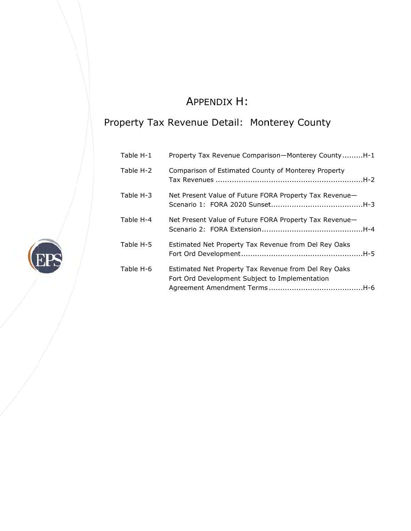# A APPENDIX X H:

## Property Tax Revenue Detail: Monterey County

| Table H-1 | Property Tax Revenue Comparison-Monterey CountyH-1                                                     |
|-----------|--------------------------------------------------------------------------------------------------------|
| Table H-2 | Comparison of Estimated County of Monterey Property                                                    |
| Table H-3 | Net Present Value of Future FORA Property Tax Revenue-                                                 |
| Table H-4 | Net Present Value of Future FORA Property Tax Revenue-                                                 |
| Table H-5 | Estimated Net Property Tax Revenue from Del Rey Oaks                                                   |
| Table H-6 | Estimated Net Property Tax Revenue from Del Rey Oaks<br>Fort Ord Development Subject to Implementation |

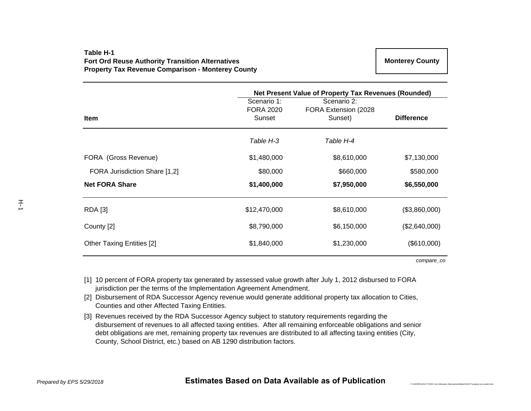## **Table H-1Fort Ord Reuse Authority Transition Alternatives Property Tax Revenue Comparison - Monterey County**

|                               | Net Present Value of Property Tax Revenues (Rounded) |                                                |                   |  |  |  |  |
|-------------------------------|------------------------------------------------------|------------------------------------------------|-------------------|--|--|--|--|
| <b>Item</b>                   | Scenario 1:<br><b>FORA 2020</b><br>Sunset            | Scenario 2:<br>FORA Extension (2028<br>Sunset) | <b>Difference</b> |  |  |  |  |
|                               | Table H-3                                            | Table H-4                                      |                   |  |  |  |  |
| FORA (Gross Revenue)          | \$1,480,000                                          | \$8,610,000                                    | \$7,130,000       |  |  |  |  |
| FORA Jurisdiction Share [1,2] | \$80,000                                             | \$660,000                                      | \$580,000         |  |  |  |  |
| <b>Net FORA Share</b>         | \$1,400,000                                          | \$7,950,000                                    | \$6,550,000       |  |  |  |  |
| <b>RDA</b> [3]                | \$12,470,000                                         | \$8,610,000                                    | (\$3,860,000)     |  |  |  |  |
| County [2]                    | \$8,790,000                                          | \$6,150,000                                    | (\$2,640,000)     |  |  |  |  |
| Other Taxing Entities [2]     | \$1,840,000                                          | \$1,230,000                                    | (\$610,000)       |  |  |  |  |

*compare\_co*

*P*:\162000\162127 FORA Cost Allocation Alternatives\Model\162127 property tax a

- [1] 10 percent of FORA property tax generated by assessed value growth after July 1, 2012 disbursed to FORA jurisdiction per the terms of the Implementation Agreement Amendment.
- [2] Disbursement of RDA Successor Agency revenue would generate additional property tax allocation to Cities, Counties and other Affected Taxing Entities.
- [3] Revenues received by the RDA Successor Agency subject to statutory requirements regarding the disbursement of revenues to all affected taxing entities. After all remaining enforceable obligations and senior debt obligations are met, remaining property tax revenues are distributed to all affecting taxing entities (City, County, School District, etc.) based on AB 1290 distribution factors.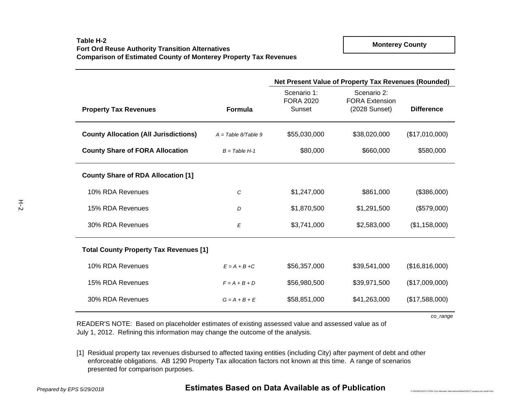|                                               |                       | Net Present Value of Property Tax Revenues (Rounded) |                                                       |                   |  |  |  |
|-----------------------------------------------|-----------------------|------------------------------------------------------|-------------------------------------------------------|-------------------|--|--|--|
| <b>Property Tax Revenues</b>                  | Formula               | Scenario 1:<br><b>FORA 2020</b><br>Sunset            | Scenario 2:<br><b>FORA Extension</b><br>(2028 Sunset) | <b>Difference</b> |  |  |  |
| <b>County Allocation (All Jurisdictions)</b>  | $A = Table 8/Table 9$ | \$55,030,000                                         | \$38,020,000                                          | (\$17,010,000)    |  |  |  |
| <b>County Share of FORA Allocation</b>        | $B = Table H - 1$     | \$80,000                                             | \$660,000                                             | \$580,000         |  |  |  |
| <b>County Share of RDA Allocation [1]</b>     |                       |                                                      |                                                       |                   |  |  |  |
| 10% RDA Revenues                              | С                     | \$1,247,000                                          | \$861,000                                             | (\$386,000)       |  |  |  |
| 15% RDA Revenues                              | D                     | \$1,870,500                                          | \$1,291,500                                           | (\$579,000)       |  |  |  |
| 30% RDA Revenues                              | Е                     | \$3,741,000                                          | \$2,583,000                                           | (\$1,158,000)     |  |  |  |
| <b>Total County Property Tax Revenues [1]</b> |                       |                                                      |                                                       |                   |  |  |  |
| 10% RDA Revenues                              | $E = A + B + C$       | \$56,357,000                                         | \$39,541,000                                          | (\$16,816,000)    |  |  |  |
| 15% RDA Revenues                              | $F = A + B + D$       | \$56,980,500                                         | \$39,971,500                                          | (\$17,009,000)    |  |  |  |
| 30% RDA Revenues                              | $G = A + B + E$       | \$58,851,000                                         | \$41,263,000                                          | (\$17,588,000)    |  |  |  |

*co\_range*

READER'S NOTE: Based on placeholder estimates of existing assessed value and assessed value as of July 1, 2012. Refining this information may change the outcome of the analysis.

[1] Residual property tax revenues disbursed to affected taxing entities (including City) after payment of debt and other enforceable obligations. AB 1290 Property Tax allocation factors not known at this time. A range of scenarios presented for comparison purposes.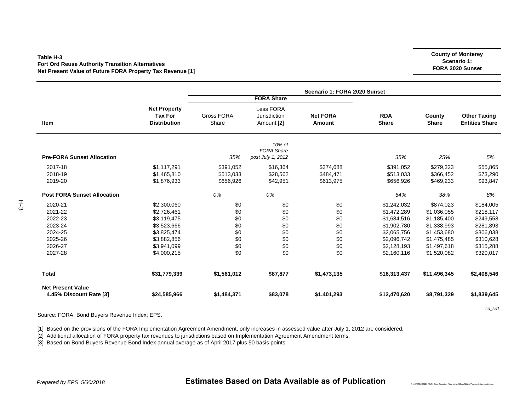#### **Table H-3Fort Ord Reuse Authority Transition Alternatives Net Present Value of Future FORA Property Tax Revenue [1]**

|                                                                                      | Scenario 1: FORA 2020 Sunset                                                                                         |                                                      |                                                      |                                                      |                                                                                                                      |                                                                                                                    |                                                                                                      |  |  |  |
|--------------------------------------------------------------------------------------|----------------------------------------------------------------------------------------------------------------------|------------------------------------------------------|------------------------------------------------------|------------------------------------------------------|----------------------------------------------------------------------------------------------------------------------|--------------------------------------------------------------------------------------------------------------------|------------------------------------------------------------------------------------------------------|--|--|--|
|                                                                                      |                                                                                                                      |                                                      | <b>FORA Share</b>                                    |                                                      |                                                                                                                      |                                                                                                                    | <b>Other Taxing</b><br><b>Entities Share</b>                                                         |  |  |  |
| <b>Item</b>                                                                          | <b>Net Property</b><br><b>Tax For</b><br><b>Distribution</b>                                                         | <b>Gross FORA</b><br>Share                           | Less FORA<br>Jurisdiction<br>Amount [2]              | <b>Net FORA</b><br>Amount                            | <b>RDA</b><br><b>Share</b>                                                                                           | County<br><b>Share</b>                                                                                             |                                                                                                      |  |  |  |
| <b>Pre-FORA Sunset Allocation</b>                                                    |                                                                                                                      | 35%                                                  | 10% of<br><b>FORA Share</b><br>post July 1, 2012     |                                                      | 35%                                                                                                                  | 25%                                                                                                                | 5%                                                                                                   |  |  |  |
| 2017-18<br>2018-19<br>2019-20                                                        | \$1,117,291<br>\$1,465,810<br>\$1,876,933                                                                            | \$391,052<br>\$513,033<br>\$656,926                  | \$16,364<br>\$28,562<br>\$42,951                     | \$374,688<br>\$484,471<br>\$613,975                  | \$391,052<br>\$513,033<br>\$656,926                                                                                  | \$279,323<br>\$366,452<br>\$469,233                                                                                | \$55,865<br>\$73,290<br>\$93,847                                                                     |  |  |  |
| <b>Post FORA Sunset Allocation</b>                                                   |                                                                                                                      | 0%                                                   | 0%                                                   |                                                      | 54%                                                                                                                  | 38%                                                                                                                | 8%                                                                                                   |  |  |  |
| 2020-21<br>2021-22<br>2022-23<br>2023-24<br>2024-25<br>2025-26<br>2026-27<br>2027-28 | \$2,300,060<br>\$2,726,461<br>\$3,119,475<br>\$3,523,666<br>\$3,825,474<br>\$3,882,856<br>\$3,941,099<br>\$4,000,215 | \$0<br>\$0<br>\$0<br>\$0<br>\$0<br>\$0<br>\$0<br>\$0 | \$0<br>\$0<br>\$0<br>\$0<br>\$0<br>\$0<br>\$0<br>\$0 | \$0<br>\$0<br>\$0<br>\$0<br>\$0<br>\$0<br>\$0<br>\$0 | \$1,242,032<br>\$1,472,289<br>\$1,684,516<br>\$1,902,780<br>\$2,065,756<br>\$2,096,742<br>\$2,128,193<br>\$2,160,116 | \$874,023<br>\$1,036,055<br>\$1,185,400<br>\$1,338,993<br>\$1,453,680<br>\$1,475,485<br>\$1,497,618<br>\$1,520,082 | \$184,005<br>\$218,117<br>\$249,558<br>\$281,893<br>\$306,038<br>\$310,628<br>\$315,288<br>\$320,017 |  |  |  |
| <b>Total</b>                                                                         | \$31,779,339                                                                                                         | \$1,561,012                                          | \$87,877                                             | \$1,473,135                                          | \$16,313,437                                                                                                         | \$11,496,345                                                                                                       | \$2,408,546                                                                                          |  |  |  |
| <b>Net Present Value</b><br>4.45% Discount Rate [3]                                  | \$24,585,966                                                                                                         | \$1,484,371                                          | \$83,078                                             | \$1,401,293                                          | \$12,470,620                                                                                                         | \$8,791,329                                                                                                        | \$1,839,645                                                                                          |  |  |  |

Source: FORA; Bond Buyers Revenue Index; EPS.

[1] Based on the provisions of the FORA Implementation Agreement Amendment, only increases in assessed value after July 1, 2012 are considered.

[2] Additional allocation of FORA property tax revenues to jurisdictions based on Implementation Agreement Amendment terms.

[3] Based on Bond Buyers Revenue Bond Index annual average as of April 2017 plus 50 basis points.

## *Prepared by EPS 5/30/2018* **Estimates Based on Data Available as of Publication**

**County of Monterey Scenario 1: FORA 2020 Sunset**

*co\_sc1*

*P:\162000\162127 FORA Cost Allocation Alternatives\Model\162127 property tax model.xlsm*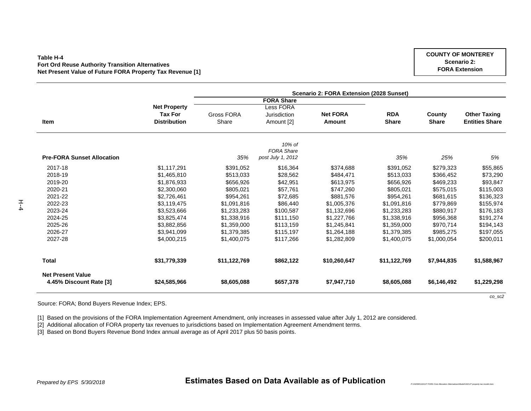#### **Table H-4Fort Ord Reuse Authority Transition Alternatives Net Present Value of Future FORA Property Tax Revenue [1]**

|                                   |                     | Scenario 2: FORA Extension (2028 Sunset) |                   |                 |              |              |                       |  |  |  |
|-----------------------------------|---------------------|------------------------------------------|-------------------|-----------------|--------------|--------------|-----------------------|--|--|--|
|                                   |                     |                                          | <b>FORA Share</b> |                 |              |              |                       |  |  |  |
|                                   | <b>Net Property</b> |                                          | <b>Less FORA</b>  |                 |              |              |                       |  |  |  |
|                                   | <b>Tax For</b>      | Gross FORA                               | Jurisdiction      | <b>Net FORA</b> | <b>RDA</b>   | County       | <b>Other Taxing</b>   |  |  |  |
| Item                              | <b>Distribution</b> | Share                                    | Amount [2]        | Amount          | <b>Share</b> | <b>Share</b> | <b>Entities Share</b> |  |  |  |
|                                   |                     |                                          | 10% of            |                 |              |              |                       |  |  |  |
|                                   |                     |                                          | <b>FORA Share</b> |                 |              |              |                       |  |  |  |
| <b>Pre-FORA Sunset Allocation</b> |                     | 35%                                      | post July 1, 2012 |                 | 35%          | 25%          | 5%                    |  |  |  |
| 2017-18                           | \$1,117,291         | \$391,052                                | \$16,364          | \$374,688       | \$391,052    | \$279,323    | \$55,865              |  |  |  |
| 2018-19                           | \$1,465,810         | \$513,033                                | \$28,562          | \$484,471       | \$513,033    | \$366,452    | \$73,290              |  |  |  |
| 2019-20                           | \$1,876,933         | \$656,926                                | \$42,951          | \$613,975       | \$656,926    | \$469,233    | \$93,847              |  |  |  |
| 2020-21                           | \$2,300,060         | \$805,021                                | \$57,761          | \$747,260       | \$805,021    | \$575,015    | \$115,003             |  |  |  |
| 2021-22                           | \$2,726,461         | \$954,261                                | \$72,685          | \$881.576       | \$954,261    | \$681,615    | \$136,323             |  |  |  |
| 2022-23                           | \$3,119,475         | \$1,091,816                              | \$86,440          | \$1,005,376     | \$1,091,816  | \$779,869    | \$155,974             |  |  |  |
| 2023-24                           | \$3,523,666         | \$1,233,283                              | \$100,587         | \$1,132,696     | \$1,233,283  | \$880,917    | \$176,183             |  |  |  |
| 2024-25                           | \$3.825.474         | \$1,338,916                              | \$111,150         | \$1,227,766     | \$1,338,916  | \$956,368    | \$191,274             |  |  |  |
| 2025-26                           | \$3,882,856         | \$1,359,000                              | \$113,159         | \$1,245,841     | \$1,359,000  | \$970,714    | \$194,143             |  |  |  |
| 2026-27                           | \$3,941,099         | \$1,379,385                              | \$115,197         | \$1,264,188     | \$1,379,385  | \$985,275    | \$197,055             |  |  |  |
| 2027-28                           | \$4,000,215         | \$1,400,075                              | \$117,266         | \$1,282,809     | \$1,400,075  | \$1,000.054  | \$200,011             |  |  |  |
| <b>Total</b>                      | \$31,779,339        | \$11,122,769                             | \$862,122         | \$10,260,647    | \$11,122,769 | \$7,944,835  | \$1,588,967           |  |  |  |
| <b>Net Present Value</b>          |                     |                                          |                   |                 |              |              |                       |  |  |  |
| 4.45% Discount Rate [3]           | \$24,585,966        | \$8,605,088                              | \$657,378         | \$7,947,710     | \$8,605,088  | \$6,146,492  | \$1,229,298           |  |  |  |

Source: FORA; Bond Buyers Revenue Index; EPS.

[1] Based on the provisions of the FORA Implementation Agreement Amendment, only increases in assessed value after July 1, 2012 are considered.

[2] Additional allocation of FORA property tax revenues to jurisdictions based on Implementation Agreement Amendment terms.

[3] Based on Bond Buyers Revenue Bond Index annual average as of April 2017 plus 50 basis points.

 $H_{\text{+}}$ 

*co\_sc2*

*P:\162000\162127 FORA Cost Allocation Alternatives\Model\162127 property tax model.xlsm*

**COUNTY OF MONTEREYScenario 2: FORA Extension**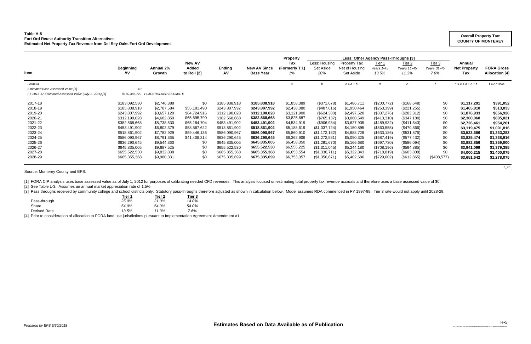## **Table H-5 Fort Ord Reuse Authority Transition Alternatives Estimated Net Property Tax Revenue from Del Rey Oaks Fort Ord Development**

|                                                        |                        | Less: Other Agency Pass-Throughs [3]<br><b>Property</b> |                                       |               |                                         |                              |                                   |                                             |                               |                                           |                               |                                      |                                            |
|--------------------------------------------------------|------------------------|---------------------------------------------------------|---------------------------------------|---------------|-----------------------------------------|------------------------------|-----------------------------------|---------------------------------------------|-------------------------------|-------------------------------------------|-------------------------------|--------------------------------------|--------------------------------------------|
| <b>Item</b>                                            | <b>Beginning</b><br>AV | Annual 2%<br>Growth                                     | <b>New AV</b><br>Added<br>to Roll [2] | Ending<br>AV  | <b>New AV Since</b><br><b>Base Year</b> | Tax<br>(Formerly T.I.)<br>1% | Less: Housing<br>Set Aside<br>20% | Property Tax<br>Net of Housing<br>Set Aside | Tier 1<br>Years 1-45<br>13.5% | Tier <sub>2</sub><br>Years 11-45<br>11.3% | Tier 3<br>Years 31-45<br>7.6% | Annual<br><b>Net Property</b><br>Tax | <b>FORA Gross</b><br><b>Allocation [4]</b> |
| Formula                                                |                        |                                                         |                                       |               |                                         |                              |                                   | $c = a + b$                                 | d                             |                                           |                               | $e = c + d + e + f$                  | $f = e * 35%$                              |
| <b>Estimated Base Assessed Value [1]</b>               | \$0                    |                                                         |                                       |               |                                         |                              |                                   |                                             |                               |                                           |                               |                                      |                                            |
| FY 2016-17 Estimated Assessed Value (July 1, 2016) [1] |                        | \$180,386,729 PLACEHOLDER ESTIMATE                      |                                       |               |                                         |                              |                                   |                                             |                               |                                           |                               |                                      |                                            |
| 2017-18                                                | \$183,092,530          | \$2,746,388                                             | \$0                                   | \$185,838,918 | \$185,838,918                           | \$1,858,389                  | (\$371,678)                       | \$1,486,711                                 | (\$200,772)                   | (\$168, 648)                              | \$0                           | \$1,117,291                          | \$391,052                                  |
| 2018-19                                                | \$185,838,918          | \$2,787,584                                             | \$55,181,490                          | \$243,807,992 | \$243,807,992                           | \$2,438,080                  | (\$487,616)                       | \$1,950,464                                 | (\$263,399)                   | (\$221, 255)                              | \$0                           | \$1,465,810                          | \$513,033                                  |
| 2019-20                                                | \$243,807,992          | \$3,657,120                                             | \$64,724,916                          | \$312,190,028 | \$312,190,028                           | \$3,121,900                  | (\$624,380)                       | \$2,497,520                                 | (\$337,276)                   | (\$283,312)                               | \$0                           | \$1,876,933                          | \$656,926                                  |
| 2020-21                                                | \$312,190,028          | \$4,682,850                                             | \$65,695,790                          | \$382,568,668 | \$382,568,668                           | \$3,825,687                  | $(\$765, 137)$                    | \$3,060,549                                 | (\$413,310)                   | (\$347,180)                               | \$0                           | \$2,300,060                          | \$805,021                                  |
| 2021-22                                                | \$382,568,668          | \$5,738,530                                             | \$65,184,704                          | \$453,491,902 | \$453,491,902                           | \$4,534,919                  | (\$906,984)                       | \$3,627,935                                 | (\$489,932)                   | (\$411,543)                               | \$0                           | \$2,726,461                          | \$954,261                                  |
| 2022-23                                                | \$453,491,902          | \$6,802,379                                             | \$58,567,622                          | \$518,861,902 | \$518,861,902                           | \$5,188,619                  | (\$1,037,724)                     | \$4,150,895                                 | (\$560,555)                   | (\$470,866)                               | \$0                           | \$3,119,475                          | \$1,091,816                                |
| 2023-24                                                | \$518,861,902          | \$7,782,929                                             | \$59,446,136                          | \$586,090,967 | \$586,090,967                           | \$5,860,910                  | (\$1,172,182)                     | \$4,688,728                                 | (\$633,186)                   | (\$531,876)                               | \$0                           | \$3,523,666                          | \$1,233,283                                |
| 2024-25                                                | \$586,090,967          | \$8,791,365                                             | \$41,408,314                          | \$636,290,645 | \$636,290,645                           | \$6,362,906                  | $(\$1,272,581)$                   | \$5,090,325                                 | (\$687,419)                   | (\$577,432)                               | \$0                           | \$3,825,474                          | \$1,338,916                                |
| 2025-26                                                | \$636,290,645          | \$9,544,360                                             | \$0                                   | \$645,835,005 | \$645,835,005                           | \$6,458,350                  | (\$1,291,670)                     | \$5,166,680                                 | (\$697,730)                   | (\$586,094)                               | \$0                           | \$3,882,856                          | \$1,359,000                                |
| 2026-27                                                | \$645,835,005          | \$9,687,525                                             | \$0                                   | \$655,522,530 | \$655,522,530                           | \$6,555,225                  | (\$1,311,045)                     | \$5,244,180                                 | (\$708, 196)                  | (\$594,885)                               | \$0                           | \$3,941,099                          | \$1,379,385                                |
| 2027-28                                                | \$655,522,530          | \$9,832,838                                             | \$0                                   | \$665,355,368 | \$665,355,368                           | \$6,653,554                  | (\$1,330,711)                     | \$5,322,843                                 | (\$718, 819)                  | (\$603,808)                               | \$0                           | \$4,000,215                          | \$1,400,075                                |
| 2028-29                                                | \$665,355,368          | \$9,980,331                                             | \$0                                   | \$675,335,699 | \$675,335,699                           | \$6,753,357                  | (\$1,350,671)                     | \$5,402,686                                 | (\$729,602)                   | (\$612,865)                               | $(\$408,577)$                 | \$3,651,642                          | \$1,278,075                                |

*ti\_co*

Source: Monterey County and EPS.

[1] FORA CIP analysis uses base assessed value as of July 1, 2012 for purposes of calibrating needed CFD revenues. This analysis focused on estimating total property tax revenue accruals and therefore uses a base assessed

[2] See Table L-3. Assumes an annual market appreciation rate of 1.5%.

[3] Pass throughs received by community college and school districts only. Statutory pass-throughs therefore adjusted as shown in calculation below. Model assumes RDA commenced in FY 1997-98. Tier 3 rate would not apply un

| Tier 1 | Tier 2 | Tier 3 |
|--------|--------|--------|
| 25.0%  | 21.0%  | 14.0%  |
| 54.0%  | 54.0%  | 54.0%  |
| 13.5%  | 11.3%  | 7.6%   |
|        |        |        |

[4] Prior to consideration of allocation to FORA land use jurisdictions pursuant to Implementation Agreement Amendment #1.

### **Overall Property Tax: COUNTY OF MONTEREY**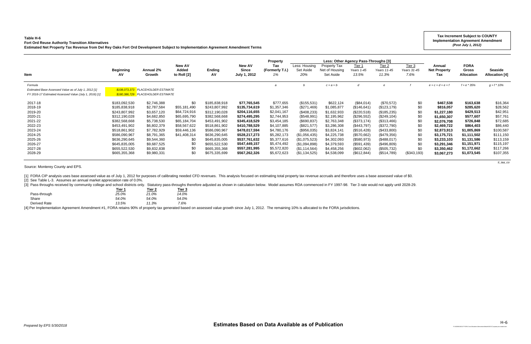### **Table H-6**

[3] Pass throughs received by community college and school districts only. Statutory pass-throughs therefore adjusted as shown in calculation below. Model assumes RDA commenced in FY 1997-98. Tier 3 rate would not apply un **Tier 1 Tier 2 Tier 3**

| Table H-6<br><b>Fort Ord Reuse Authority Transition Alternatives</b><br>Estimated Net Property Tax Revenue from Del Rey Oaks Fort Ord Development Subject to Implementation Agreement Amendment Terms |                         |                                    |                      |                     |                              |                        |                  |                             |                                                |                      |                     |                            | <b>Tax Increment Subject to COUNTY</b><br><b>Implementation Agreement Amendment</b><br>(Post July 1, 2012) |                                         |
|-------------------------------------------------------------------------------------------------------------------------------------------------------------------------------------------------------|-------------------------|------------------------------------|----------------------|---------------------|------------------------------|------------------------|------------------|-----------------------------|------------------------------------------------|----------------------|---------------------|----------------------------|------------------------------------------------------------------------------------------------------------|-----------------------------------------|
|                                                                                                                                                                                                       |                         |                                    | <b>New AV</b>        |                     | <b>New AV</b>                | <b>Property</b><br>Tax | Less: Housing    | Property Tax                | Less: Other Agency Pass-Throughs [3]<br>Tier 1 | Tier $2$             | Tier 3              | Annual                     | <b>FORA</b>                                                                                                |                                         |
| Item                                                                                                                                                                                                  | <b>Beginning</b><br>AV. | Annual 2%<br>Growth                | Added<br>to Roll [2] | <b>Ending</b><br>AV | <b>Since</b><br>July 1, 2012 | (Formerly T.I.)<br>1%  | Set Aside<br>20% | Net of Housing<br>Set Aside | Years 1-45<br>13.5%                            | Years 11-45<br>11.3% | Years 31-45<br>7.6% | <b>Net Property</b><br>Tax | <b>Gross</b><br><b>Allocation</b>                                                                          | <b>Seaside</b><br><b>Allocation [4]</b> |
| Formula<br>Estimated Base Assessed Value as of July 1, 2012 [1]                                                                                                                                       |                         | \$108.073.373 PLACEHOLDER ESTIMATE |                      |                     |                              |                        |                  | $c = a + b$                 |                                                |                      |                     | $e = c + d + e + f$        | $f = e * 35%$                                                                                              | $q = f * 10\%$                          |
| FY 2016-17 Estimated Assessed Value (July 1, 2016) [1]                                                                                                                                                |                         | \$180,386,729 PLACEHOLDER ESTIMATE |                      |                     |                              |                        |                  |                             |                                                |                      |                     |                            |                                                                                                            |                                         |
| 2017-18                                                                                                                                                                                               | \$183,092,530           | \$2,746,388                        | \$0                  | \$185,838,918       | \$77,765,545                 | \$777,655              | (\$155,531)      | \$622,124                   | (\$84,014)                                     | (\$70,572)           | \$0                 | \$467,538                  | \$163,638                                                                                                  | \$16,364                                |
| 2018-19                                                                                                                                                                                               | \$185,838,918           | \$2,787,584                        | \$55,181,490         | \$243,807,992       | \$135,734,619                | \$1,357,346            | $(\$271,469)$    | \$1,085,877                 | (\$146,641)                                    | (\$123, 179)         | \$0                 | \$816,057                  | \$285,620                                                                                                  | \$28,562                                |
| 2019-20                                                                                                                                                                                               | \$243,807,992           | \$3,657,120                        | \$64,724,916         | \$312,190,028       | \$204,116,655                | \$2,041,167            | (\$408,233)      | \$1,632,933                 | (\$220,518)                                    | (\$185,235)          | \$0                 | \$1,227,180                | \$429,513                                                                                                  | \$42,951                                |
| 2020-21                                                                                                                                                                                               | \$312,190,028           | \$4,682,850                        | \$65,695,790         | \$382,568,668       | \$274,495,295                | \$2,744,953            | (\$548,991)      | \$2,195,962                 | (\$296,552)                                    | (\$249,104)          | \$0                 | \$1,650,307                | \$577,607                                                                                                  | \$57,761                                |
| 2021-22                                                                                                                                                                                               | \$382,568,668           | \$5,738,530                        | \$65,184,704         | \$453,491,902       | \$345,418,529                | \$3,454,185            | (\$690, 837)     | \$2,763,348                 | (\$373,174)                                    | (\$313,466)          | \$0                 | \$2,076,708                | \$726,848                                                                                                  | \$72,685                                |
| 2022-23                                                                                                                                                                                               | \$453,491,902           | \$6,802,379                        | \$58,567,622         | \$518,861,902       | \$410,788,529                | \$4,107,885            | (\$821,577)      | \$3,286,308                 | (\$443,797)                                    | (\$372,790)          | \$0                 | \$2,469,722                | \$864,403                                                                                                  | \$86,440                                |
| 2023-24                                                                                                                                                                                               | \$518,861,902           | \$7,782,929                        | \$59,446,136         | \$586,090,967       | \$478,017,594                | \$4,780,176            | (\$956,035)      | \$3,824,141                 | (\$516,428)                                    | (\$433,800)          | \$0                 | \$2,873,913                | \$1,005,869                                                                                                | \$100,587                               |
| 2024-25                                                                                                                                                                                               | \$586,090,967           | \$8,791,365                        | \$41,408,314         | \$636,290,645       | \$528,217,273                | \$5,282,173            | (\$1,056,435)    | \$4,225,738                 | (\$570,662)                                    | (\$479,356)          | \$0                 | \$3,175,721                | \$1,111,502                                                                                                | \$111,150                               |
| 2025-26                                                                                                                                                                                               | \$636,290,645           | \$9,544,360                        | \$0                  | \$645,835,005       | \$537,761,632                | \$5,377,616            | (\$1,075,523)    | \$4,302,093                 | (\$580,973)                                    | (\$488,017)          | \$0                 | \$3,233,103                | \$1,131,586                                                                                                | \$113,159                               |
| 2026-27                                                                                                                                                                                               | \$645,835,005           | \$9,687,525                        | \$0                  | \$655,522,530       | \$547,449,157                | \$5,474,492            | (\$1,094,898)    | \$4,379,593                 | (\$591,439)                                    | (\$496,809)          | \$0                 | \$3,291,346                | \$1,151,971                                                                                                | \$115,197                               |
| 2027-28                                                                                                                                                                                               | \$655,522,530           | \$9,832,838                        | \$0                  | \$665,355,368       | \$557,281,995                | \$5,572,820            | (\$1,114,564)    | \$4,458,256                 | (\$602,062)                                    | (\$505,732)          | \$0                 | \$3,350,462                | \$1,172,662                                                                                                | \$117,266                               |
| 2028-29                                                                                                                                                                                               | \$665,355,368           | \$9,980,331                        | \$C                  | \$675,335,699       | \$567,262,326                | \$5,672,623            | (\$1,134,525)    | \$4,538,099                 | (\$612, 844)                                   | (\$514,789)          | (\$343,193)         | \$3,067,273                | \$1,073,545                                                                                                | \$107,355                               |

*ti\_iaa\_co*

Source: Monterey County and EPS.

[1] FORA CIP analysis uses base assessed value as of July 1, 2012 for purposes of calibrating needed CFD revenues. This analysis focused on estimating total property tax revenue accruals and therefore uses a base assessed

[2] See Table L-3. Assumes an annual market appreciation rate of 0.0%.

|              | <u>iler i</u> | <u>lier z</u> | нег э |
|--------------|---------------|---------------|-------|
| Pass-through | 25.0%         | 21.0%         | 14.0% |
| Share        | 54.0%         | 54.0%         | 54.0% |
| Derived Rate | 13.5%         | 11.3%         | 7.6%  |
|              |               |               |       |

[4] Per Implementation Agreement Amendment #1, FORA retains 90% of property tax generated based on assessed value growth since July 1, 2012. The remaining 10% is allocated to the FORA jurisdictions.

*P:\162000\162127 FORA Cost Allocation Alternatives\Model\162127 property tax model.xlsm*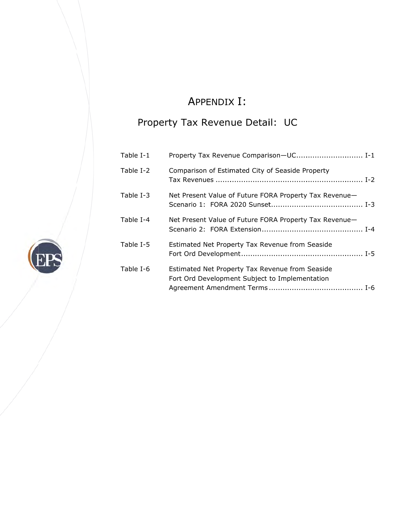# A APPENDIX X I:

# Property Tax Revenue Detail: UC

| Table I-1 | Property Tax Revenue Comparison-UC I-1                                                            |
|-----------|---------------------------------------------------------------------------------------------------|
| Table I-2 | Comparison of Estimated City of Seaside Property                                                  |
| Table I-3 | Net Present Value of Future FORA Property Tax Revenue-                                            |
| Table I-4 | Net Present Value of Future FORA Property Tax Revenue-                                            |
| Table I-5 | Estimated Net Property Tax Revenue from Seaside                                                   |
| Table I-6 | Estimated Net Property Tax Revenue from Seaside<br>Fort Ord Development Subject to Implementation |

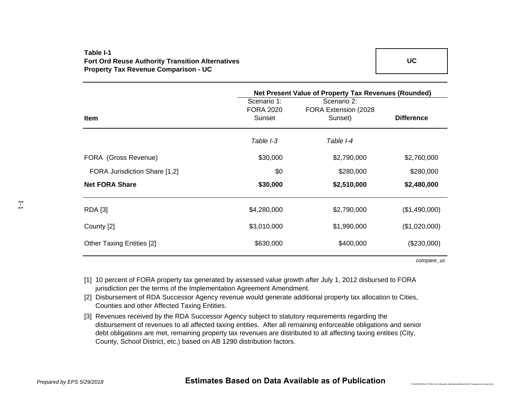## **Table I-1Fort Ord Reuse Authority Transition Alternatives Property Tax Revenue Comparison - UC**

|                                  | Net Present Value of Property Tax Revenues (Rounded) |                       |                   |  |  |  |  |
|----------------------------------|------------------------------------------------------|-----------------------|-------------------|--|--|--|--|
|                                  | Scenario 1:                                          | Scenario 2:           |                   |  |  |  |  |
|                                  | <b>FORA 2020</b>                                     | FORA Extension (2028) |                   |  |  |  |  |
| <b>Item</b>                      | Sunset                                               | Sunset)               | <b>Difference</b> |  |  |  |  |
|                                  | Table I-3                                            | Table I-4             |                   |  |  |  |  |
| FORA (Gross Revenue)             | \$30,000                                             | \$2,790,000           | \$2,760,000       |  |  |  |  |
| FORA Jurisdiction Share [1,2]    | \$0                                                  | \$280,000             | \$280,000         |  |  |  |  |
| <b>Net FORA Share</b>            | \$30,000                                             | \$2,510,000           | \$2,480,000       |  |  |  |  |
| <b>RDA</b> [3]                   | \$4,280,000                                          | \$2,790,000           | (\$1,490,000)     |  |  |  |  |
| County [2]                       | \$3,010,000                                          | \$1,990,000           | (\$1,020,000)     |  |  |  |  |
| <b>Other Taxing Entities [2]</b> | \$630,000                                            | \$400,000             | (\$230,000)       |  |  |  |  |

*compare\_uc*

*P:\162000\162127 FORA Cost Allocation Alternatives\Model\162127 property tax model.xlsm*

- [1] 10 percent of FORA property tax generated by assessed value growth after July 1, 2012 disbursed to FORA jurisdiction per the terms of the Implementation Agreement Amendment.
- [2] Disbursement of RDA Successor Agency revenue would generate additional property tax allocation to Cities, Counties and other Affected Taxing Entities.
- [3] Revenues received by the RDA Successor Agency subject to statutory requirements regarding the disbursement of revenues to all affected taxing entities. After all remaining enforceable obligations and senior debt obligations are met, remaining property tax revenues are distributed to all affecting taxing entities (City, County, School District, etc.) based on AB 1290 distribution factors.

I-1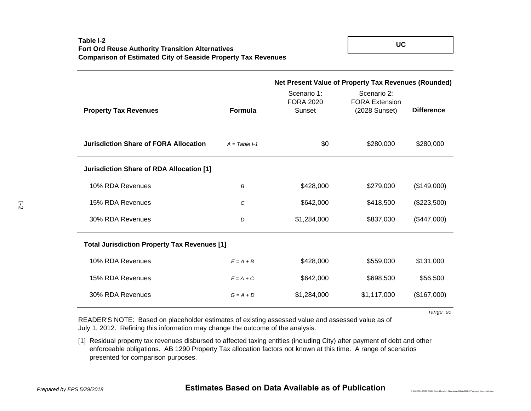|                                                     |                 | Net Present Value of Property Tax Revenues (Rounded) |                                                       |                   |  |  |  |  |
|-----------------------------------------------------|-----------------|------------------------------------------------------|-------------------------------------------------------|-------------------|--|--|--|--|
| <b>Property Tax Revenues</b>                        | <b>Formula</b>  | Scenario 1:<br><b>FORA 2020</b><br>Sunset            | Scenario 2:<br><b>FORA Extension</b><br>(2028 Sunset) | <b>Difference</b> |  |  |  |  |
| <b>Jurisdiction Share of FORA Allocation</b>        | $A = Table 1-1$ | \$0                                                  | \$280,000                                             | \$280,000         |  |  |  |  |
| Jurisdiction Share of RDA Allocation [1]            |                 |                                                      |                                                       |                   |  |  |  |  |
| 10% RDA Revenues                                    | B               | \$428,000                                            | \$279,000                                             | (\$149,000)       |  |  |  |  |
| 15% RDA Revenues                                    | C               | \$642,000                                            | \$418,500                                             | (\$223,500)       |  |  |  |  |
| 30% RDA Revenues                                    | D               | \$1,284,000                                          | \$837,000                                             | (\$447,000)       |  |  |  |  |
| <b>Total Jurisdiction Property Tax Revenues [1]</b> |                 |                                                      |                                                       |                   |  |  |  |  |
| 10% RDA Revenues                                    | $E = A + B$     | \$428,000                                            | \$559,000                                             | \$131,000         |  |  |  |  |
| 15% RDA Revenues                                    | $F = A + C$     | \$642,000                                            | \$698,500                                             | \$56,500          |  |  |  |  |
| 30% RDA Revenues                                    | $G = A + D$     | \$1,284,000                                          | \$1,117,000                                           | (\$167,000)       |  |  |  |  |

*range\_uc*

READER'S NOTE: Based on placeholder estimates of existing assessed value and assessed value as of July 1, 2012. Refining this information may change the outcome of the analysis.

[1] Residual property tax revenues disbursed to affected taxing entities (including City) after payment of debt and other enforceable obligations. AB 1290 Property Tax allocation factors not known at this time. A range of scenarios presented for comparison purposes.

I-2

**UC**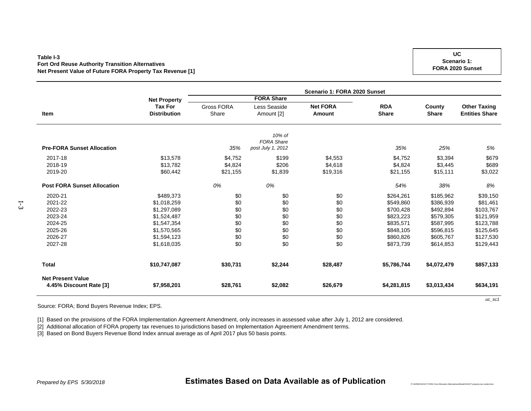### **Table I-3Fort Ord Reuse Authority Transition Alternatives Net Present Value of Future FORA Property Tax Revenue [1]**

|                                                     |                                       | Scenario 1: FORA 2020 Sunset |                                                  |                                  |                            |                        |                                              |  |  |  |
|-----------------------------------------------------|---------------------------------------|------------------------------|--------------------------------------------------|----------------------------------|----------------------------|------------------------|----------------------------------------------|--|--|--|
|                                                     | <b>Net Property</b>                   |                              | <b>FORA Share</b>                                |                                  |                            |                        |                                              |  |  |  |
| Item                                                | <b>Tax For</b><br><b>Distribution</b> | <b>Gross FORA</b><br>Share   | Less Seaside<br>Amount [2]                       | <b>Net FORA</b><br><b>Amount</b> | <b>RDA</b><br><b>Share</b> | County<br><b>Share</b> | <b>Other Taxing</b><br><b>Entities Share</b> |  |  |  |
| <b>Pre-FORA Sunset Allocation</b>                   |                                       | 35%                          | 10% of<br><b>FORA Share</b><br>post July 1, 2012 |                                  | 35%                        | 25%                    | 5%                                           |  |  |  |
| 2017-18                                             | \$13,578                              | \$4,752                      | \$199                                            | \$4,553                          | \$4,752                    | \$3,394                | \$679                                        |  |  |  |
| 2018-19                                             | \$13,782                              | \$4,824                      | \$206                                            | \$4,618                          | \$4,824                    | \$3,445                | \$689                                        |  |  |  |
| 2019-20                                             | \$60,442                              | \$21,155                     | \$1,839                                          | \$19,316                         | \$21,155                   | \$15,111               | \$3,022                                      |  |  |  |
| <b>Post FORA Sunset Allocation</b>                  |                                       | 0%                           | 0%                                               |                                  | 54%                        | 38%                    | 8%                                           |  |  |  |
| 2020-21                                             | \$489,373                             | \$0                          | \$0                                              | \$0                              | \$264,261                  | \$185,962              | \$39,150                                     |  |  |  |
| 2021-22                                             | \$1,018,259                           | \$0                          | \$0                                              | \$0                              | \$549,860                  | \$386,939              | \$81,461                                     |  |  |  |
| 2022-23                                             | \$1,297,089                           | \$0                          | \$0                                              | \$0                              | \$700,428                  | \$492,894              | \$103,767                                    |  |  |  |
| 2023-24                                             | \$1,524,487                           | \$0                          | \$0                                              | \$0                              | \$823,223                  | \$579,305              | \$121,959                                    |  |  |  |
| 2024-25                                             | \$1,547,354                           | \$0                          | \$0                                              | \$0                              | \$835,571                  | \$587,995              | \$123,788                                    |  |  |  |
| 2025-26                                             | \$1,570,565                           | \$0                          | \$0                                              | \$0                              | \$848,105                  | \$596,815              | \$125,645                                    |  |  |  |
| 2026-27                                             | \$1,594,123                           | \$0                          | \$0                                              | \$0                              | \$860,826                  | \$605,767              | \$127,530                                    |  |  |  |
| 2027-28                                             | \$1,618,035                           | \$0                          | \$0                                              | \$0                              | \$873,739                  | \$614,853              | \$129,443                                    |  |  |  |
| <b>Total</b>                                        | \$10,747,087                          | \$30,731                     | \$2,244                                          | \$28,487                         | \$5,786,744                | \$4,072,479            | \$857,133                                    |  |  |  |
| <b>Net Present Value</b><br>4.45% Discount Rate [3] | \$7,958,201                           | \$28,761                     | \$2,082                                          | \$26,679                         | \$4,281,815                | \$3,013,434            | \$634,191                                    |  |  |  |

Source: FORA; Bond Buyers Revenue Index; EPS.

[1] Based on the provisions of the FORA Implementation Agreement Amendment, only increases in assessed value after July 1, 2012 are considered.

[2] Additional allocation of FORA property tax revenues to jurisdictions based on Implementation Agreement Amendment terms.

[3] Based on Bond Buyers Revenue Bond Index annual average as of April 2017 plus 50 basis points.

I-3

*Prepared by EPS 5/30/2018* **Estimates Based on Data Available as of Publication**

*uc\_sc1*

*P:\162000\162127 FORA Cost Allocation Alternatives\Model\162127 property tax model.xlsm*

**UCScenario 1: FORA 2020 Sunset**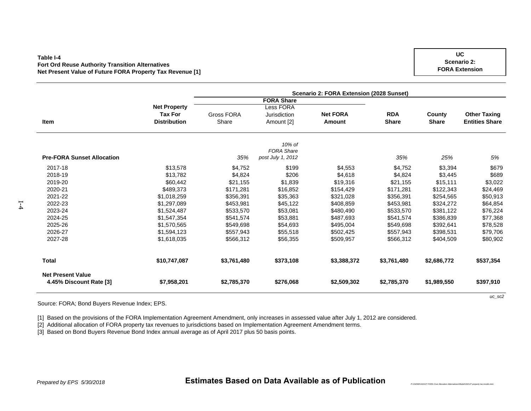### **Table I-4Fort Ord Reuse Authority Transition Alternatives Net Present Value of Future FORA Property Tax Revenue [1]**

|                                   |                     | Scenario 2: FORA Extension (2028 Sunset) |                   |                 |              |              |                       |  |  |  |  |
|-----------------------------------|---------------------|------------------------------------------|-------------------|-----------------|--------------|--------------|-----------------------|--|--|--|--|
|                                   |                     |                                          | <b>FORA Share</b> |                 |              |              |                       |  |  |  |  |
|                                   | <b>Net Property</b> |                                          | <b>Less FORA</b>  |                 |              |              |                       |  |  |  |  |
|                                   | <b>Tax For</b>      | Gross FORA                               | Jurisdiction      | <b>Net FORA</b> | <b>RDA</b>   | County       | <b>Other Taxing</b>   |  |  |  |  |
| Item                              | <b>Distribution</b> | Share                                    | Amount [2]        | Amount          | <b>Share</b> | <b>Share</b> | <b>Entities Share</b> |  |  |  |  |
|                                   |                     |                                          | 10% of            |                 |              |              |                       |  |  |  |  |
|                                   |                     |                                          | <b>FORA Share</b> |                 |              |              |                       |  |  |  |  |
| <b>Pre-FORA Sunset Allocation</b> |                     | 35%                                      | post July 1, 2012 |                 | 35%          | 25%          | 5%                    |  |  |  |  |
| 2017-18                           | \$13,578            | \$4,752                                  | \$199             | \$4,553         | \$4,752      | \$3,394      | \$679                 |  |  |  |  |
| 2018-19                           | \$13,782            | \$4,824                                  | \$206             | \$4,618         | \$4,824      | \$3,445      | \$689                 |  |  |  |  |
| 2019-20                           | \$60,442            | \$21,155                                 | \$1,839           | \$19,316        | \$21,155     | \$15,111     | \$3,022               |  |  |  |  |
| 2020-21                           | \$489,373           | \$171.281                                | \$16,852          | \$154,429       | \$171.281    | \$122,343    | \$24,469              |  |  |  |  |
| 2021-22                           | \$1,018,259         | \$356,391                                | \$35,363          | \$321,028       | \$356,391    | \$254,565    | \$50,913              |  |  |  |  |
| 2022-23                           | \$1,297,089         | \$453,981                                | \$45,122          | \$408,859       | \$453,981    | \$324,272    | \$64,854              |  |  |  |  |
| 2023-24                           | \$1,524,487         | \$533,570                                | \$53,081          | \$480,490       | \$533,570    | \$381,122    | \$76,224              |  |  |  |  |
| 2024-25                           | \$1,547,354         | \$541,574                                | \$53,881          | \$487,693       | \$541,574    | \$386,839    | \$77,368              |  |  |  |  |
| 2025-26                           | \$1,570,565         | \$549,698                                | \$54,693          | \$495,004       | \$549,698    | \$392,641    | \$78,528              |  |  |  |  |
| 2026-27                           | \$1,594,123         | \$557,943                                | \$55,518          | \$502,425       | \$557,943    | \$398,531    | \$79,706              |  |  |  |  |
| 2027-28                           | \$1,618,035         | \$566,312                                | \$56,355          | \$509,957       | \$566,312    | \$404,509    | \$80,902              |  |  |  |  |
| <b>Total</b>                      | \$10,747,087        | \$3,761,480                              | \$373,108         | \$3,388,372     | \$3,761,480  | \$2,686,772  | \$537,354             |  |  |  |  |
| <b>Net Present Value</b>          |                     |                                          |                   |                 |              |              |                       |  |  |  |  |
| 4.45% Discount Rate [3]           | \$7,958,201         | \$2,785,370                              | \$276,068         | \$2,509,302     | \$2,785,370  | \$1,989,550  | \$397,910             |  |  |  |  |

Source: FORA; Bond Buyers Revenue Index; EPS.

[1] Based on the provisions of the FORA Implementation Agreement Amendment, only increases in assessed value after July 1, 2012 are considered.

[2] Additional allocation of FORA property tax revenues to jurisdictions based on Implementation Agreement Amendment terms.

[3] Based on Bond Buyers Revenue Bond Index annual average as of April 2017 plus 50 basis points.

 $\overline{L}$ 

*P:\162000\162127 FORA Cost Allocation Alternatives\Model\162127 property tax model.xlsm*

**UCScenario 2: FORA Extension**

*uc\_sc2*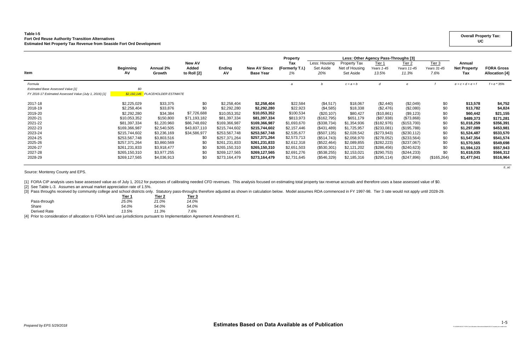## **Table I-5 Fort Ord Reuse Authority Transition Alternatives Estimated Net Property Tax Revenue from Seaside Fort Ord Development**

|                                                        |                  |                             |                        |               |                     | <b>Property</b>        | Less: Other Agency Pass-Throughs [3] |                                |                      |                              |                       |                               |                       |
|--------------------------------------------------------|------------------|-----------------------------|------------------------|---------------|---------------------|------------------------|--------------------------------------|--------------------------------|----------------------|------------------------------|-----------------------|-------------------------------|-----------------------|
|                                                        | <b>Beginning</b> | Annual 2%                   | <b>New AV</b><br>Added | <b>Ending</b> | <b>New AV Since</b> | Tax<br>(Formerly T.I.) | Less: Housing<br>Set Aside           | Property Tax<br>Net of Housing | Tier 1<br>Years 1-45 | <u>Tier 2</u><br>Years 11-45 | Tier 3<br>Years 31-45 | Annual<br><b>Net Property</b> | <b>FORA Gross</b>     |
| <b>Item</b>                                            | AV               | Growth                      | to Roll [2]            | Α٧            | <b>Base Year</b>    | 1%                     | 20%                                  | Set Aside                      | 13.5%                | 11.3%                        | 7.6%                  | Tax                           | <b>Allocation</b> [4] |
| Formula                                                |                  |                             |                        |               |                     |                        |                                      | $c = a + b$                    | d                    |                              |                       | $e = c + d + e + i$           | $f = e * 35%$         |
| <b>Estimated Base Assessed Value [1]</b>               | \$0              |                             |                        |               |                     |                        |                                      |                                |                      |                              |                       |                               |                       |
| FY 2016-17 Estimated Assessed Value (July 1, 2016) [1] | \$2,192,146      | <b>PLACEHOLDER ESTIMATE</b> |                        |               |                     |                        |                                      |                                |                      |                              |                       |                               |                       |
| 2017-18                                                | \$2,225,029      | \$33,375                    | \$0                    | \$2,258,404   | \$2,258,404         | \$22,584               | (\$4,517)                            | \$18,067                       | (\$2,440)            | (\$2,049)                    | \$0                   | \$13,578                      | \$4,752               |
| 2018-19                                                | \$2,258,404      | \$33,876                    | \$0                    | \$2,292,280   | \$2,292,280         | \$22,923               | (\$4,585)                            | \$18,338                       | (\$2,476)            | (\$2,080)                    | \$0                   | \$13,782                      | \$4,824               |
| 2019-20                                                | \$2,292,280      | \$34,384                    | \$7,726,688            | \$10,053,352  | \$10,053,352        | \$100,534              | $(\$20,107)$                         | \$80,427                       | (\$10,861)           | (\$9,123)                    | \$0                   | \$60,442                      | \$21,155              |
| 2020-21                                                | \$10,053,352     | \$150,800                   | \$71,193,182           | \$81,397,334  | \$81,397,334        | \$813,973              | (\$162,795)                          | \$651,179                      | (\$87,938)           | (\$73,868)                   | \$0                   | \$489,373                     | \$171,281             |
| 2021-22                                                | \$81,397,334     | \$1,220,960                 | \$86,748,692           | \$169,366,987 | \$169,366,987       | \$1,693,670            | (\$338,734)                          | \$1,354,936                    | (\$182,976)          | (\$153,700)                  | \$0                   | \$1,018,259                   | \$356,391             |
| 2022-23                                                | \$169,366,987    | \$2,540,505                 | \$43,837,110           | \$215,744,602 | \$215,744,602       | \$2,157,446            | (\$431,489)                          | \$1,725,957                    | (\$233,081)          | (\$195,788)                  | \$0                   | \$1,297,089                   | \$453,981             |
| 2023-24                                                | \$215,744,602    | \$3,236,169                 | \$34,586,977           | \$253,567,748 | \$253,567,748       | \$2,535,677            | (\$507, 135)                         | \$2,028,542                    | (\$273,943)          | (\$230,112)                  | \$0                   | \$1,524,487                   | \$533,570             |
| 2024-25                                                | \$253,567,748    | \$3,803,516                 | \$0                    | \$257,371,264 | \$257,371,264       | \$2,573,713            | (\$514,743)                          | \$2,058,970                    | (\$278,052)          | (\$233,564)                  | \$0                   | \$1,547,354                   | \$541,574             |
| 2025-26                                                | \$257,371,264    | \$3,860,569                 | \$0                    | \$261,231,833 | \$261,231,833       | \$2,612,318            | (\$522,464)                          | \$2,089,855                    | (\$282,223)          | (\$237,067)                  | \$0                   | \$1,570,565                   | \$549,698             |
| 2026-27                                                | \$261,231,833    | \$3,918,477                 | \$0                    | \$265,150,310 | \$265,150,310       | \$2,651,503            | (\$530,301)                          | \$2,121,202                    | (\$286,456)          | (\$240,623)                  | \$0                   | \$1,594,123                   | \$557,943             |
| 2027-28                                                | \$265,150,310    | \$3,977,255                 | \$0                    | \$269,127,565 | \$269,127,565       | \$2,691,276            | (\$538,255)                          | \$2,153,021                    | (\$290,753)          | $(\$244,233)$                | \$0                   | \$1,618,035                   | \$566,312             |
| 2028-29                                                | \$269,127,565    | \$4,036,913                 | \$0                    | \$273,164,479 | \$273,164,479       | \$2,731,645            | (\$546,329)                          | \$2,185,316                    | (\$295,114)          | (\$247,896)                  | (\$165,264)           | \$1,477,041                   | \$516,964             |

*ti\_uc*

Source: Monterey County and EPS.

[1] FORA CIP analysis uses base assessed value as of July 1, 2012 for purposes of calibrating needed CFD revenues. This analysis focused on estimating total property tax revenue accruals and therefore uses a base assessed

[2] See Table L-3. Assumes an annual market appreciation rate of 1.5%.

[3] Pass throughs received by community college and school districts only. Statutory pass-throughs therefore adjusted as shown in calculation below. Model assumes RDA commenced in FY 1997-98. Tier 3 rate would not apply un

|                    | Tier 1 | Tier 2 | Tier 3 |
|--------------------|--------|--------|--------|
| Pass-through       | 25.0%  | 21.0%  | 14.0%  |
| Share              | 54.0%  | 54.0%  | 54.0%  |
| Derived Rate       | 13.5%  | 11.3%  | 7.6%   |
| .<br>$\sim$ $\sim$ |        |        |        |

[4] Prior to consideration of allocation to FORA land use jurisdictions pursuant to Implementation Agreement Amendment #1.

## **Overall Property Tax: UC**

*P:\162000\162127 FORA Cost Allocation Alternatives\Model\162127 property tax model.xlsm*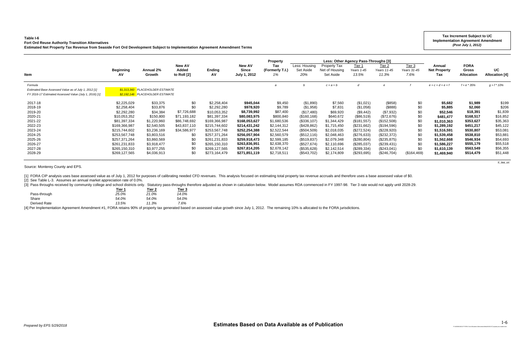## **Table I-6**

**Fort Ord Reuse Authority Transition Alternatives**

[3] Pass throughs received by community college and school districts only. Statutory pass-throughs therefore adjusted as shown in calculation below. Model assumes RDA commenced in FY 1997-98. Tier 3 rate would not apply un **Tier 1 Tier 2 Tier 3**

| Estimated Net Property Tax Revenue from Seaside Fort Ord Development Subject to Implementation Agreement Amendment Terms |                               |                                  |                                              |                     |                                               |                                                 |                                   |                                             |                                                                       | (Post July 1, 2012)                   |                                 |                                      |                                           |                             |
|--------------------------------------------------------------------------------------------------------------------------|-------------------------------|----------------------------------|----------------------------------------------|---------------------|-----------------------------------------------|-------------------------------------------------|-----------------------------------|---------------------------------------------|-----------------------------------------------------------------------|---------------------------------------|---------------------------------|--------------------------------------|-------------------------------------------|-----------------------------|
| Item                                                                                                                     | <b>Beginning</b><br><b>AV</b> | Annual 2%<br>Growth              | <b>New AV</b><br><b>Added</b><br>to Roll [2] | <b>Ending</b><br>AV | <b>New AV</b><br><b>Since</b><br>July 1, 2012 | <b>Property</b><br>Tax<br>(Formerly T.I.)<br>1% | Less: Housing<br>Set Aside<br>20% | Property Tax<br>Net of Housing<br>Set Aside | Less: Other Agency Pass-Throughs [3]<br>Tier 1<br>Years 1-45<br>13.5% | <u>Tier 2</u><br>Years 11-45<br>11.3% | Tier $3$<br>Years 31-45<br>7.6% | Annual<br><b>Net Property</b><br>Tax | <b>FORA</b><br>Gross<br><b>Allocation</b> | UC<br><b>Allocation [4]</b> |
| Formula                                                                                                                  |                               |                                  |                                              |                     |                                               |                                                 |                                   | $c = a + b$                                 |                                                                       |                                       |                                 | $e = c + d + e + f$                  | $f = e * 35%$                             | $g = f * 10\%$              |
| Estimated Base Assessed Value as of July 1, 2012 [1]                                                                     |                               | \$1,313,360 PLACEHOLDER ESTIMATE |                                              |                     |                                               |                                                 |                                   |                                             |                                                                       |                                       |                                 |                                      |                                           |                             |
| FY 2016-17 Estimated Assessed Value (July 1, 2016) [1]                                                                   |                               | \$2,192,146 PLACEHOLDER ESTIMATE |                                              |                     |                                               |                                                 |                                   |                                             |                                                                       |                                       |                                 |                                      |                                           |                             |
| 2017-18                                                                                                                  | \$2,225,029                   | \$33,375                         | \$0                                          | \$2,258,404         | \$945,044                                     | \$9,450                                         | (\$1,890)                         | \$7,560                                     | (\$1,021)                                                             | $($ \$858)                            | \$0                             | \$5,682                              | \$1,989                                   | \$199                       |
| 2018-19                                                                                                                  | \$2,258,404                   | \$33,876                         | \$0                                          | \$2,292,280         | \$978,920                                     | \$9,789                                         | (\$1,958)                         | \$7,831                                     | (\$1,058)                                                             | (\$888)                               | \$0                             | \$5,885                              | \$2,060                                   | \$206                       |
| 2019-20                                                                                                                  | \$2,292,280                   | \$34,384                         | \$7,726,688                                  | \$10,053,352        | \$8,739,992                                   | \$87,400                                        | (\$17,480)                        | \$69,920                                    | (\$9,442)                                                             | (\$7,932)                             | \$0                             | \$52,546                             | \$18,391                                  | \$1,839                     |
| 2020-21                                                                                                                  | \$10,053,352                  | \$150,800                        | \$71,193,182                                 | \$81,397,334        | \$80,083,975                                  | \$800,840                                       | (\$160, 168)                      | \$640,672                                   | (\$86,519)                                                            | (\$72,676)                            | \$0                             | \$481,477                            | \$168,517                                 | \$16,852                    |
| 2021-22                                                                                                                  | \$81,397,334                  | \$1,220,960                      | \$86,748,692                                 | \$169,366,987       | \$168,053,627                                 | \$1,680,536                                     | (\$336,107)                       | \$1,344,429                                 | (\$181,557)                                                           | (\$152,508)                           | \$0                             | \$1,010,363                          | \$353,627                                 | \$35,363                    |
| 2022-23                                                                                                                  | \$169,366,987                 | \$2,540,505                      | \$43,837,110                                 | \$215,744,602       | \$214,431,242                                 | \$2,144,312                                     | (\$428,862)                       | \$1,715,450                                 | (\$231,662)                                                           | (\$194,596)                           | \$0                             | \$1,289,192                          | \$451,217                                 | \$45,122                    |
| 2023-24                                                                                                                  | \$215,744,602                 | \$3,236,169                      | \$34,586,977                                 | \$253,567,748       | \$252,254,388                                 | \$2,522,544                                     | (\$504,509)                       | \$2,018,035                                 | (\$272,524)                                                           | (\$228,920)                           | \$0                             | \$1,516,591                          | \$530,807                                 | \$53,081                    |
| 2024-25                                                                                                                  | \$253,567,748                 | \$3,803,516                      | \$C                                          | \$257,371,264       | \$256,057,904                                 | \$2,560,579                                     | (\$512,116)                       | \$2,048,463                                 | (\$276,633)                                                           | (\$232,372)                           | \$0                             | \$1,539,458                          | \$538,810                                 | \$53,881                    |
| 2025-26                                                                                                                  | \$257,371,264                 | \$3,860,569                      | \$С                                          | \$261,231,833       | \$259,918,473                                 | \$2,599,185                                     | (\$519,837)                       | \$2,079,348                                 | (\$280, 804)                                                          | (\$235,875)                           | \$0                             | \$1,562,668                          | \$546,934                                 | \$54,693                    |
| 2026-27                                                                                                                  | \$261,231,833                 | \$3,918,477                      | \$С                                          | \$265,150,310       | \$263,836,951                                 | \$2,638,370                                     | (\$527,674)                       | \$2,110,696                                 | (\$285,037)                                                           | (\$239,431)                           | \$0                             | \$1,586,227                          | \$555,179                                 | \$55,518                    |
| 2027-28                                                                                                                  | \$265,150,310                 | \$3,977,255                      | \$0                                          | \$269,127,565       | \$267,814,205                                 | \$2,678,142                                     | (\$535,628)                       | \$2,142,514                                 | (\$289,334)                                                           | (\$243,041)                           | \$0                             | \$1,610,139                          | \$563,549                                 | \$56,355                    |
| 2028-29                                                                                                                  | \$269,127,565                 | \$4,036,913                      | \$0                                          | \$273,164,479       | \$271,851,119                                 | \$2,718,511                                     | (\$543,702)                       | \$2,174,809                                 | (\$293,695)                                                           | (\$246,704)                           | (\$164,469)                     | \$1,469,940                          | \$514,479                                 | \$51,448                    |

*ti\_iaa\_uc*

Source: Monterey County and EPS.

[1] FORA CIP analysis uses base assessed value as of July 1, 2012 for purposes of calibrating needed CFD revenues. This analysis focused on estimating total property tax revenue accruals and therefore uses a base assessed

[2] See Table L-3. Assumes an annual market appreciation rate of 0.0%.

|              | rier 1 | ner z | нег з |
|--------------|--------|-------|-------|
| Pass-through | 25.0%  | 21.0% | 14.0% |
| Share        | 54.0%  | 54.0% | 54.0% |
| Derived Rate | 13.5%  | 11.3% | 7.6%  |
|              |        |       |       |

[4] Per Implementation Agreement Amendment #1, FORA retains 90% of property tax generated based on assessed value growth since July 1, 2012. The remaining 10% is allocated to the FORA jurisdictions.

**Tax Increment Subject to UC Implementation Agreement Amendment** 

*P:\162000\162127 FORA Cost Allocation Alternatives\Model\162127 property tax model.xlsm*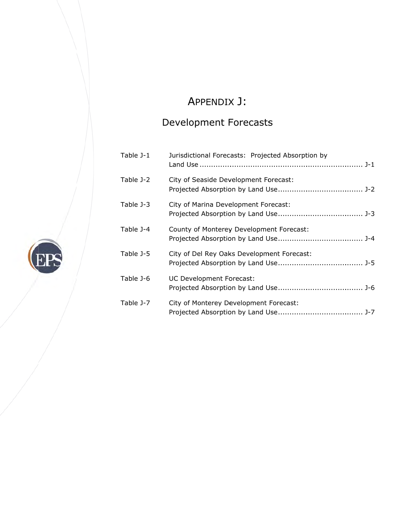# A APPENDIX X J:

# Development Forecasts

|           | Development Forecasts                             |
|-----------|---------------------------------------------------|
| Table J-1 | Jurisdictional Forecasts: Projected Absorption by |
| Table J-2 | City of Seaside Development Forecast:             |
| Table J-3 | City of Marina Development Forecast:              |
| Table J-4 | County of Monterey Development Forecast:          |
| Table J-5 | City of Del Rey Oaks Development Forecast:        |
| Table J-6 | UC Development Forecast:                          |
| Table J-7 | City of Monterey Development Forecast:            |

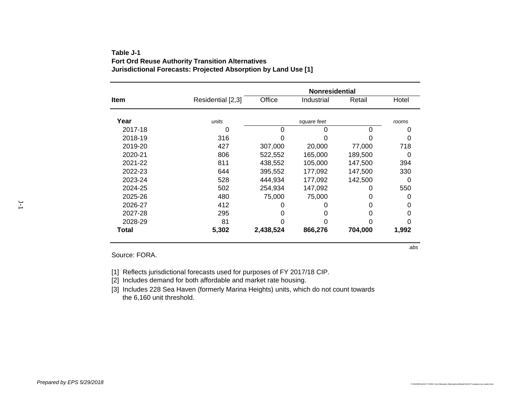|              |                   | <b>Nonresidential</b> |             |         |       |
|--------------|-------------------|-----------------------|-------------|---------|-------|
| Item         | Residential [2,3] | Office                | Industrial  | Retail  | Hotel |
| Year         |                   |                       |             |         |       |
|              | units             |                       | square feet |         | rooms |
| 2017-18      | 0                 | 0                     |             | 0       |       |
| 2018-19      | 316               |                       |             |         | 0     |
| 2019-20      | 427               | 307,000               | 20,000      | 77,000  | 718   |
| 2020-21      | 806               | 522,552               | 165.000     | 189,500 | 0     |
| 2021-22      | 811               | 438,552               | 105,000     | 147,500 | 394   |
| 2022-23      | 644               | 395,552               | 177.092     | 147,500 | 330   |
| 2023-24      | 528               | 444.934               | 177.092     | 142.500 | 0     |
| 2024-25      | 502               | 254,934               | 147,092     | O       | 550   |
| 2025-26      | 480               | 75,000                | 75.000      | 0       | O     |
| 2026-27      | 412               |                       |             |         | 0     |
| 2027-28      | 295               |                       |             | 0       | 0     |
| 2028-29      | 81                |                       |             |         | O     |
| <b>Total</b> | 5,302             | 2,438,524             | 866,276     | 704,000 | 1,992 |

## **Table J-1Fort Ord Reuse Authority Transition Alternatives Jurisdictional Forecasts: Projected Absorption by Land Use [1]**

Source: FORA.

[1] Reflects jurisdictional forecasts used for purposes of FY 2017/18 CIP.

[2] Includes demand for both affordable and market rate housing.

[3] Includes 228 Sea Haven (formerly Marina Heights) units, which do not count towards the 6,160 unit threshold.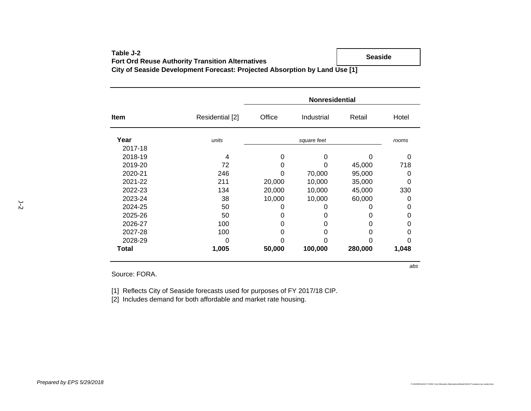| Table J-2                                                                  | Seaside |
|----------------------------------------------------------------------------|---------|
| <b>Fort Ord Reuse Authority Transition Alternatives</b>                    |         |
| City of Seaside Development Forecast: Projected Absorption by Land Use [1] |         |

|              |                 | <b>Nonresidential</b> |            |         |       |
|--------------|-----------------|-----------------------|------------|---------|-------|
| Item         | Residential [2] | Office                | Industrial | Retail  | Hotel |
| Year         | units           |                       | rooms      |         |       |
| 2017-18      |                 |                       |            |         |       |
| 2018-19      | 4               | 0                     | 0          |         | 0     |
| 2019-20      | 72              |                       | 0          | 45,000  | 718   |
| 2020-21      | 246             | 0                     | 70,000     | 95,000  | 0     |
| 2021-22      | 211             | 20,000                | 10,000     | 35,000  | 0     |
| 2022-23      | 134             | 20,000                | 10,000     | 45,000  | 330   |
| 2023-24      | 38              | 10,000                | 10,000     | 60,000  | 0     |
| 2024-25      | 50              | 0                     | O          | O       | 0     |
| 2025-26      | 50              | 0                     | 0          | O       | 0     |
| 2026-27      | 100             | 0                     | 0          | O       | 0     |
| 2027-28      | 100             | 0                     | 0          | O       | 0     |
| 2028-29      | 0               | Ω                     | ი          |         | O     |
| <b>Total</b> | 1,005           | 50,000                | 100,000    | 280,000 | 1,048 |
|              |                 |                       |            |         | abs   |

Source: FORA.

[1] Reflects City of Seaside forecasts used for purposes of FY 2017/18 CIP.

[2] Includes demand for both affordable and market rate housing.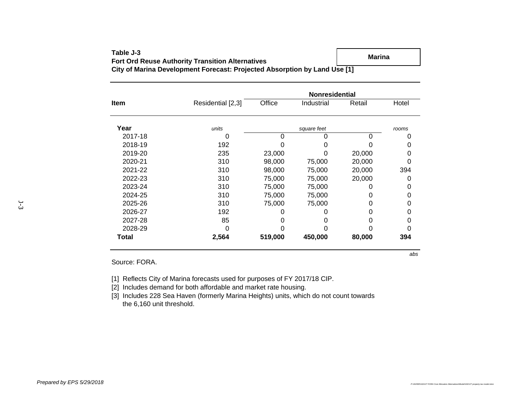|             | <b>Nonresidential</b> |         |             |        |       |  |  |
|-------------|-----------------------|---------|-------------|--------|-------|--|--|
| <b>Item</b> | Residential [2,3]     | Office  | Industrial  | Retail | Hotel |  |  |
| Year        | units                 |         | square feet |        | rooms |  |  |
| 2017-18     | O                     | 0       |             | 0      | O     |  |  |
| 2018-19     | 192                   |         |             |        | 0     |  |  |
| 2019-20     | 235                   | 23,000  | 0           | 20,000 | 0     |  |  |
| 2020-21     | 310                   | 98,000  | 75,000      | 20,000 | 0     |  |  |
| 2021-22     | 310                   | 98,000  | 75,000      | 20,000 | 394   |  |  |
| 2022-23     | 310                   | 75,000  | 75,000      | 20,000 | 0     |  |  |
| 2023-24     | 310                   | 75,000  | 75,000      | O      | 0     |  |  |
| 2024-25     | 310                   | 75,000  | 75,000      | O      | 0     |  |  |
| 2025-26     | 310                   | 75,000  | 75,000      | O      | 0     |  |  |
| 2026-27     | 192                   |         |             | O      | 0     |  |  |
| 2027-28     | 85                    |         |             | O      | 0     |  |  |
| 2028-29     | 0                     |         |             |        | ი     |  |  |
| Total       | 2,564                 | 519,000 | 450,000     | 80,000 | 394   |  |  |

### **Table J-3Fort Ord Reuse Authority Transition Alternatives City of Marina Development Forecast: Projected Absorption by Land Use [1] Marina**

Source: FORA.

[1] Reflects City of Marina forecasts used for purposes of FY 2017/18 CIP.

[2] Includes demand for both affordable and market rate housing.

[3] Includes 228 Sea Haven (formerly Marina Heights) units, which do not count towards the 6,160 unit threshold.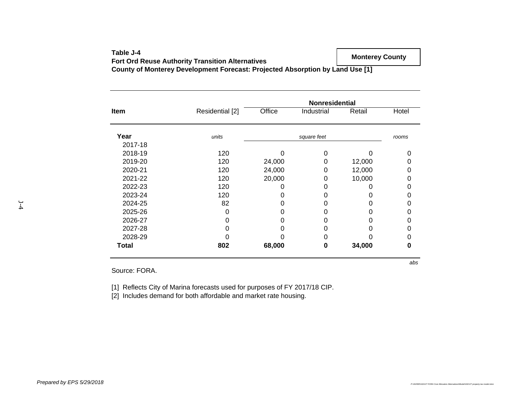| Table J-4                                                                     | <b>Monterey County</b> |
|-------------------------------------------------------------------------------|------------------------|
| <b>Fort Ord Reuse Authority Transition Alternatives</b>                       |                        |
| County of Monterey Development Forecast: Projected Absorption by Land Use [1] |                        |

| Item    | <b>Nonresidential</b> |        |             |        |       |  |
|---------|-----------------------|--------|-------------|--------|-------|--|
|         | Residential [2]       | Office | Industrial  | Retail | Hotel |  |
| Year    | units                 |        | square feet |        | rooms |  |
| 2017-18 |                       |        |             |        |       |  |
| 2018-19 | 120                   |        |             |        |       |  |
| 2019-20 | 120                   | 24,000 |             | 12,000 |       |  |
| 2020-21 | 120                   | 24,000 | 0           | 12,000 |       |  |
| 2021-22 | 120                   | 20,000 | 0           | 10,000 |       |  |
| 2022-23 | 120                   |        |             | 0      |       |  |
| 2023-24 | 120                   |        |             | 0      |       |  |
| 2024-25 | 82                    |        |             | O      |       |  |
| 2025-26 | 0                     |        |             | 0      |       |  |
| 2026-27 |                       |        |             | O      |       |  |
| 2027-28 |                       |        |             |        |       |  |
| 2028-29 |                       |        |             |        |       |  |
| Total   | 802                   | 68,000 | 0           | 34,000 |       |  |

Source: FORA.

[1] Reflects City of Marina forecasts used for purposes of FY 2017/18 CIP.

[2] Includes demand for both affordable and market rate housing.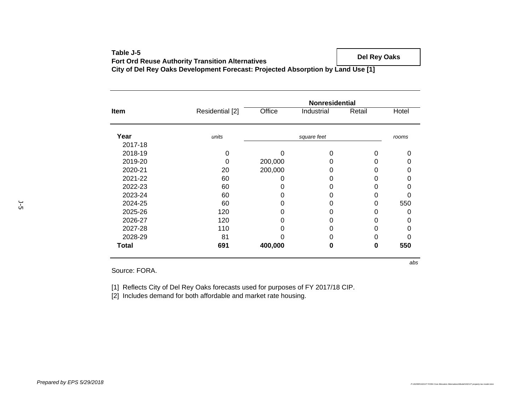| Table J-5                                                                       | Del Rey Oaks |
|---------------------------------------------------------------------------------|--------------|
| <b>Fort Ord Reuse Authority Transition Alternatives</b>                         |              |
| City of Del Rey Oaks Development Forecast: Projected Absorption by Land Use [1] |              |

|         | <b>Nonresidential</b> |         |             |        |       |
|---------|-----------------------|---------|-------------|--------|-------|
| Item    | Residential [2]       | Office  | Industrial  | Retail | Hotel |
|         |                       |         |             |        |       |
| Year    | units                 |         | square feet |        | rooms |
| 2017-18 |                       |         |             |        |       |
| 2018-19 | 0                     | ი       | 0           | 0      | 0     |
| 2019-20 | 0                     | 200,000 |             | 0      | Ω     |
| 2020-21 | 20                    | 200,000 |             | 0      | O     |
| 2021-22 | 60                    |         |             | ი      | ი     |
| 2022-23 | 60                    |         |             | 0      | ი     |
| 2023-24 | 60                    |         |             | 0      | ი     |
| 2024-25 | 60                    |         |             | 0      | 550   |
| 2025-26 | 120                   |         | Ω           | 0      | O     |
| 2026-27 | 120                   |         | O           | 0      | O     |
| 2027-28 | 110                   |         | Ω           | 0      | ი     |
| 2028-29 | 81                    |         |             |        |       |
| Total   | 691                   | 400,000 | 0           | 0      | 550   |

Source: FORA.

[1] Reflects City of Del Rey Oaks forecasts used for purposes of FY 2017/18 CIP.

[2] Includes demand for both affordable and market rate housing.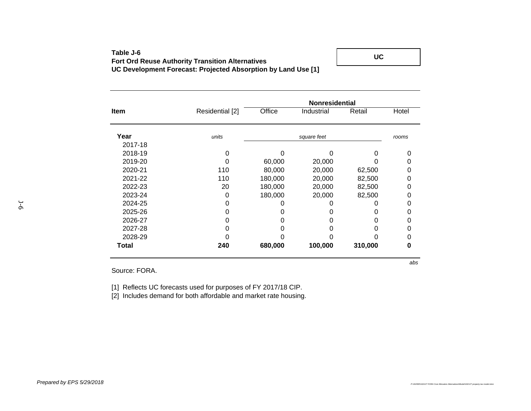## **Table J-6Fort Ord Reuse Authority Transition Alternatives UC Development Forecast: Projected Absorption by Land Use [1]**

**UC**

**Item** Residential [2] Office Industrial Retail Hotel **Year** *units rooms square feet* 2017-182018-19 0 0 0 0 02019-20 0 60,000 20,000 0 0 2020-21 110 80,000 20,000 62,500 0 2021-22 110 180,000 20,000 82,500 0 2022-23 20 180,000 20,000 82,500 0 2023-24 0 180,000 20,000 82,500 0 2024-25 0 0 0 0 0 $\pmb{0}$ 2025-26 0 0 0 0 02026-27 0 0 0 0 02027-28 0 0 0 0 02028-29 0 0 0 0 0**Total 240 680,000 100,000 310,000 0 Nonresidential**

Source: FORA.

[1] Reflects UC forecasts used for purposes of FY 2017/18 CIP.

[2] Includes demand for both affordable and market rate housing.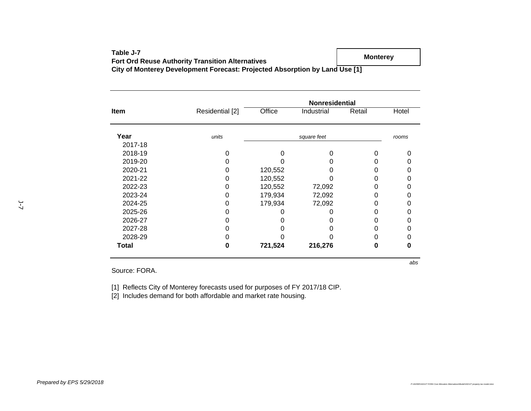| Table J-7                                                                   | <b>Monterev</b> |
|-----------------------------------------------------------------------------|-----------------|
| <b>Fort Ord Reuse Authority Transition Alternatives</b>                     |                 |
| City of Monterey Development Forecast: Projected Absorption by Land Use [1] |                 |

| <b>Item</b> |                 | <b>Nonresidential</b> |             |        |       |
|-------------|-----------------|-----------------------|-------------|--------|-------|
|             | Residential [2] | Office                | Industrial  | Retail | Hotel |
| Year        | units           |                       | square feet |        | rooms |
| 2017-18     |                 |                       |             |        |       |
| 2018-19     |                 |                       |             |        |       |
| 2019-20     |                 |                       |             |        |       |
| 2020-21     | 0               | 120,552               |             |        |       |
| 2021-22     | 0               | 120,552               |             |        |       |
| 2022-23     | 0               | 120,552               | 72,092      |        |       |
| 2023-24     |                 | 179,934               | 72,092      |        |       |
| 2024-25     |                 | 179,934               | 72,092      |        |       |
| 2025-26     |                 |                       |             |        |       |
| 2026-27     |                 |                       |             |        |       |
| 2027-28     |                 |                       |             |        |       |
| 2028-29     |                 |                       |             |        |       |
| Total       |                 | 721,524               | 216,276     |        |       |

Source: FORA.

[1] Reflects City of Monterey forecasts used for purposes of FY 2017/18 CIP.

[2] Includes demand for both affordable and market rate housing.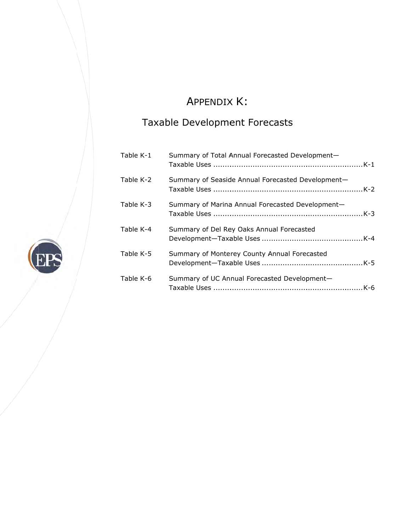# A APPENDIX X K:

# Taxable Development Forecasts

| Table K-1 | Summary of Total Annual Forecasted Development-   |
|-----------|---------------------------------------------------|
| Table K-2 | Summary of Seaside Annual Forecasted Development- |
| Table K-3 | Summary of Marina Annual Forecasted Development-  |
| Table K-4 | Summary of Del Rey Oaks Annual Forecasted         |
| Table K-5 | Summary of Monterey County Annual Forecasted      |
| Table K-6 | Summary of UC Annual Forecasted Development-      |

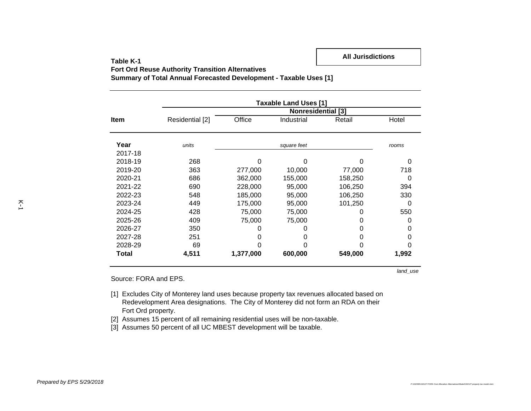**Fort Ord Reuse Authority Transition Alternatives**

**Summary of Total Annual Forecasted Development - Taxable Uses [1]**

|             |                 |           | <b>Taxable Land Uses [1]</b> |         |       |
|-------------|-----------------|-----------|------------------------------|---------|-------|
|             |                 |           | <b>Nonresidential [3]</b>    |         |       |
| <b>Item</b> | Residential [2] | Office    | Industrial                   | Retail  | Hotel |
| Year        | units           |           | square feet                  |         | rooms |
| 2017-18     |                 |           |                              |         |       |
| 2018-19     | 268             | O         | n                            |         | 0     |
| 2019-20     | 363             | 277,000   | 10,000                       | 77,000  | 718   |
| 2020-21     | 686             | 362,000   | 155,000                      | 158,250 | 0     |
| 2021-22     | 690             | 228,000   | 95,000                       | 106,250 | 394   |
| 2022-23     | 548             | 185,000   | 95,000                       | 106,250 | 330   |
| 2023-24     | 449             | 175,000   | 95,000                       | 101,250 | 0     |
| 2024-25     | 428             | 75,000    | 75,000                       |         | 550   |
| 2025-26     | 409             | 75,000    | 75,000                       | O       | 0     |
| 2026-27     | 350             | O         |                              |         | 0     |
| 2027-28     | 251             | 0         | O                            | 0       | 0     |
| 2028-29     | 69              |           |                              |         | 0     |
| Total       | 4,511           | 1,377,000 | 600,000                      | 549,000 | 1,992 |

*land\_use*

Source: FORA and EPS.

- [1] Excludes City of Monterey land uses because property tax revenues allocated based on Redevelopment Area designations. The City of Monterey did not form an RDA on their Fort Ord property.
- [2] Assumes 15 percent of all remaining residential uses will be non-taxable.
- [3] Assumes 50 percent of all UC MBEST development will be taxable.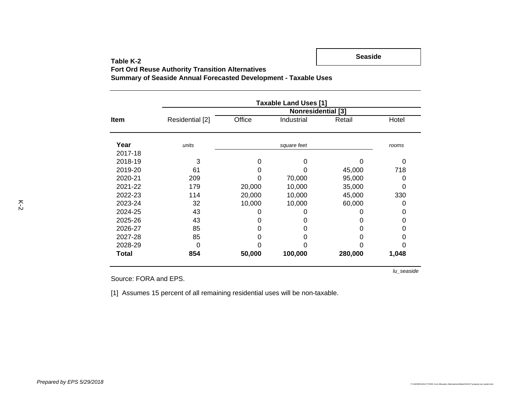**Seaside**

**Fort Ord Reuse Authority Transition Alternatives**

**Summary of Seaside Annual Forecasted Development - Taxable Uses**

|             | <b>Taxable Land Uses [1]</b> |        |             |         |       |  |  |  |  |  |
|-------------|------------------------------|--------|-------------|---------|-------|--|--|--|--|--|
|             | <b>Nonresidential [3]</b>    |        |             |         |       |  |  |  |  |  |
| <b>Item</b> | Residential [2]              | Office | Industrial  | Retail  | Hotel |  |  |  |  |  |
| Year        | units                        |        | square feet |         | rooms |  |  |  |  |  |
| 2017-18     |                              |        |             |         |       |  |  |  |  |  |
| 2018-19     | 3                            | 0      | 0           | ი       | 0     |  |  |  |  |  |
| 2019-20     | 61                           | O      | O           | 45,000  | 718   |  |  |  |  |  |
| 2020-21     | 209                          | Ω      | 70,000      | 95,000  | 0     |  |  |  |  |  |
| 2021-22     | 179                          | 20,000 | 10,000      | 35,000  | 0     |  |  |  |  |  |
| 2022-23     | 114                          | 20,000 | 10,000      | 45,000  | 330   |  |  |  |  |  |
| 2023-24     | 32                           | 10,000 | 10,000      | 60,000  | 0     |  |  |  |  |  |
| 2024-25     | 43                           | 0      |             |         | 0     |  |  |  |  |  |
| 2025-26     | 43                           | 0      | 0           | 0       | 0     |  |  |  |  |  |
| 2026-27     | 85                           | O      | 0           | 0       | 0     |  |  |  |  |  |
| 2027-28     | 85                           |        |             |         |       |  |  |  |  |  |
| 2028-29     | 0                            |        |             |         |       |  |  |  |  |  |
| Total       | 854                          | 50,000 | 100,000     | 280,000 | 1,048 |  |  |  |  |  |

Source: FORA and EPS.

*lu\_seaside*

[1] Assumes 15 percent of all remaining residential uses will be non-taxable.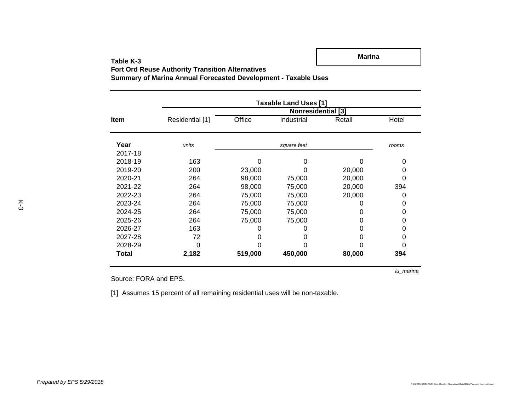**Marina**

**Fort Ord Reuse Authority Transition Alternatives**

**Summary of Marina Annual Forecasted Development - Taxable Uses**

|              | <b>Taxable Land Uses [1]</b> |         |             |        |       |  |  |  |  |
|--------------|------------------------------|---------|-------------|--------|-------|--|--|--|--|
|              | <b>Nonresidential [3]</b>    |         |             |        |       |  |  |  |  |
| <b>Item</b>  | Residential [1]              | Office  | Industrial  | Retail | Hotel |  |  |  |  |
| Year         | units                        |         | square feet |        | rooms |  |  |  |  |
| 2017-18      |                              |         |             |        |       |  |  |  |  |
| 2018-19      | 163                          | 0       | 0           | ი      | 0     |  |  |  |  |
| 2019-20      | 200                          | 23,000  | 0           | 20,000 | 0     |  |  |  |  |
| 2020-21      | 264                          | 98,000  | 75,000      | 20,000 | 0     |  |  |  |  |
| 2021-22      | 264                          | 98,000  | 75,000      | 20,000 | 394   |  |  |  |  |
| 2022-23      | 264                          | 75,000  | 75,000      | 20,000 | 0     |  |  |  |  |
| 2023-24      | 264                          | 75,000  | 75,000      | 0      | 0     |  |  |  |  |
| 2024-25      | 264                          | 75,000  | 75,000      | 0      | 0     |  |  |  |  |
| 2025-26      | 264                          | 75,000  | 75,000      | 0      | 0     |  |  |  |  |
| 2026-27      | 163                          | O)      |             | 0      | 0     |  |  |  |  |
| 2027-28      | 72                           | Ω       |             | 0      | 0     |  |  |  |  |
| 2028-29      | 0                            |         |             |        |       |  |  |  |  |
| <b>Total</b> | 2,182                        | 519,000 | 450,000     | 80,000 | 394   |  |  |  |  |

Source: FORA and EPS.

*lu\_marina*

[1] Assumes 15 percent of all remaining residential uses will be non-taxable.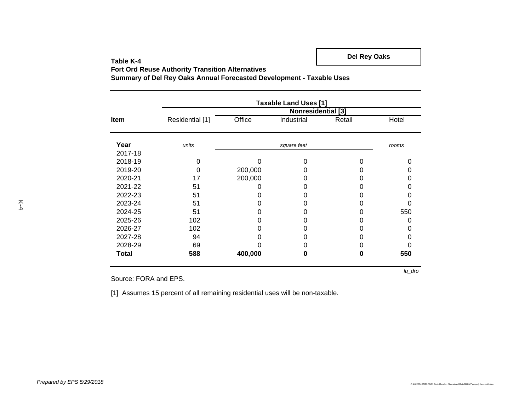**Del Rey Oaks**

**Fort Ord Reuse Authority Transition Alternatives**

**Summary of Del Rey Oaks Annual Forecasted Development - Taxable Uses**

|             | <b>Taxable Land Uses [1]</b> |         |             |        |       |  |  |  |  |
|-------------|------------------------------|---------|-------------|--------|-------|--|--|--|--|
|             |                              |         |             |        |       |  |  |  |  |
| <b>Item</b> | Residential [1]              | Office  | Industrial  | Retail | Hotel |  |  |  |  |
| Year        | units                        |         | square feet |        | rooms |  |  |  |  |
| 2017-18     |                              |         |             |        |       |  |  |  |  |
| 2018-19     |                              |         | ი           |        |       |  |  |  |  |
| 2019-20     |                              | 200,000 |             |        |       |  |  |  |  |
| 2020-21     | 17                           | 200,000 |             | O      |       |  |  |  |  |
| 2021-22     | 51                           | Ω       |             | 0      |       |  |  |  |  |
| 2022-23     | 51                           |         |             | O      |       |  |  |  |  |
| 2023-24     | 51                           |         |             |        |       |  |  |  |  |
| 2024-25     | 51                           |         |             |        | 550   |  |  |  |  |
| 2025-26     | 102                          |         |             |        |       |  |  |  |  |
| 2026-27     | 102                          |         |             | 0      |       |  |  |  |  |
| 2027-28     | 94                           |         |             |        |       |  |  |  |  |
| 2028-29     | 69                           |         |             | 0      |       |  |  |  |  |
| Total       | 588                          | 400,000 | O           | 0      | 550   |  |  |  |  |

Source: FORA and EPS.

[1] Assumes 15 percent of all remaining residential uses will be non-taxable.

*lu\_dro*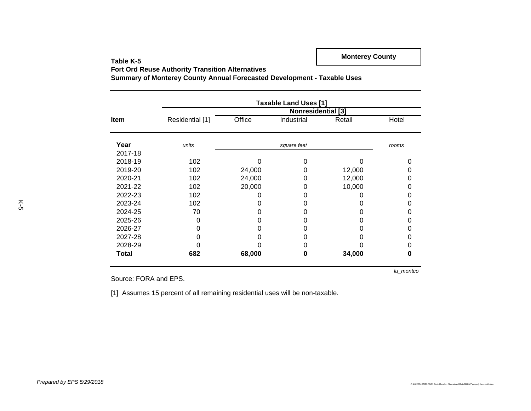**Fort Ord Reuse Authority Transition Alternatives**

**Summary of Monterey County Annual Forecasted Development - Taxable Uses**

|             | <b>Taxable Land Uses [1]</b> |        |             |        |       |  |  |  |  |  |
|-------------|------------------------------|--------|-------------|--------|-------|--|--|--|--|--|
|             | <b>Nonresidential</b> [3]    |        |             |        |       |  |  |  |  |  |
| <b>Item</b> | Residential [1]              | Office | Industrial  | Retail | Hotel |  |  |  |  |  |
| Year        | units                        |        | square feet |        | rooms |  |  |  |  |  |
| 2017-18     |                              |        |             |        |       |  |  |  |  |  |
| 2018-19     | 102                          | Ω      | 0           | ი      |       |  |  |  |  |  |
| 2019-20     | 102                          | 24,000 | 0           | 12,000 |       |  |  |  |  |  |
| 2020-21     | 102                          | 24,000 | 0           | 12,000 |       |  |  |  |  |  |
| 2021-22     | 102                          | 20,000 | O           | 10,000 |       |  |  |  |  |  |
| 2022-23     | 102                          | 0      |             |        |       |  |  |  |  |  |
| 2023-24     | 102                          |        |             |        |       |  |  |  |  |  |
| 2024-25     | 70                           | O      |             |        |       |  |  |  |  |  |
| 2025-26     | 0                            | ი      |             | ი      |       |  |  |  |  |  |
| 2026-27     |                              | 0      |             |        |       |  |  |  |  |  |
| 2027-28     |                              |        |             |        |       |  |  |  |  |  |
| 2028-29     |                              |        |             |        | ი     |  |  |  |  |  |
| Total       | 682                          | 68,000 | 0           | 34,000 | O     |  |  |  |  |  |

Source: FORA and EPS.

*lu\_montco*

[1] Assumes 15 percent of all remaining residential uses will be non-taxable.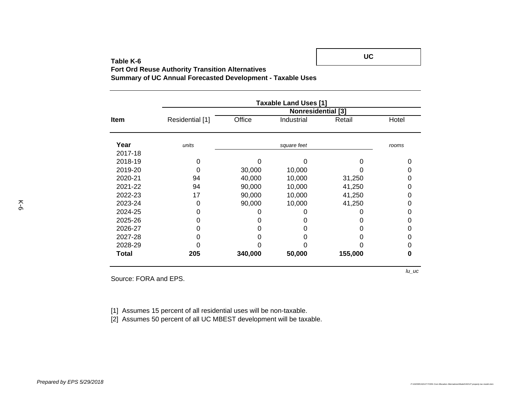**Fort Ord Reuse Authority Transition Alternatives**

**Summary of UC Annual Forecasted Development - Taxable Uses**

|             | <b>Taxable Land Uses [1]</b> |         |             |         |       |  |  |  |  |  |
|-------------|------------------------------|---------|-------------|---------|-------|--|--|--|--|--|
|             | <b>Nonresidential [3]</b>    |         |             |         |       |  |  |  |  |  |
| <b>Item</b> | Residential [1]              | Office  | Industrial  | Retail  | Hotel |  |  |  |  |  |
| Year        | units                        |         | square feet |         | rooms |  |  |  |  |  |
| 2017-18     |                              |         |             |         |       |  |  |  |  |  |
| 2018-19     |                              | ი       |             | 0       |       |  |  |  |  |  |
| 2019-20     |                              | 30,000  | 10,000      |         |       |  |  |  |  |  |
| 2020-21     | 94                           | 40,000  | 10,000      | 31,250  |       |  |  |  |  |  |
| 2021-22     | 94                           | 90,000  | 10,000      | 41,250  | Ω     |  |  |  |  |  |
| 2022-23     | 17                           | 90,000  | 10,000      | 41,250  |       |  |  |  |  |  |
| 2023-24     | Ⴖ                            | 90,000  | 10,000      | 41,250  |       |  |  |  |  |  |
| 2024-25     |                              |         |             |         | Ω     |  |  |  |  |  |
| 2025-26     |                              |         |             |         |       |  |  |  |  |  |
| 2026-27     |                              |         |             |         |       |  |  |  |  |  |
| 2027-28     |                              | 0       |             | 0       | Ω     |  |  |  |  |  |
| 2028-29     |                              |         |             |         |       |  |  |  |  |  |
| Total       | 205                          | 340,000 | 50,000      | 155,000 | Ω     |  |  |  |  |  |

Source: FORA and EPS.

[1] Assumes 15 percent of all residential uses will be non-taxable.

[2] Assumes 50 percent of all UC MBEST development will be taxable.

**UC**

*lu\_uc*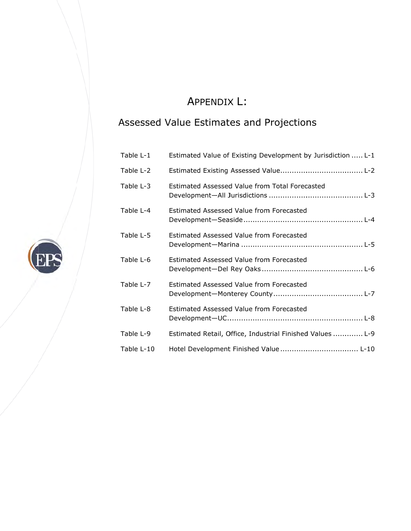# A APPENDIX X L:

# Assessed Value Estimates and Projections

| Table L-1  | Estimated Value of Existing Development by Jurisdiction  L-1 |
|------------|--------------------------------------------------------------|
| Table L-2  |                                                              |
| Table L-3  | Estimated Assessed Value from Total Forecasted               |
| Table L-4  | Estimated Assessed Value from Forecasted                     |
| Table L-5  | Estimated Assessed Value from Forecasted                     |
| Table L-6  | Estimated Assessed Value from Forecasted                     |
| Table L-7  | Estimated Assessed Value from Forecasted                     |
| Table L-8  | Estimated Assessed Value from Forecasted                     |
| Table L-9  | Estimated Retail, Office, Industrial Finished Values  L-9    |
| Table L-10 |                                                              |

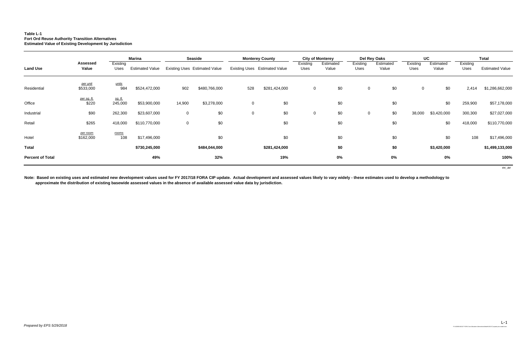## **Table L-1 Fort Ord Reuse Authority Transition Alternatives Estimated Value of Existing Development by Jurisdiction**

|                         |                             |                           | <b>Marina</b>          |                | <b>Seaside</b>                       |             | <b>Monterey County</b>               |                  | <b>City of Monterey</b> |                  | Del Rey Oaks       | UC               |                    |                  | <b>Total</b>           |
|-------------------------|-----------------------------|---------------------------|------------------------|----------------|--------------------------------------|-------------|--------------------------------------|------------------|-------------------------|------------------|--------------------|------------------|--------------------|------------------|------------------------|
| <b>Land Use</b>         | <b>Assessed</b><br>Value    | Existing<br>Uses          | <b>Estimated Value</b> |                | <b>Existing Uses Estimated Value</b> |             | <b>Existing Uses</b> Estimated Value | Existing<br>Uses | Estimated<br>Value      | Existing<br>Uses | Estimated<br>Value | Existing<br>Uses | Estimated<br>Value | Existing<br>Uses | <b>Estimated Value</b> |
| Residential             | per unit<br>\$533,000       | <u>units</u><br>984       | \$524,472,000          | 902            | \$480,766,000                        | 528         | \$281,424,000                        | $\overline{0}$   | \$0                     | $\mathbf 0$      | \$0                | $\mathbf 0$      | \$0                | 2,414            | \$1,286,662,000        |
| Office                  | <u>per sq. ft.</u><br>\$220 | <u>sq. ft.</u><br>245,000 | \$53,900,000           | 14,900         | \$3,278,000                          | $\mathbf 0$ | \$0                                  |                  | \$0                     |                  | \$0                |                  | \$0                | 259,900          | \$57,178,000           |
| Industrial              | \$90                        | 262,300                   | \$23,607,000           | $\mathbf 0$    | \$0                                  | $\mathbf 0$ | \$0                                  | $\mathbf 0$      | \$0                     | $\mathbf 0$      | \$0                | 38,000           | \$3,420,000        | 300,300          | \$27,027,000           |
| Retail                  | \$265                       | 418,000                   | \$110,770,000          | $\overline{0}$ | \$0                                  |             | \$0                                  |                  | \$0                     |                  | \$0                |                  | \$0                | 418,000          | \$110,770,000          |
| Hotel                   | per room<br>\$162,000       | rooms<br>108              | \$17,496,000           |                | \$0                                  |             | \$0                                  |                  | \$0                     |                  | \$0                |                  | \$0                | 108              | \$17,496,000           |
| <b>Total</b>            |                             |                           | \$730,245,000          |                | \$484,044,000                        |             | \$281,424,000                        |                  | \$0                     |                  | \$0                |                  | \$3,420,000        |                  | \$1,499,133,000        |
| <b>Percent of Total</b> |                             |                           | 49%                    |                | 32%                                  |             | 19%                                  |                  | $0\%$                   |                  | $0\%$              |                  | $0\%$              |                  | 100%                   |
|                         |                             |                           |                        |                |                                      |             |                                      |                  |                         |                  |                    |                  |                    |                  | ex_av                  |

**Note: Based on existing uses and estimated new development values used for FY 2017/18 FORA CIP update. Actual development and assessed values likely to vary widely - these estimates used to develop a methodology to approximate the distribution of existing basewide assessed values in the absence of available assessed value data by jurisdiction.**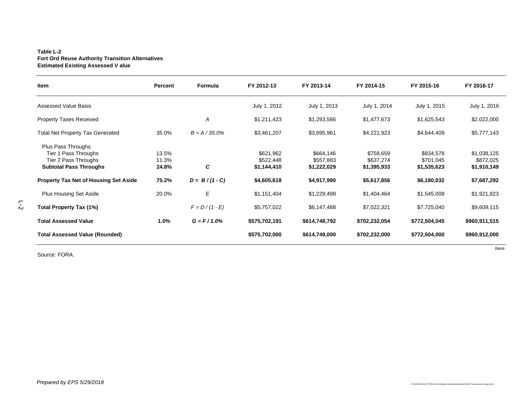### **Table L-2 Fort Ord Reuse Authority Transition Alternatives Estimated Existing Assessed V alue**

| Item                                                                                                | Percent                 | Formula          | FY 2012-13                            | FY 2013-14                            | FY 2014-15                            | FY 2015-16                            | FY 2016-17                              |
|-----------------------------------------------------------------------------------------------------|-------------------------|------------------|---------------------------------------|---------------------------------------|---------------------------------------|---------------------------------------|-----------------------------------------|
| <b>Assessed Value Basis</b>                                                                         |                         |                  | July 1, 2012                          | July 1, 2013                          | July 1, 2014                          | July 1, 2015                          | July 1, 2016                            |
| <b>Property Taxes Received</b>                                                                      |                         | A                | \$1,211,423                           | \$1,293,586                           | \$1,477,673                           | \$1,625,543                           | \$2,022,000                             |
| <b>Total Net Property Tax Generated</b>                                                             | 35.0%                   | $B = A / 35.0\%$ | \$3,461,207                           | \$3,695,961                           | \$4,221,923                           | \$4,644,409                           | \$5,777,143                             |
| Plus Pass Throughs<br>Tier 1 Pass Throughs<br>Tier 2 Pass Throughs<br><b>Subtotal Pass Throughs</b> | 13.5%<br>11.3%<br>24.8% | C                | \$621,962<br>\$522,448<br>\$1,144,410 | \$664,146<br>\$557,883<br>\$1,222,029 | \$758,659<br>\$637,274<br>\$1,395,933 | \$834,578<br>\$701,045<br>\$1,535,623 | \$1,038,125<br>\$872,025<br>\$1,910,149 |
| <b>Property Tax Net of Housing Set Aside</b>                                                        | 75.2%                   | $D = B/(1 - C)$  | \$4,605,618                           | \$4,917,990                           | \$5,617,856                           | \$6,180,032                           | \$7,687,292                             |
| <b>Plus Housing Set Aside</b>                                                                       | 20.0%                   | $\boldsymbol{E}$ | \$1,151,404                           | \$1,229,498                           | \$1,404,464                           | \$1,545,008                           | \$1,921,823                             |
| Total Property Tax (1%)                                                                             |                         | $F = D/(1 - E)$  | \$5,757,022                           | \$6,147,488                           | \$7,022,321                           | \$7,725,040                           | \$9,609,115                             |
| <b>Total Assessed Value</b>                                                                         | $1.0\%$                 | $G = F / 1.0\%$  | \$575,702,191                         | \$614,748,792                         | \$702,232,054                         | \$772,504,045                         | \$960,911,515                           |
| <b>Total Assessed Value (Rounded)</b>                                                               |                         |                  | \$575,702,000                         | \$614,749,000                         | \$702,232,000                         | \$772,504,000                         | \$960,912,000                           |

Source: FORA.

*base*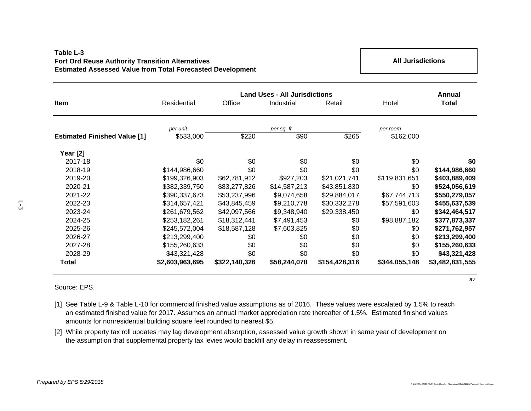## **Table L-3Fort Ord Reuse Authority Transition Alternatives Estimated Assessed Value from Total Forecasted Development**

**All Jurisdictions**

|                                     |                 | Annual        |              |               |               |                 |
|-------------------------------------|-----------------|---------------|--------------|---------------|---------------|-----------------|
| Item                                | Residential     | Office        | Industrial   | Retail        | Hotel         | <b>Total</b>    |
|                                     | per unit        |               | per sq. ft.  |               | per room      |                 |
| <b>Estimated Finished Value [1]</b> | \$533,000       | \$220         | \$90         | \$265         | \$162,000     |                 |
| Year [2]                            |                 |               |              |               |               |                 |
| 2017-18                             | \$0             | \$0           | \$0          | \$0           | \$0           | \$0             |
| 2018-19                             | \$144,986,660   | \$0           | \$0          | \$0           | \$0           | \$144,986,660   |
| 2019-20                             | \$199,326,903   | \$62,781,912  | \$927,203    | \$21,021,741  | \$119,831,651 | \$403,889,409   |
| 2020-21                             | \$382,339,750   | \$83,277,826  | \$14,587,213 | \$43,851,830  | \$0           | \$524,056,619   |
| 2021-22                             | \$390,337,673   | \$53,237,996  | \$9,074,658  | \$29,884,017  | \$67,744,713  | \$550,279,057   |
| 2022-23                             | \$314,657,421   | \$43,845,459  | \$9,210,778  | \$30,332,278  | \$57,591,603  | \$455,637,539   |
| 2023-24                             | \$261,679,562   | \$42,097,566  | \$9,348,940  | \$29,338,450  | \$0           | \$342,464,517   |
| 2024-25                             | \$253,182,261   | \$18,312,441  | \$7,491,453  | \$0           | \$98,887,182  | \$377,873,337   |
| 2025-26                             | \$245,572,004   | \$18,587,128  | \$7,603,825  | \$0           | \$0           | \$271,762,957   |
| 2026-27                             | \$213,299,400   | \$0           | \$0          | \$0           | \$0           | \$213,299,400   |
| 2027-28                             | \$155,260,633   | \$0           | \$0          | \$0           | \$0           | \$155,260,633   |
| 2028-29                             | \$43,321,428    | \$0           | \$0          | \$0           | \$0           | \$43,321,428    |
| Total                               | \$2,603,963,695 | \$322,140,326 | \$58,244,070 | \$154,428,316 | \$344,055,148 | \$3,482,831,555 |

Source: EPS.

- [1] See Table L-9 & Table L-10 for commercial finished value assumptions as of 2016. These values were escalated by 1.5% to reach an estimated finished value for 2017. Assumes an annual market appreciation rate thereafter of 1.5%. Estimated finished values amounts for nonresidential building square feet rounded to nearest \$5.
- [2] While property tax roll updates may lag development absorption, assessed value growth shown in same year of development on the assumption that supplemental property tax levies would backfill any delay in reassessment.

*av*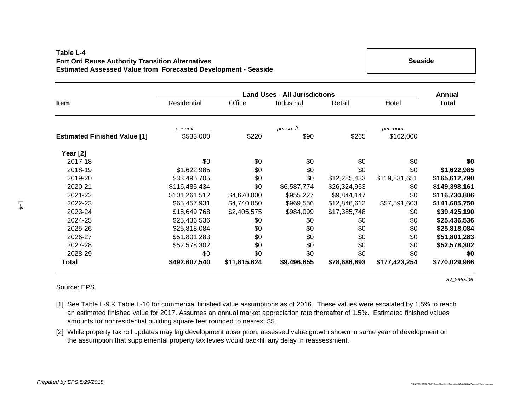## **Table L-4Fort Ord Reuse Authority Transition Alternatives Estimated Assessed Value from Forecasted Development - Seaside**

**Seaside**

|                                     | <b>Land Uses - All Jurisdictions</b> |              |             |              |               |               |  |  |
|-------------------------------------|--------------------------------------|--------------|-------------|--------------|---------------|---------------|--|--|
| Item                                | Residential                          | Office       | Industrial  | Retail       | Hotel         | <b>Total</b>  |  |  |
|                                     | per unit                             |              | per sq. ft. |              | per room      |               |  |  |
| <b>Estimated Finished Value [1]</b> | \$533,000                            | \$220        | \$90        | \$265        | \$162,000     |               |  |  |
| Year [2]                            |                                      |              |             |              |               |               |  |  |
| 2017-18                             | \$0                                  | \$0          | \$0         | \$0          | \$0           | \$0           |  |  |
| 2018-19                             | \$1,622,985                          | \$0          | \$0         | \$0          | \$0           | \$1,622,985   |  |  |
| 2019-20                             | \$33,495,705                         | \$0          | \$0         | \$12,285,433 | \$119,831,651 | \$165,612,790 |  |  |
| 2020-21                             | \$116,485,434                        | \$0          | \$6,587,774 | \$26,324,953 | \$0           | \$149,398,161 |  |  |
| 2021-22                             | \$101,261,512                        | \$4,670,000  | \$955,227   | \$9,844,147  | \$0           | \$116,730,886 |  |  |
| 2022-23                             | \$65,457,931                         | \$4,740,050  | \$969,556   | \$12,846,612 | \$57,591,603  | \$141,605,750 |  |  |
| 2023-24                             | \$18,649,768                         | \$2,405,575  | \$984,099   | \$17,385,748 | \$0           | \$39,425,190  |  |  |
| 2024-25                             | \$25,436,536                         | \$0          | \$0         | \$0          | \$0           | \$25,436,536  |  |  |
| 2025-26                             | \$25,818,084                         | \$0          | \$0         | \$0          | \$0           | \$25,818,084  |  |  |
| 2026-27                             | \$51,801,283                         | \$0          | \$0         | \$0          | \$0           | \$51,801,283  |  |  |
| 2027-28                             | \$52,578,302                         | \$0          | \$0         | \$0          | \$0           | \$52,578,302  |  |  |
| 2028-29                             | \$0                                  | \$0          | \$0         | \$0          | \$0           | \$0           |  |  |
| Total                               | \$492,607,540                        | \$11,815,624 | \$9,496,655 | \$78,686,893 | \$177,423,254 | \$770,029,966 |  |  |

Source: EPS.

*av\_seaside*

- [1] See Table L-9 & Table L-10 for commercial finished value assumptions as of 2016. These values were escalated by 1.5% to reach an estimated finished value for 2017. Assumes an annual market appreciation rate thereafter of 1.5%. Estimated finished values amounts for nonresidential building square feet rounded to nearest \$5.
- [2] While property tax roll updates may lag development absorption, assessed value growth shown in same year of development on the assumption that supplemental property tax levies would backfill any delay in reassessment.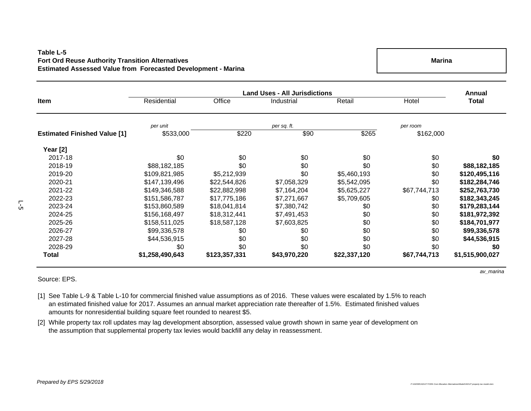## **Table L-5Fort Ord Reuse Authority Transition Alternatives Estimated Assessed Value from Forecasted Development - Marina**

**Marina**

|                                     | <b>Land Uses - All Jurisdictions</b> |               |              |              |              |                 |  |  |
|-------------------------------------|--------------------------------------|---------------|--------------|--------------|--------------|-----------------|--|--|
| <b>Item</b>                         | Residential                          | Office        | Industrial   | Retail       | Hotel        | <b>Total</b>    |  |  |
|                                     | per unit                             |               | per sq. ft.  |              | per room     |                 |  |  |
| <b>Estimated Finished Value [1]</b> | \$533,000                            | \$220         | \$90         | \$265        | \$162,000    |                 |  |  |
| Year [2]                            |                                      |               |              |              |              |                 |  |  |
| 2017-18                             | \$0                                  | \$0           | \$0          | \$0          | \$0          | \$0             |  |  |
| 2018-19                             | \$88,182,185                         | \$0           | \$0          | \$0          | \$0          | \$88,182,185    |  |  |
| 2019-20                             | \$109,821,985                        | \$5,212,939   | \$0          | \$5,460,193  | \$0          | \$120,495,116   |  |  |
| 2020-21                             | \$147,139,496                        | \$22,544,826  | \$7,058,329  | \$5,542,095  | \$0          | \$182,284,746   |  |  |
| 2021-22                             | \$149,346,588                        | \$22,882,998  | \$7,164,204  | \$5,625,227  | \$67,744,713 | \$252,763,730   |  |  |
| 2022-23                             | \$151,586,787                        | \$17,775,186  | \$7,271,667  | \$5,709,605  | \$0          | \$182,343,245   |  |  |
| 2023-24                             | \$153,860,589                        | \$18,041,814  | \$7,380,742  | \$0          | \$0          | \$179,283,144   |  |  |
| 2024-25                             | \$156,168,497                        | \$18,312,441  | \$7,491,453  | \$0          | \$0          | \$181,972,392   |  |  |
| 2025-26                             | \$158,511,025                        | \$18,587,128  | \$7,603,825  | \$0          | \$0          | \$184,701,977   |  |  |
| 2026-27                             | \$99,336,578                         | \$0           | \$0          | \$0          | \$0          | \$99,336,578    |  |  |
| 2027-28                             | \$44,536,915                         | \$0           | \$0          | \$0          | \$0          | \$44,536,915    |  |  |
| 2028-29                             | \$0                                  | \$0           | \$0          | \$0          | \$0          | \$0             |  |  |
| Total                               | \$1,258,490,643                      | \$123,357,331 | \$43,970,220 | \$22,337,120 | \$67,744,713 | \$1,515,900,027 |  |  |

### Source: EPS.

- [1] See Table L-9 & Table L-10 for commercial finished value assumptions as of 2016. These values were escalated by 1.5% to reach an estimated finished value for 2017. Assumes an annual market appreciation rate thereafter of 1.5%. Estimated finished values amounts for nonresidential building square feet rounded to nearest \$5.
- [2] While property tax roll updates may lag development absorption, assessed value growth shown in same year of development on the assumption that supplemental property tax levies would backfill any delay in reassessment.

*av\_marina*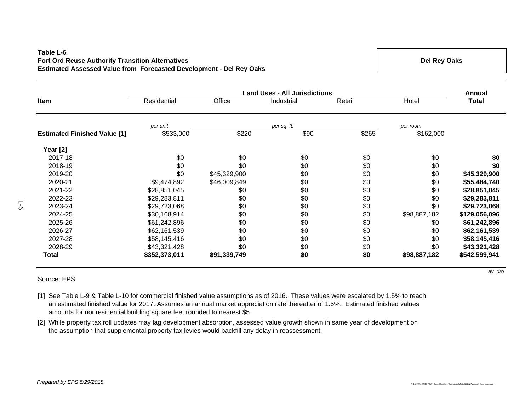### **Table L-6Fort Ord Reuse Authority Transition Alternatives Estimated Assessed Value from Forecasted Development - Del Rey Oaks**

**Del Rey Oaks**

|                                     | <b>Land Uses - All Jurisdictions</b> |              |             |        |              |               |  |  |
|-------------------------------------|--------------------------------------|--------------|-------------|--------|--------------|---------------|--|--|
| Item                                | Residential                          | Office       | Industrial  | Retail | Hotel        | Total         |  |  |
|                                     | per unit                             |              | per sq. ft. |        | per room     |               |  |  |
| <b>Estimated Finished Value [1]</b> | \$533,000                            | \$220        | \$90        | \$265  | \$162,000    |               |  |  |
| Year [2]                            |                                      |              |             |        |              |               |  |  |
| 2017-18                             | \$0                                  | \$0          | \$0         | \$0    | \$0          | \$0           |  |  |
| 2018-19                             | \$0                                  | \$0          | \$0         | \$0    | \$0          | \$0           |  |  |
| 2019-20                             | \$0                                  | \$45,329,900 | \$0         | \$0    | \$0          | \$45,329,900  |  |  |
| 2020-21                             | \$9,474,892                          | \$46,009,849 | \$0         | \$0    | \$0          | \$55,484,740  |  |  |
| 2021-22                             | \$28,851,045                         | \$0          | \$0         | \$0    | \$0          | \$28,851,045  |  |  |
| 2022-23                             | \$29,283,811                         | \$0          | \$0         | \$0    | \$0          | \$29,283,811  |  |  |
| 2023-24                             | \$29,723,068                         | \$0          | \$0         | \$0    | \$0          | \$29,723,068  |  |  |
| 2024-25                             | \$30,168,914                         | \$0          | \$0         | \$0    | \$98,887,182 | \$129,056,096 |  |  |
| 2025-26                             | \$61,242,896                         | \$0          | \$0         | \$0    | \$0          | \$61,242,896  |  |  |
| 2026-27                             | \$62,161,539                         | \$0          | \$0         | \$0    | \$0          | \$62,161,539  |  |  |
| 2027-28                             | \$58,145,416                         | \$0          | \$0         | \$0    | \$0          | \$58,145,416  |  |  |
| 2028-29                             | \$43,321,428                         | \$0          | \$0         | \$0    | \$0          | \$43,321,428  |  |  |
| Total                               | \$352,373,011                        | \$91,339,749 | \$0         | \$0    | \$98,887,182 | \$542,599,941 |  |  |

### Source: EPS.

- [1] See Table L-9 & Table L-10 for commercial finished value assumptions as of 2016. These values were escalated by 1.5% to reach an estimated finished value for 2017. Assumes an annual market appreciation rate thereafter of 1.5%. Estimated finished values amounts for nonresidential building square feet rounded to nearest \$5.
- [2] While property tax roll updates may lag development absorption, assessed value growth shown in same year of development on the assumption that supplemental property tax levies would backfill any delay in reassessment.

*av\_dro*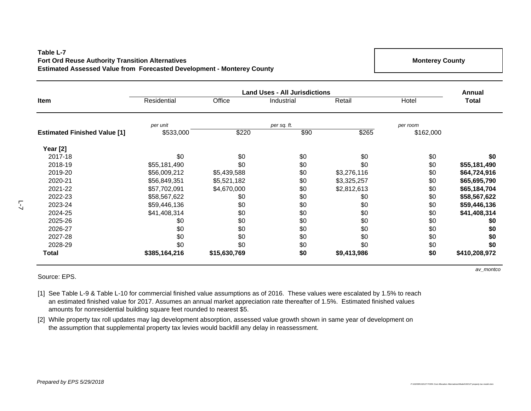## **Table L-7Fort Ord Reuse Authority Transition Alternatives Estimated Assessed Value from Forecasted Development - Monterey County**

**Monterey County**

|                                     | <b>Land Uses - All Jurisdictions</b> |              |             |             |           |               |
|-------------------------------------|--------------------------------------|--------------|-------------|-------------|-----------|---------------|
| Item                                | Residential                          | Office       | Industrial  | Retail      | Hotel     | <b>Total</b>  |
|                                     | per unit                             |              | per sq. ft. |             | per room  |               |
| <b>Estimated Finished Value [1]</b> | \$533,000                            | \$220        | \$90        | \$265       | \$162,000 |               |
| Year [2]                            |                                      |              |             |             |           |               |
| 2017-18                             | \$0                                  | \$0          | \$0         | \$0         | \$0       | \$0           |
| 2018-19                             | \$55,181,490                         | \$0          | \$0         | \$0         | \$0       | \$55,181,490  |
| 2019-20                             | \$56,009,212                         | \$5,439,588  | \$0         | \$3,276,116 | \$0       | \$64,724,916  |
| 2020-21                             | \$56,849,351                         | \$5,521,182  | \$0         | \$3,325,257 | \$0       | \$65,695,790  |
| 2021-22                             | \$57,702,091                         | \$4,670,000  | \$0         | \$2,812,613 | \$0       | \$65,184,704  |
| 2022-23                             | \$58,567,622                         | \$0          | \$0         | \$0         | \$0       | \$58,567,622  |
| 2023-24                             | \$59,446,136                         | \$0          | \$0         | \$0         | \$0       | \$59,446,136  |
| 2024-25                             | \$41,408,314                         | \$0          | \$0         | \$0         | \$0       | \$41,408,314  |
| 2025-26                             | \$0                                  | \$0          | \$0         | \$0         | \$0       | \$0           |
| 2026-27                             | \$0                                  | \$0          | \$0         | \$0         | \$0       | \$0           |
| 2027-28                             | \$0                                  | \$0          | \$0         | \$0         | \$0       | \$0           |
| 2028-29                             | \$0                                  | \$0          | \$0         | \$0         | \$0       | \$0           |
| <b>Total</b>                        | \$385,164,216                        | \$15,630,769 | \$0         | \$9,413,986 | \$0       | \$410,208,972 |

### Source: EPS.

[1] See Table L-9 & Table L-10 for commercial finished value assumptions as of 2016. These values were escalated by 1.5% to reach an estimated finished value for 2017. Assumes an annual market appreciation rate thereafter of 1.5%. Estimated finished values amounts for nonresidential building square feet rounded to nearest \$5.

[2] While property tax roll updates may lag development absorption, assessed value growth shown in same year of development on the assumption that supplemental property tax levies would backfill any delay in reassessment.

*av\_montco*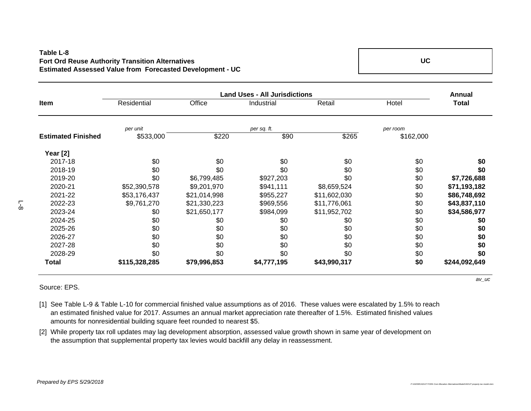## **Table L-8Fort Ord Reuse Authority Transition Alternatives Estimated Assessed Value from Forecasted Development - UC**

**UC**

**AnnualItemm** Residential Office Industrial Retail Hotel **Total** *per unit per room* **Estimated Finished**  $$533.000$  **\$220 \$90 \$265 \$162,000 \$90 Year [2]** 2017-18 \$0 \$0 \$0 \$0 \$0 **\$0** 2018-19 \$0 \$0 \$0 \$0 \$0 **\$0** 2019-20 \$0 \$6,799,485 \$927,203 \$0 \$0 **\$7,726,688** 2020-21 \$52,390,578 \$9,201,970 \$941,111 \$8,659,524 \$0 **\$71,193,182** 2021-22 \$53,176,437 \$21,014,998 \$955,227 \$11,602,030 \$0 **\$86,748,692** 2022-23 \$9,761,270 \$21,330,223 \$969,556 \$11,776,061 \$0 **\$43,837,110** 2023-24 \$0 \$21,650,177 \$984,099 \$11,952,702 \$0 **\$34,586,977** 2024-25 \$0 \$0 \$0 \$0 \$0 **\$0** 2025-26 \$0 \$0 \$0 \$0 \$0 **\$0** 2026-27 \$0 \$0 \$0 \$0 \$0 **\$0** 2027-28 \$0 \$0 \$0 \$0 \$0 **\$0** 2028-29 \$0 \$0 \$0 \$0 \$0 **\$0 Total \$115,328,285 \$79,996,853 \$4,777,195 \$43,990,317 \$0 \$244,092,649 Land Uses - All Jurisdictions***per sq. ft.* 

Source: EPS.

- [1] See Table L-9 & Table L-10 for commercial finished value assumptions as of 2016. These values were escalated by 1.5% to reach an estimated finished value for 2017. Assumes an annual market appreciation rate thereafter of 1.5%. Estimated finished values amounts for nonresidential building square feet rounded to nearest \$5.
- [2] While property tax roll updates may lag development absorption, assessed value growth shown in same year of development on the assumption that supplemental property tax levies would backfill any delay in reassessment.

*av\_uc*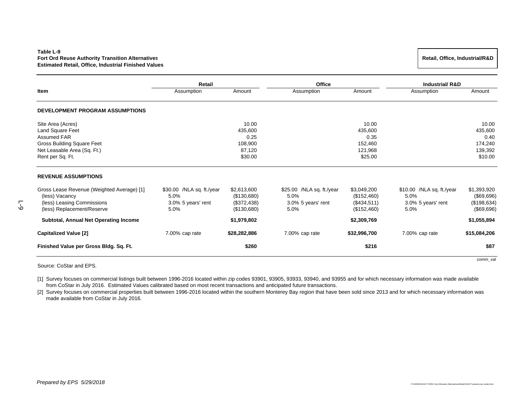### **Table L-9Fort Ord Reuse Authority Transition Alternatives Estimated Retail, Office, Industrial Finished Values**

|                                                 | Retail                    |                   | <b>Office</b>              |                    | <b>Industrial/R&amp;D</b>  |                    |
|-------------------------------------------------|---------------------------|-------------------|----------------------------|--------------------|----------------------------|--------------------|
| Item                                            | Assumption                | Amount            | Assumption                 | Amount             | Assumption                 | Amount             |
| <b>DEVELOPMENT PROGRAM ASSUMPTIONS</b>          |                           |                   |                            |                    |                            |                    |
| Site Area (Acres)                               |                           | 10.00             |                            | 10.00              |                            | 10.00              |
| Land Square Feet                                |                           | 435,600           |                            | 435,600            |                            | 435,600            |
| Assumed FAR                                     |                           | 0.25              |                            | 0.35               |                            | 0.40               |
| <b>Gross Building Square Feet</b>               |                           | 108,900           |                            | 152,460            |                            | 174,240            |
| Net Leasable Area (Sq. Ft.)<br>Rent per Sq. Ft. |                           | 87.120<br>\$30.00 |                            | 121,968<br>\$25.00 |                            | 139,392<br>\$10.00 |
| <b>REVENUE ASSUMPTIONS</b>                      |                           |                   |                            |                    |                            |                    |
| Gross Lease Revenue (Weighted Average) [1]      | \$30.00 /NLA sq. ft./year | \$2,613,600       | $$25.00$ /NLA sq. ft./year | \$3,049,200        | $$10.00$ /NLA sq. ft./year | \$1,393,920        |
| (less) Vacancy                                  | 5.0%                      | (\$130,680)       | 5.0%                       | (\$152,460)        | 5.0%                       | (\$69,696)         |
| (less) Leasing Commissions                      | 3.0% 5 years' rent        | (\$372,438)       | 3.0% 5 years' rent         | (\$434,511)        | 3.0% 5 years' rent         | (\$198,634)        |
| (less) Replacement/Reserve                      | 5.0%                      | (\$130,680)       | 5.0%                       | (\$152,460)        | 5.0%                       | (\$69,696)         |
| Subtotal, Annual Net Operating Income           |                           | \$1,979,802       |                            | \$2,309,769        |                            | \$1,055,894        |
| <b>Capitalized Value [2]</b>                    | 7.00% cap rate            | \$28,282,886      | 7.00% cap rate             | \$32,996,700       | 7.00% cap rate             | \$15,084,206       |
| Finished Value per Gross Bldg. Sq. Ft.          |                           | \$260             |                            | \$216              |                            | \$87               |
|                                                 |                           |                   |                            |                    |                            | comm val           |

Source: CoStar and EPS.

[1] Survey focuses on commercial listings built between 1996-2016 located within zip codes 93901, 93905, 93933, 93940, and 93955 and for which necessary information was made available from CoStar in July 2016. Estimated Values calibrated based on most recent transactions and anticipated future transactions.

[2] Survey focuses on commercial properties built between 1996-2016 located within the southern Monterey Bay region that have been sold since 2013 and for which necessary information was made available from CoStar in July 2016.